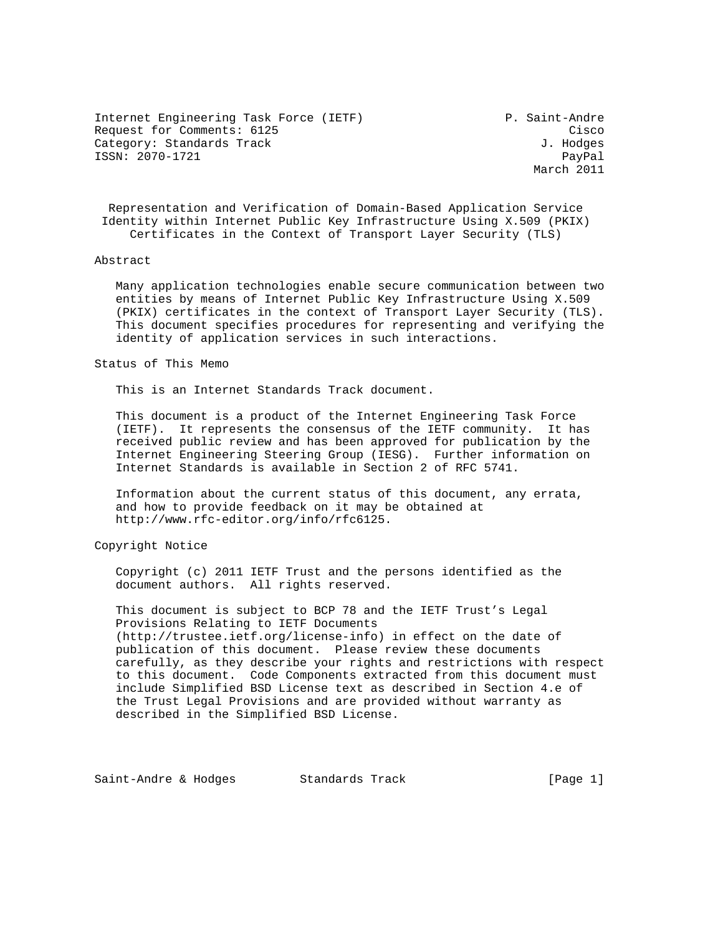Internet Engineering Task Force (IETF) P. Saint-Andre Request for Comments: 6125 Cisco Category: Standards Track J. Hodges ISSN: 2070-1721 PayPal

March 2011

 Representation and Verification of Domain-Based Application Service Identity within Internet Public Key Infrastructure Using X.509 (PKIX) Certificates in the Context of Transport Layer Security (TLS)

#### Abstract

 Many application technologies enable secure communication between two entities by means of Internet Public Key Infrastructure Using X.509 (PKIX) certificates in the context of Transport Layer Security (TLS). This document specifies procedures for representing and verifying the identity of application services in such interactions.

#### Status of This Memo

This is an Internet Standards Track document.

 This document is a product of the Internet Engineering Task Force (IETF). It represents the consensus of the IETF community. It has received public review and has been approved for publication by the Internet Engineering Steering Group (IESG). Further information on Internet Standards is available in Section 2 of RFC 5741.

 Information about the current status of this document, any errata, and how to provide feedback on it may be obtained at http://www.rfc-editor.org/info/rfc6125.

### Copyright Notice

 Copyright (c) 2011 IETF Trust and the persons identified as the document authors. All rights reserved.

 This document is subject to BCP 78 and the IETF Trust's Legal Provisions Relating to IETF Documents (http://trustee.ietf.org/license-info) in effect on the date of publication of this document. Please review these documents carefully, as they describe your rights and restrictions with respect to this document. Code Components extracted from this document must include Simplified BSD License text as described in Section 4.e of the Trust Legal Provisions and are provided without warranty as described in the Simplified BSD License.

Saint-Andre & Hodges Standards Track [Page 1]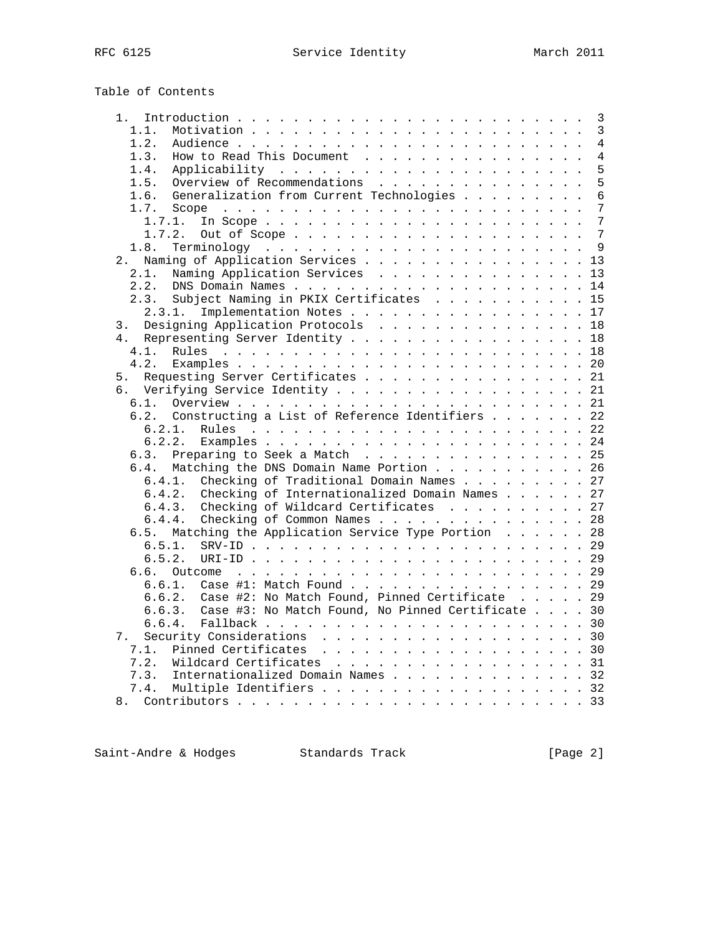# Table of Contents

| 1.                                                          |  |  | 3               |
|-------------------------------------------------------------|--|--|-----------------|
| 1.1.                                                        |  |  | 3               |
| 1.2.                                                        |  |  | $\overline{4}$  |
| How to Read This Document<br>1.3.                           |  |  | $\overline{4}$  |
| 1.4.                                                        |  |  | 5               |
| Overview of Recommendations<br>1.5.                         |  |  | 5               |
| Generalization from Current Technologies<br>1.6.            |  |  | 6               |
| 1.7.                                                        |  |  | 7               |
| 1.7.1.                                                      |  |  | 7               |
| 1.7.2.                                                      |  |  | $7\phantom{.0}$ |
| Out of Scope                                                |  |  | 9               |
| 1.8.                                                        |  |  |                 |
| Naming of Application Services 13<br>2.                     |  |  |                 |
| Naming Application Services<br>2.1.                         |  |  | 13              |
| 2.2.                                                        |  |  | 14              |
| Subject Naming in PKIX Certificates 15<br>2.3.              |  |  |                 |
| Implementation Notes<br>2.3.1.                              |  |  | 17              |
| Designing Application Protocols<br>3.                       |  |  | 18              |
| Representing Server Identity 18<br>4.                       |  |  |                 |
| 4.1.                                                        |  |  | 18              |
| 4.2.                                                        |  |  | 20              |
| Requesting Server Certificates 21<br>5.                     |  |  |                 |
| Verifying Service Identity 21<br>б.                         |  |  |                 |
| 6.1.                                                        |  |  |                 |
| 6.2. Constructing a List of Reference Identifiers 22        |  |  |                 |
| 6.2.1.<br>Rules                                             |  |  |                 |
| 6.2.2.                                                      |  |  |                 |
| Preparing to Seek a Match 25<br>6.3.                        |  |  |                 |
| Matching the DNS Domain Name Portion 26<br>6.4.             |  |  |                 |
| Checking of Traditional Domain Names 27<br>6.4.1.           |  |  |                 |
| 6.4.2.<br>Checking of Internationalized Domain Names 27     |  |  |                 |
| 6.4.3.                                                      |  |  |                 |
| Checking of Wildcard Certificates 27                        |  |  |                 |
| Checking of Common Names 28<br>6.4.4.                       |  |  |                 |
| Matching the Application Service Type Portion 28<br>6.5.    |  |  |                 |
| 6.5.1.                                                      |  |  |                 |
| 6.5.2.                                                      |  |  |                 |
| 6.6.                                                        |  |  |                 |
| 6.6.1. Case #1: Match Found 29                              |  |  |                 |
| Case #2: No Match Found, Pinned Certificate 29<br>6.6.2.    |  |  |                 |
| Case #3: No Match Found, No Pinned Certificate 30<br>6.6.3. |  |  |                 |
| 6.6.4.                                                      |  |  |                 |
| Security Considerations 30<br>7.                            |  |  |                 |
| Pinned Certificates 30<br>7.1.                              |  |  |                 |
| 7.2.<br>Wildcard Certificates 31                            |  |  |                 |
| Internationalized Domain Names 32<br>7.3.                   |  |  |                 |
| Multiple Identifiers 32<br>7.4.                             |  |  |                 |
|                                                             |  |  |                 |
|                                                             |  |  |                 |

Saint-Andre & Hodges Standards Track [Page 2]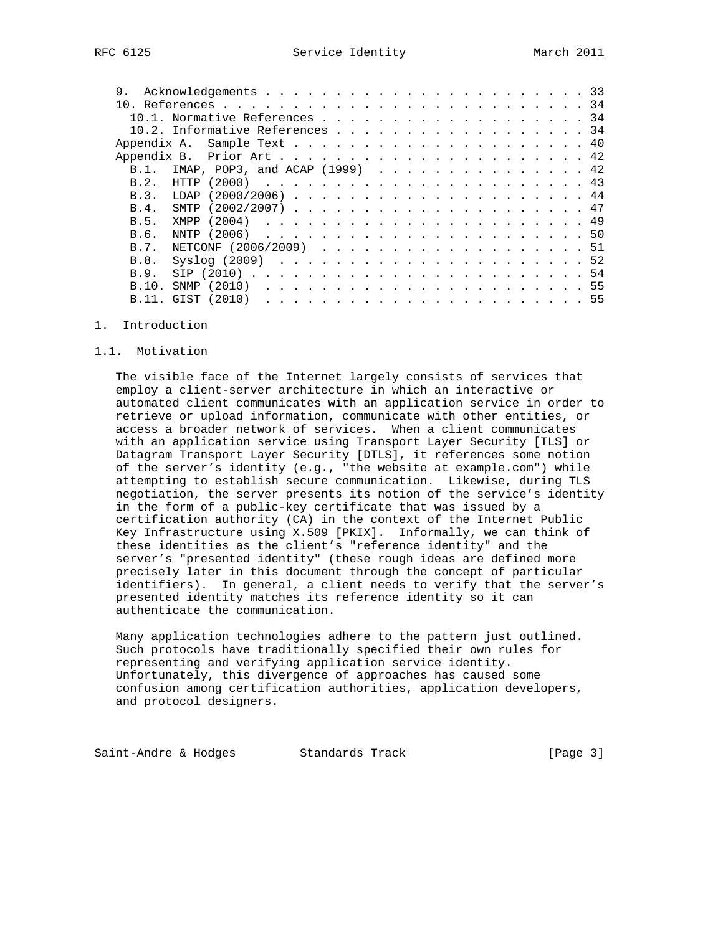| 9.      |      |                                  |  |  |  |  |  |  |  |  |  |  |  |  |
|---------|------|----------------------------------|--|--|--|--|--|--|--|--|--|--|--|--|
|         |      |                                  |  |  |  |  |  |  |  |  |  |  |  |  |
| 10 1    |      | Normative References 34          |  |  |  |  |  |  |  |  |  |  |  |  |
|         |      | 10.2. Informative References 34  |  |  |  |  |  |  |  |  |  |  |  |  |
|         |      |                                  |  |  |  |  |  |  |  |  |  |  |  |  |
|         |      |                                  |  |  |  |  |  |  |  |  |  |  |  |  |
| $B.1$ . |      | IMAP, POP3, and ACAP $(1999)$ 42 |  |  |  |  |  |  |  |  |  |  |  |  |
| B.2.    | HTTP |                                  |  |  |  |  |  |  |  |  |  |  |  |  |
| B.3.    |      |                                  |  |  |  |  |  |  |  |  |  |  |  |  |
| B.4.    |      |                                  |  |  |  |  |  |  |  |  |  |  |  |  |
| B.5.    |      |                                  |  |  |  |  |  |  |  |  |  |  |  |  |
| B.6.    |      |                                  |  |  |  |  |  |  |  |  |  |  |  |  |
| B.7.    |      | NETCONF $(2006/2009)$ 51         |  |  |  |  |  |  |  |  |  |  |  |  |
| B.8.    |      |                                  |  |  |  |  |  |  |  |  |  |  |  |  |
| B.9.    |      |                                  |  |  |  |  |  |  |  |  |  |  |  |  |
| B.10.   |      |                                  |  |  |  |  |  |  |  |  |  |  |  |  |
| B.11.   |      |                                  |  |  |  |  |  |  |  |  |  |  |  |  |

#### 1. Introduction

#### 1.1. Motivation

 The visible face of the Internet largely consists of services that employ a client-server architecture in which an interactive or automated client communicates with an application service in order to retrieve or upload information, communicate with other entities, or access a broader network of services. When a client communicates with an application service using Transport Layer Security [TLS] or Datagram Transport Layer Security [DTLS], it references some notion of the server's identity (e.g., "the website at example.com") while attempting to establish secure communication. Likewise, during TLS negotiation, the server presents its notion of the service's identity in the form of a public-key certificate that was issued by a certification authority (CA) in the context of the Internet Public Key Infrastructure using X.509 [PKIX]. Informally, we can think of these identities as the client's "reference identity" and the server's "presented identity" (these rough ideas are defined more precisely later in this document through the concept of particular identifiers). In general, a client needs to verify that the server's presented identity matches its reference identity so it can authenticate the communication.

 Many application technologies adhere to the pattern just outlined. Such protocols have traditionally specified their own rules for representing and verifying application service identity. Unfortunately, this divergence of approaches has caused some confusion among certification authorities, application developers, and protocol designers.

Saint-Andre & Hodges Standards Track [Page 3]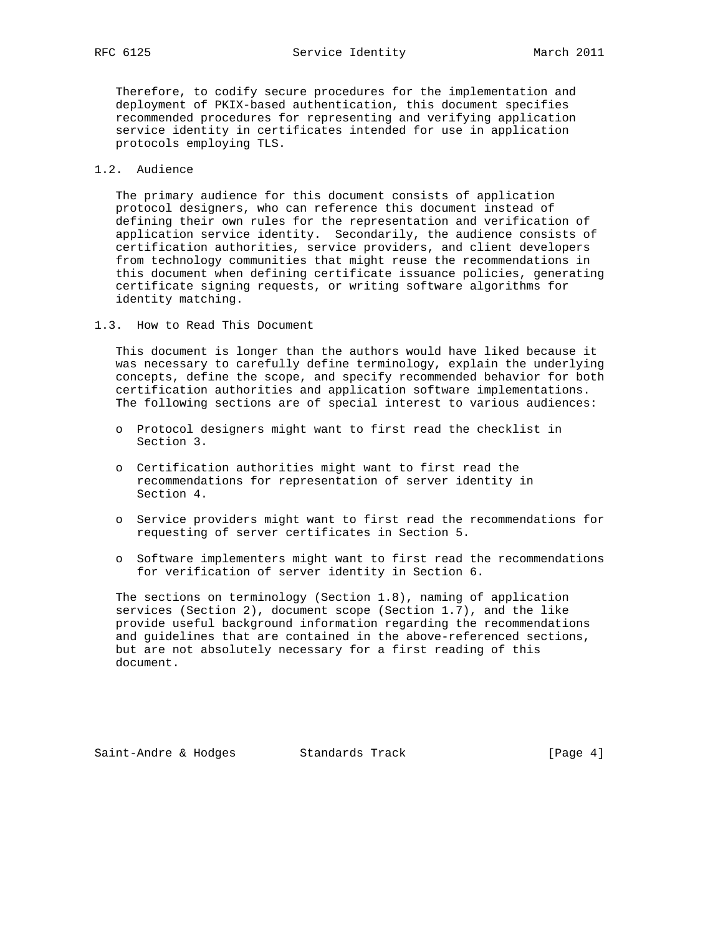Therefore, to codify secure procedures for the implementation and deployment of PKIX-based authentication, this document specifies recommended procedures for representing and verifying application service identity in certificates intended for use in application protocols employing TLS.

# 1.2. Audience

 The primary audience for this document consists of application protocol designers, who can reference this document instead of defining their own rules for the representation and verification of application service identity. Secondarily, the audience consists of certification authorities, service providers, and client developers from technology communities that might reuse the recommendations in this document when defining certificate issuance policies, generating certificate signing requests, or writing software algorithms for identity matching.

1.3. How to Read This Document

 This document is longer than the authors would have liked because it was necessary to carefully define terminology, explain the underlying concepts, define the scope, and specify recommended behavior for both certification authorities and application software implementations. The following sections are of special interest to various audiences:

- o Protocol designers might want to first read the checklist in Section 3.
- o Certification authorities might want to first read the recommendations for representation of server identity in Section 4.
- o Service providers might want to first read the recommendations for requesting of server certificates in Section 5.
- o Software implementers might want to first read the recommendations for verification of server identity in Section 6.

 The sections on terminology (Section 1.8), naming of application services (Section 2), document scope (Section 1.7), and the like provide useful background information regarding the recommendations and guidelines that are contained in the above-referenced sections, but are not absolutely necessary for a first reading of this document.

Saint-Andre & Hodges Standards Track (Page 4)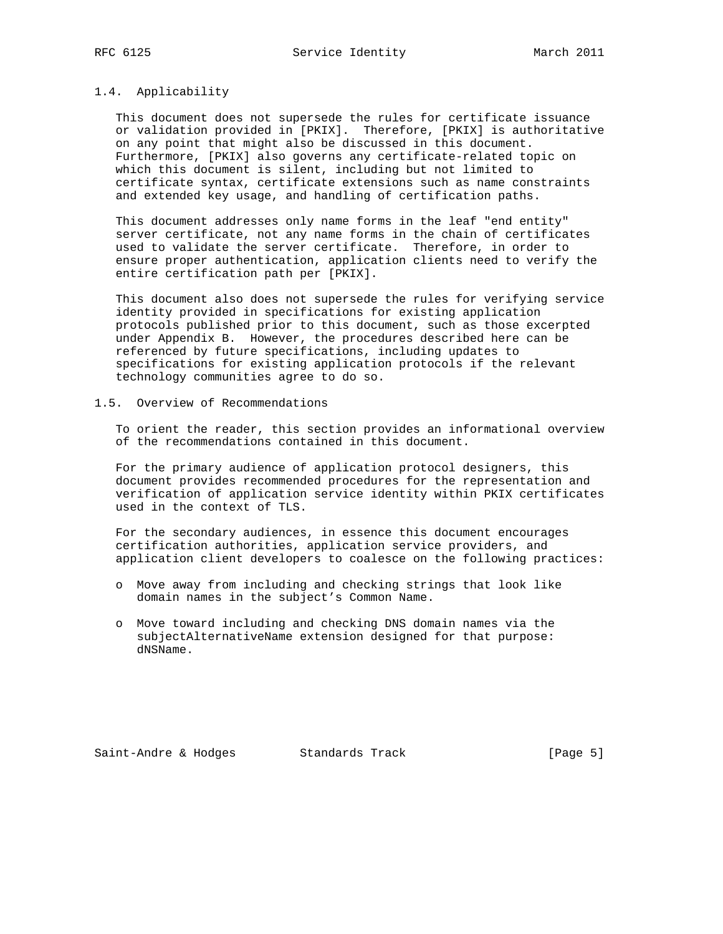#### 1.4. Applicability

 This document does not supersede the rules for certificate issuance or validation provided in [PKIX]. Therefore, [PKIX] is authoritative on any point that might also be discussed in this document. Furthermore, [PKIX] also governs any certificate-related topic on which this document is silent, including but not limited to certificate syntax, certificate extensions such as name constraints and extended key usage, and handling of certification paths.

 This document addresses only name forms in the leaf "end entity" server certificate, not any name forms in the chain of certificates used to validate the server certificate. Therefore, in order to ensure proper authentication, application clients need to verify the entire certification path per [PKIX].

 This document also does not supersede the rules for verifying service identity provided in specifications for existing application protocols published prior to this document, such as those excerpted under Appendix B. However, the procedures described here can be referenced by future specifications, including updates to specifications for existing application protocols if the relevant technology communities agree to do so.

1.5. Overview of Recommendations

 To orient the reader, this section provides an informational overview of the recommendations contained in this document.

 For the primary audience of application protocol designers, this document provides recommended procedures for the representation and verification of application service identity within PKIX certificates used in the context of TLS.

 For the secondary audiences, in essence this document encourages certification authorities, application service providers, and application client developers to coalesce on the following practices:

- o Move away from including and checking strings that look like domain names in the subject's Common Name.
- o Move toward including and checking DNS domain names via the subjectAlternativeName extension designed for that purpose: dNSName.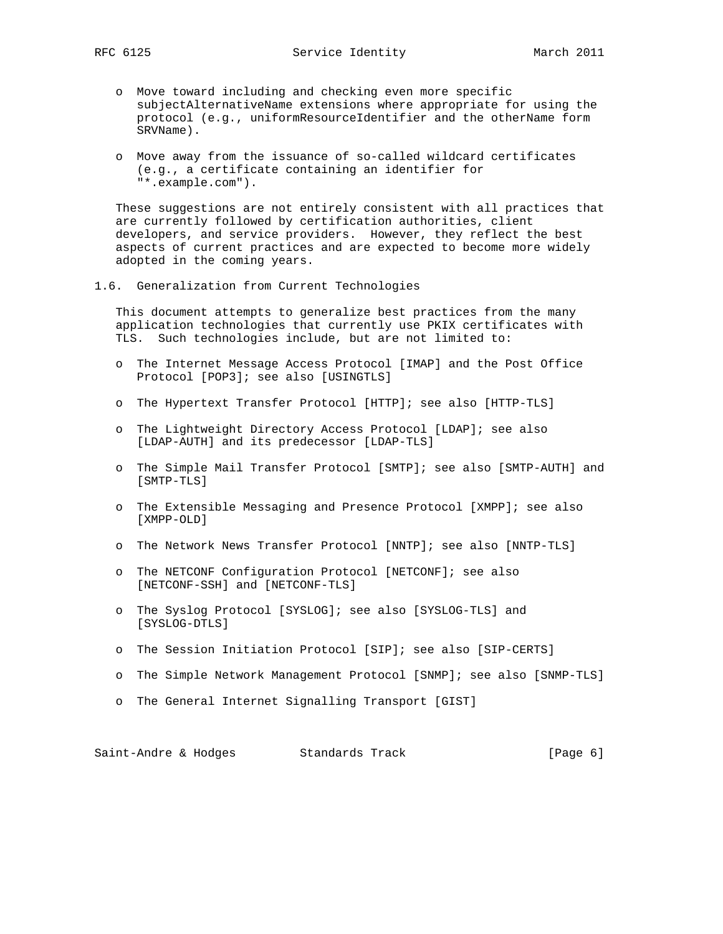- o Move toward including and checking even more specific subjectAlternativeName extensions where appropriate for using the protocol (e.g., uniformResourceIdentifier and the otherName form SRVName).
- o Move away from the issuance of so-called wildcard certificates (e.g., a certificate containing an identifier for "\*.example.com").

 These suggestions are not entirely consistent with all practices that are currently followed by certification authorities, client developers, and service providers. However, they reflect the best aspects of current practices and are expected to become more widely adopted in the coming years.

1.6. Generalization from Current Technologies

 This document attempts to generalize best practices from the many application technologies that currently use PKIX certificates with TLS. Such technologies include, but are not limited to:

- o The Internet Message Access Protocol [IMAP] and the Post Office Protocol [POP3]; see also [USINGTLS]
- o The Hypertext Transfer Protocol [HTTP]; see also [HTTP-TLS]
- o The Lightweight Directory Access Protocol [LDAP]; see also [LDAP-AUTH] and its predecessor [LDAP-TLS]
- o The Simple Mail Transfer Protocol [SMTP]; see also [SMTP-AUTH] and [SMTP-TLS]
- o The Extensible Messaging and Presence Protocol [XMPP]; see also [XMPP-OLD]
- o The Network News Transfer Protocol [NNTP]; see also [NNTP-TLS]
- o The NETCONF Configuration Protocol [NETCONF]; see also [NETCONF-SSH] and [NETCONF-TLS]
- o The Syslog Protocol [SYSLOG]; see also [SYSLOG-TLS] and [SYSLOG-DTLS]
- o The Session Initiation Protocol [SIP]; see also [SIP-CERTS]
- o The Simple Network Management Protocol [SNMP]; see also [SNMP-TLS]
- o The General Internet Signalling Transport [GIST]

Saint-Andre & Hodges Standards Track (Page 6)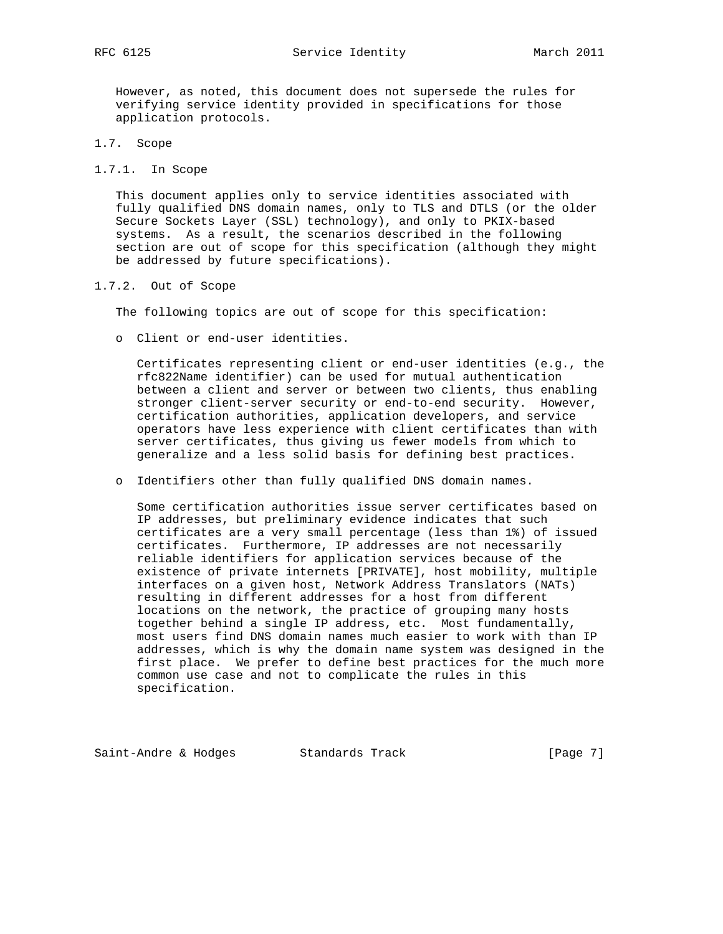However, as noted, this document does not supersede the rules for verifying service identity provided in specifications for those application protocols.

- 1.7. Scope
- 1.7.1. In Scope

 This document applies only to service identities associated with fully qualified DNS domain names, only to TLS and DTLS (or the older Secure Sockets Layer (SSL) technology), and only to PKIX-based systems. As a result, the scenarios described in the following section are out of scope for this specification (although they might be addressed by future specifications).

1.7.2. Out of Scope

The following topics are out of scope for this specification:

o Client or end-user identities.

 Certificates representing client or end-user identities (e.g., the rfc822Name identifier) can be used for mutual authentication between a client and server or between two clients, thus enabling stronger client-server security or end-to-end security. However, certification authorities, application developers, and service operators have less experience with client certificates than with server certificates, thus giving us fewer models from which to generalize and a less solid basis for defining best practices.

o Identifiers other than fully qualified DNS domain names.

 Some certification authorities issue server certificates based on IP addresses, but preliminary evidence indicates that such certificates are a very small percentage (less than 1%) of issued certificates. Furthermore, IP addresses are not necessarily reliable identifiers for application services because of the existence of private internets [PRIVATE], host mobility, multiple interfaces on a given host, Network Address Translators (NATs) resulting in different addresses for a host from different locations on the network, the practice of grouping many hosts together behind a single IP address, etc. Most fundamentally, most users find DNS domain names much easier to work with than IP addresses, which is why the domain name system was designed in the first place. We prefer to define best practices for the much more common use case and not to complicate the rules in this specification.

Saint-Andre & Hodges Standards Track [Page 7]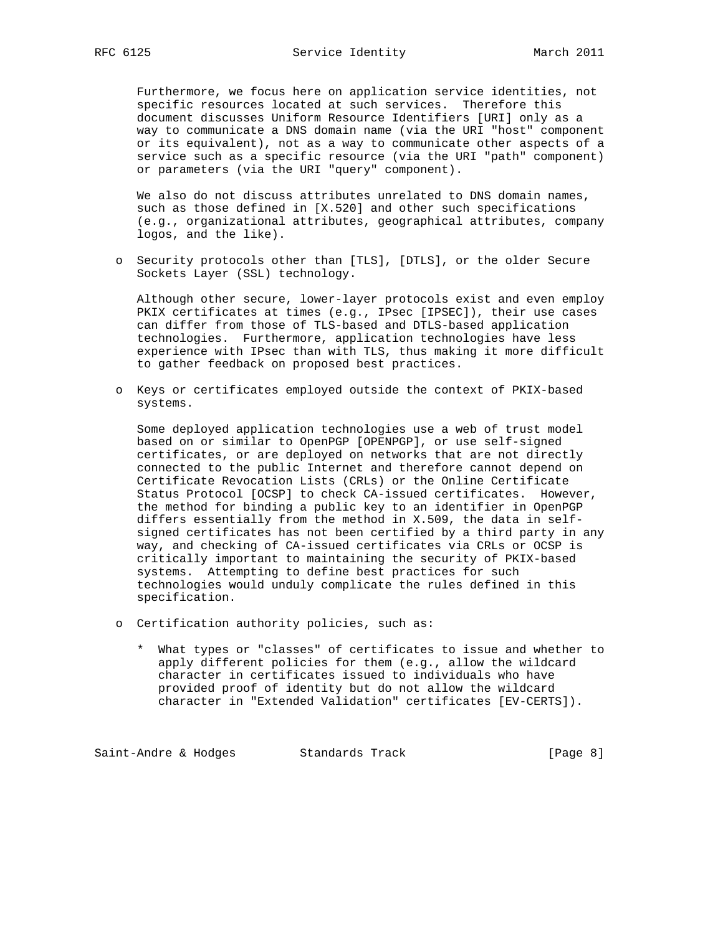Furthermore, we focus here on application service identities, not specific resources located at such services. Therefore this document discusses Uniform Resource Identifiers [URI] only as a way to communicate a DNS domain name (via the URI "host" component or its equivalent), not as a way to communicate other aspects of a service such as a specific resource (via the URI "path" component) or parameters (via the URI "query" component).

 We also do not discuss attributes unrelated to DNS domain names, such as those defined in [X.520] and other such specifications (e.g., organizational attributes, geographical attributes, company logos, and the like).

 o Security protocols other than [TLS], [DTLS], or the older Secure Sockets Layer (SSL) technology.

 Although other secure, lower-layer protocols exist and even employ PKIX certificates at times (e.g., IPsec [IPSEC]), their use cases can differ from those of TLS-based and DTLS-based application technologies. Furthermore, application technologies have less experience with IPsec than with TLS, thus making it more difficult to gather feedback on proposed best practices.

 o Keys or certificates employed outside the context of PKIX-based systems.

 Some deployed application technologies use a web of trust model based on or similar to OpenPGP [OPENPGP], or use self-signed certificates, or are deployed on networks that are not directly connected to the public Internet and therefore cannot depend on Certificate Revocation Lists (CRLs) or the Online Certificate Status Protocol [OCSP] to check CA-issued certificates. However, the method for binding a public key to an identifier in OpenPGP differs essentially from the method in X.509, the data in self signed certificates has not been certified by a third party in any way, and checking of CA-issued certificates via CRLs or OCSP is critically important to maintaining the security of PKIX-based systems. Attempting to define best practices for such technologies would unduly complicate the rules defined in this specification.

- o Certification authority policies, such as:
	- \* What types or "classes" of certificates to issue and whether to apply different policies for them (e.g., allow the wildcard character in certificates issued to individuals who have provided proof of identity but do not allow the wildcard character in "Extended Validation" certificates [EV-CERTS]).

Saint-Andre & Hodges Standards Track (Page 8)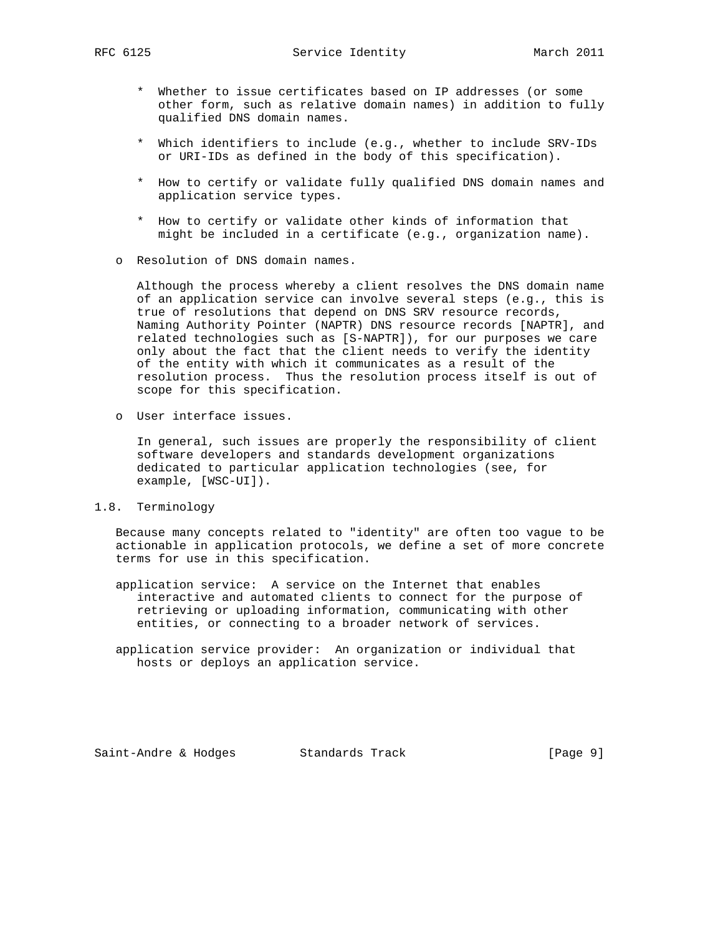- \* Whether to issue certificates based on IP addresses (or some other form, such as relative domain names) in addition to fully qualified DNS domain names.
- \* Which identifiers to include (e.g., whether to include SRV-IDs or URI-IDs as defined in the body of this specification).
- \* How to certify or validate fully qualified DNS domain names and application service types.
- \* How to certify or validate other kinds of information that might be included in a certificate (e.g., organization name).
- o Resolution of DNS domain names.

 Although the process whereby a client resolves the DNS domain name of an application service can involve several steps (e.g., this is true of resolutions that depend on DNS SRV resource records, Naming Authority Pointer (NAPTR) DNS resource records [NAPTR], and related technologies such as [S-NAPTR]), for our purposes we care only about the fact that the client needs to verify the identity of the entity with which it communicates as a result of the resolution process. Thus the resolution process itself is out of scope for this specification.

o User interface issues.

 In general, such issues are properly the responsibility of client software developers and standards development organizations dedicated to particular application technologies (see, for example, [WSC-UI]).

1.8. Terminology

 Because many concepts related to "identity" are often too vague to be actionable in application protocols, we define a set of more concrete terms for use in this specification.

- application service: A service on the Internet that enables interactive and automated clients to connect for the purpose of retrieving or uploading information, communicating with other entities, or connecting to a broader network of services.
- application service provider: An organization or individual that hosts or deploys an application service.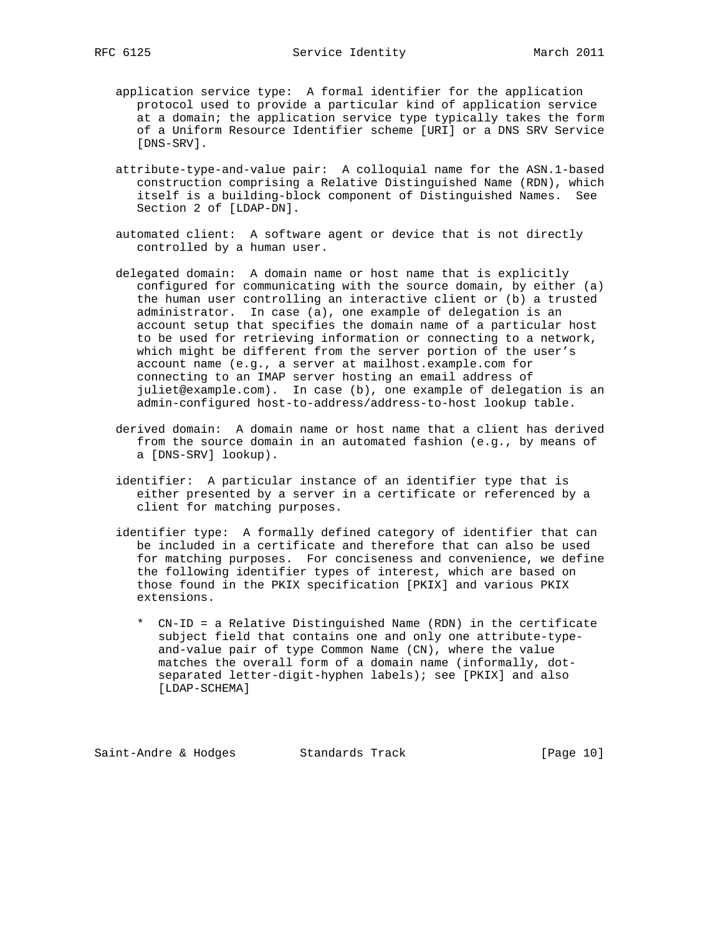- application service type: A formal identifier for the application protocol used to provide a particular kind of application service at a domain; the application service type typically takes the form of a Uniform Resource Identifier scheme [URI] or a DNS SRV Service [DNS-SRV].
- attribute-type-and-value pair: A colloquial name for the ASN.1-based construction comprising a Relative Distinguished Name (RDN), which itself is a building-block component of Distinguished Names. See Section 2 of [LDAP-DN].
- automated client: A software agent or device that is not directly controlled by a human user.
- delegated domain: A domain name or host name that is explicitly configured for communicating with the source domain, by either (a) the human user controlling an interactive client or (b) a trusted administrator. In case (a), one example of delegation is an account setup that specifies the domain name of a particular host to be used for retrieving information or connecting to a network, which might be different from the server portion of the user's account name (e.g., a server at mailhost.example.com for connecting to an IMAP server hosting an email address of juliet@example.com). In case (b), one example of delegation is an admin-configured host-to-address/address-to-host lookup table.
- derived domain: A domain name or host name that a client has derived from the source domain in an automated fashion (e.g., by means of a [DNS-SRV] lookup).
- identifier: A particular instance of an identifier type that is either presented by a server in a certificate or referenced by a client for matching purposes.
- identifier type: A formally defined category of identifier that can be included in a certificate and therefore that can also be used for matching purposes. For conciseness and convenience, we define the following identifier types of interest, which are based on those found in the PKIX specification [PKIX] and various PKIX extensions.
	- \* CN-ID = a Relative Distinguished Name (RDN) in the certificate subject field that contains one and only one attribute-type and-value pair of type Common Name (CN), where the value matches the overall form of a domain name (informally, dot separated letter-digit-hyphen labels); see [PKIX] and also [LDAP-SCHEMA]

Saint-Andre & Hodges Standards Track [Page 10]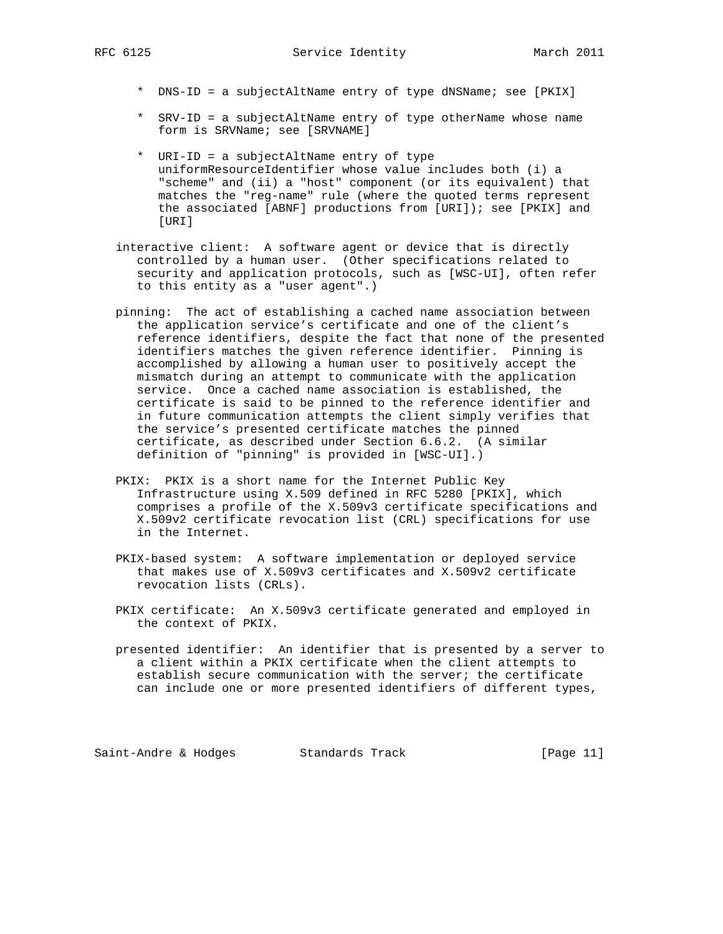- \* DNS-ID = a subjectAltName entry of type dNSName; see [PKIX]
- \* SRV-ID = a subjectAltName entry of type otherName whose name form is SRVName; see [SRVNAME]
- \* URI-ID = a subjectAltName entry of type uniformResourceIdentifier whose value includes both (i) a "scheme" and (ii) a "host" component (or its equivalent) that matches the "reg-name" rule (where the quoted terms represent the associated [ABNF] productions from [URI]); see [PKIX] and [URI]
- interactive client: A software agent or device that is directly controlled by a human user. (Other specifications related to security and application protocols, such as [WSC-UI], often refer to this entity as a "user agent".)
- pinning: The act of establishing a cached name association between the application service's certificate and one of the client's reference identifiers, despite the fact that none of the presented identifiers matches the given reference identifier. Pinning is accomplished by allowing a human user to positively accept the mismatch during an attempt to communicate with the application service. Once a cached name association is established, the certificate is said to be pinned to the reference identifier and in future communication attempts the client simply verifies that the service's presented certificate matches the pinned certificate, as described under Section 6.6.2. (A similar definition of "pinning" is provided in [WSC-UI].)
- PKIX: PKIX is a short name for the Internet Public Key Infrastructure using X.509 defined in RFC 5280 [PKIX], which comprises a profile of the X.509v3 certificate specifications and X.509v2 certificate revocation list (CRL) specifications for use in the Internet.
- PKIX-based system: A software implementation or deployed service that makes use of X.509v3 certificates and X.509v2 certificate revocation lists (CRLs).
- PKIX certificate: An X.509v3 certificate generated and employed in the context of PKIX.
- presented identifier: An identifier that is presented by a server to a client within a PKIX certificate when the client attempts to establish secure communication with the server; the certificate can include one or more presented identifiers of different types,

Saint-Andre & Hodges Standards Track [Page 11]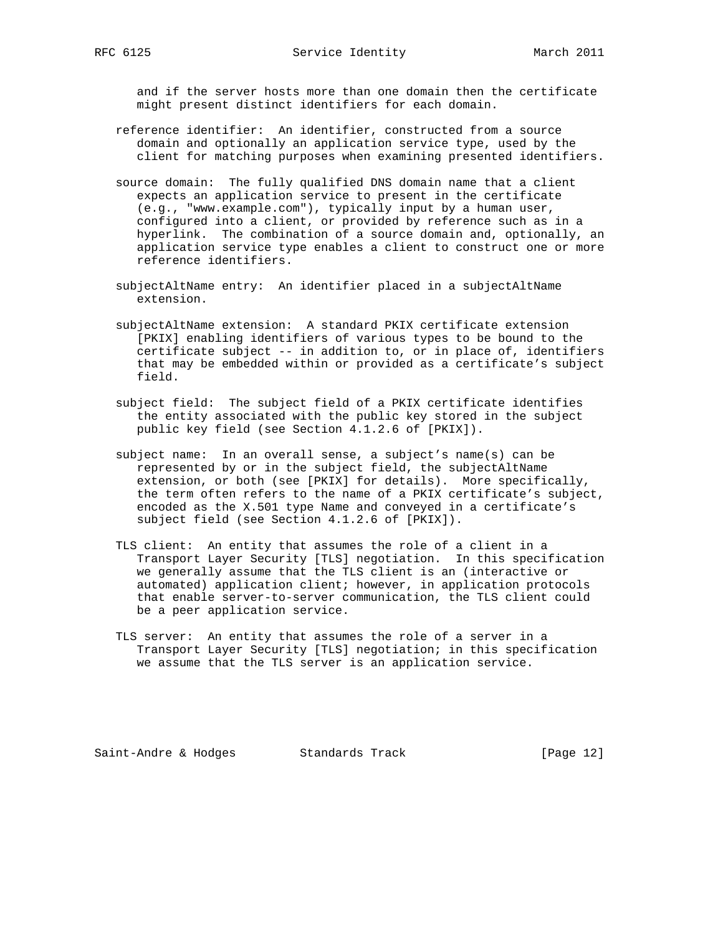and if the server hosts more than one domain then the certificate might present distinct identifiers for each domain.

- reference identifier: An identifier, constructed from a source domain and optionally an application service type, used by the client for matching purposes when examining presented identifiers.
- source domain: The fully qualified DNS domain name that a client expects an application service to present in the certificate (e.g., "www.example.com"), typically input by a human user, configured into a client, or provided by reference such as in a hyperlink. The combination of a source domain and, optionally, an application service type enables a client to construct one or more reference identifiers.
- subjectAltName entry: An identifier placed in a subjectAltName extension.
- subjectAltName extension: A standard PKIX certificate extension [PKIX] enabling identifiers of various types to be bound to the certificate subject -- in addition to, or in place of, identifiers that may be embedded within or provided as a certificate's subject field.
- subject field: The subject field of a PKIX certificate identifies the entity associated with the public key stored in the subject public key field (see Section 4.1.2.6 of [PKIX]).
- subject name: In an overall sense, a subject's name(s) can be represented by or in the subject field, the subjectAltName extension, or both (see [PKIX] for details). More specifically, the term often refers to the name of a PKIX certificate's subject, encoded as the X.501 type Name and conveyed in a certificate's subject field (see Section 4.1.2.6 of [PKIX]).
- TLS client: An entity that assumes the role of a client in a Transport Layer Security [TLS] negotiation. In this specification we generally assume that the TLS client is an (interactive or automated) application client; however, in application protocols that enable server-to-server communication, the TLS client could be a peer application service.
- TLS server: An entity that assumes the role of a server in a Transport Layer Security [TLS] negotiation; in this specification we assume that the TLS server is an application service.

Saint-Andre & Hodges Standards Track [Page 12]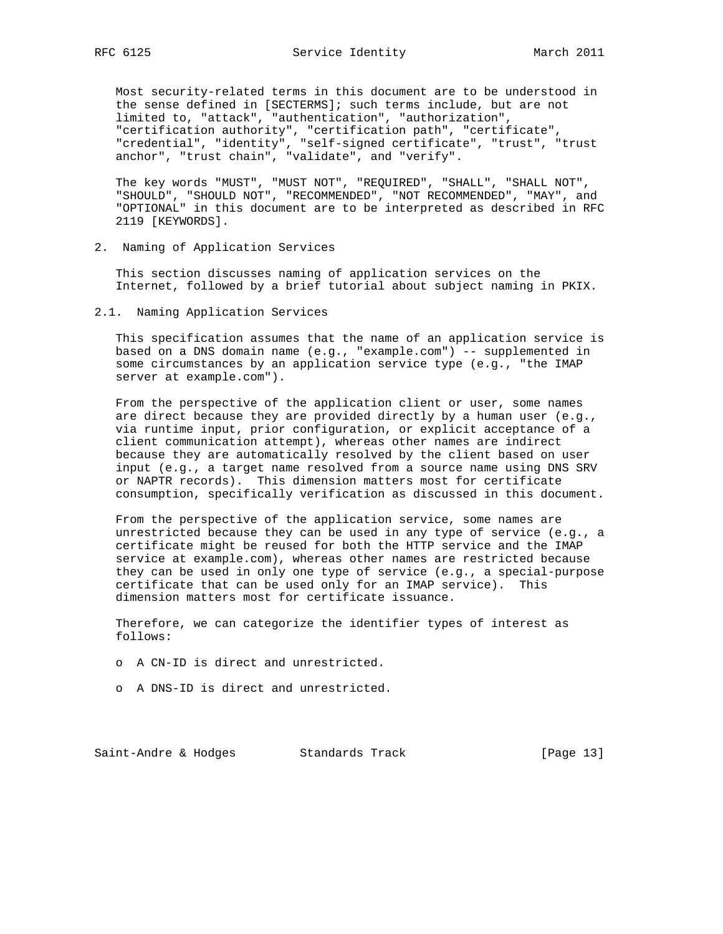Most security-related terms in this document are to be understood in the sense defined in [SECTERMS]; such terms include, but are not limited to, "attack", "authentication", "authorization", "certification authority", "certification path", "certificate", "credential", "identity", "self-signed certificate", "trust", "trust anchor", "trust chain", "validate", and "verify".

 The key words "MUST", "MUST NOT", "REQUIRED", "SHALL", "SHALL NOT", "SHOULD", "SHOULD NOT", "RECOMMENDED", "NOT RECOMMENDED", "MAY", and "OPTIONAL" in this document are to be interpreted as described in RFC 2119 [KEYWORDS].

2. Naming of Application Services

 This section discusses naming of application services on the Internet, followed by a brief tutorial about subject naming in PKIX.

2.1. Naming Application Services

 This specification assumes that the name of an application service is based on a DNS domain name (e.g., "example.com") -- supplemented in some circumstances by an application service type (e.g., "the IMAP server at example.com").

 From the perspective of the application client or user, some names are direct because they are provided directly by a human user (e.g., via runtime input, prior configuration, or explicit acceptance of a client communication attempt), whereas other names are indirect because they are automatically resolved by the client based on user input (e.g., a target name resolved from a source name using DNS SRV or NAPTR records). This dimension matters most for certificate consumption, specifically verification as discussed in this document.

 From the perspective of the application service, some names are unrestricted because they can be used in any type of service (e.g., a certificate might be reused for both the HTTP service and the IMAP service at example.com), whereas other names are restricted because they can be used in only one type of service (e.g., a special-purpose certificate that can be used only for an IMAP service). This dimension matters most for certificate issuance.

 Therefore, we can categorize the identifier types of interest as follows:

- o A CN-ID is direct and unrestricted.
- o A DNS-ID is direct and unrestricted.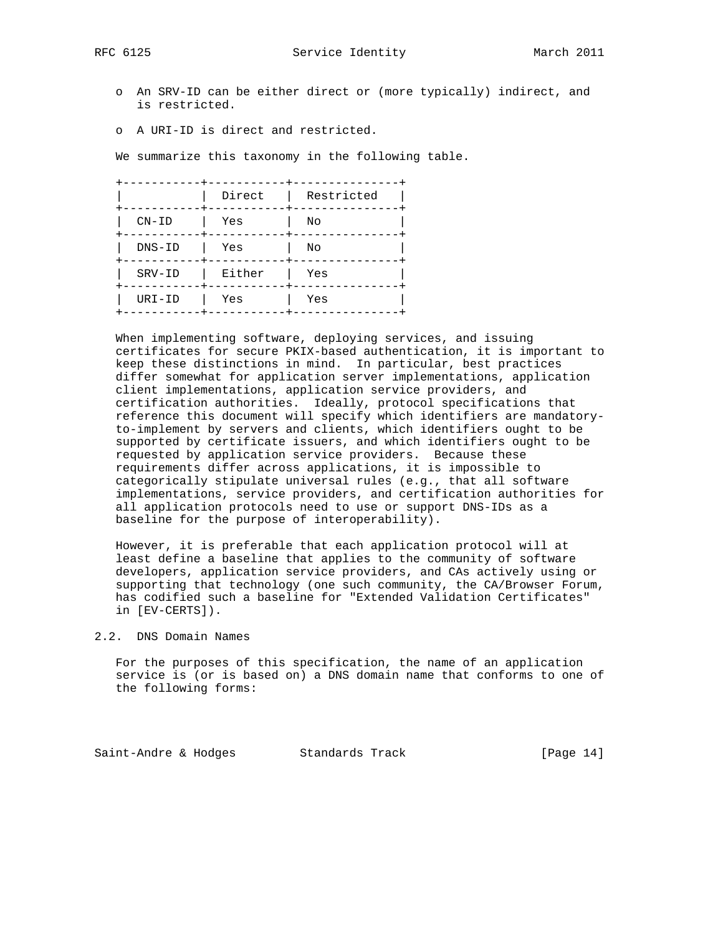RFC 6125 Service Identity March 2011

- o An SRV-ID can be either direct or (more typically) indirect, and is restricted.
- o A URI-ID is direct and restricted.

We summarize this taxonomy in the following table.

|          | Direct | Restricted |
|----------|--------|------------|
| $CN-ID$  | Yes    | No         |
| $DNS-ID$ | Yes    | No         |
| SRV-ID   | Either | Yes        |
| URI-ID   | Yes    | Yes        |
|          |        |            |

 When implementing software, deploying services, and issuing certificates for secure PKIX-based authentication, it is important to keep these distinctions in mind. In particular, best practices differ somewhat for application server implementations, application client implementations, application service providers, and certification authorities. Ideally, protocol specifications that reference this document will specify which identifiers are mandatory to-implement by servers and clients, which identifiers ought to be supported by certificate issuers, and which identifiers ought to be requested by application service providers. Because these requirements differ across applications, it is impossible to categorically stipulate universal rules (e.g., that all software implementations, service providers, and certification authorities for all application protocols need to use or support DNS-IDs as a baseline for the purpose of interoperability).

 However, it is preferable that each application protocol will at least define a baseline that applies to the community of software developers, application service providers, and CAs actively using or supporting that technology (one such community, the CA/Browser Forum, has codified such a baseline for "Extended Validation Certificates" in [EV-CERTS]).

### 2.2. DNS Domain Names

 For the purposes of this specification, the name of an application service is (or is based on) a DNS domain name that conforms to one of the following forms:

Saint-Andre & Hodges Standards Track [Page 14]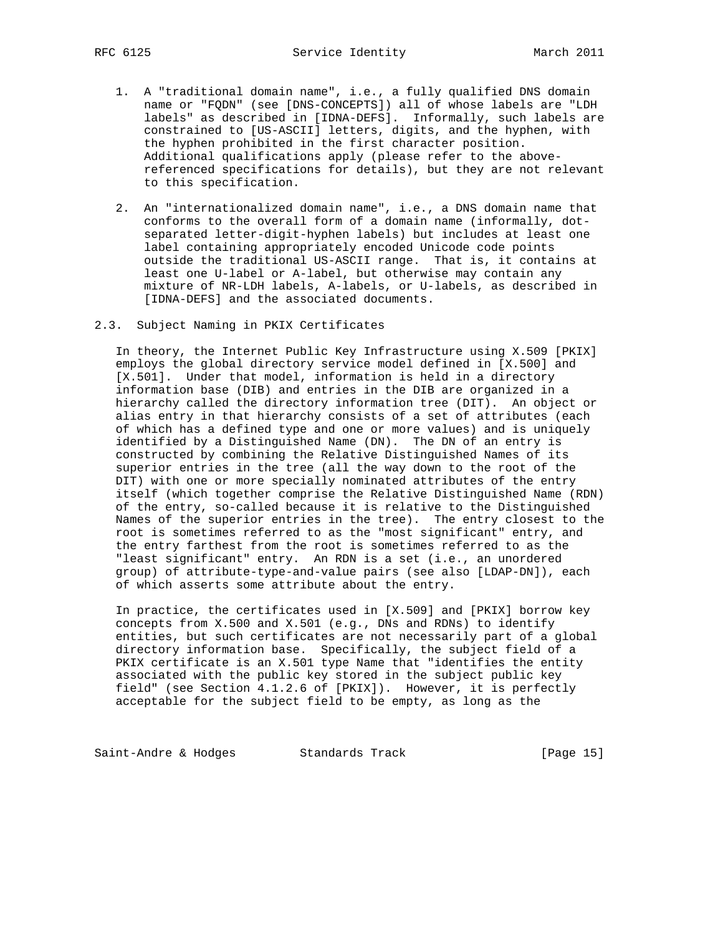- 1. A "traditional domain name", i.e., a fully qualified DNS domain name or "FQDN" (see [DNS-CONCEPTS]) all of whose labels are "LDH labels" as described in [IDNA-DEFS]. Informally, such labels are constrained to [US-ASCII] letters, digits, and the hyphen, with the hyphen prohibited in the first character position. Additional qualifications apply (please refer to the above referenced specifications for details), but they are not relevant to this specification.
- 2. An "internationalized domain name", i.e., a DNS domain name that conforms to the overall form of a domain name (informally, dot separated letter-digit-hyphen labels) but includes at least one label containing appropriately encoded Unicode code points outside the traditional US-ASCII range. That is, it contains at least one U-label or A-label, but otherwise may contain any mixture of NR-LDH labels, A-labels, or U-labels, as described in [IDNA-DEFS] and the associated documents.
- 2.3. Subject Naming in PKIX Certificates

 In theory, the Internet Public Key Infrastructure using X.509 [PKIX] employs the global directory service model defined in [X.500] and [X.501]. Under that model, information is held in a directory information base (DIB) and entries in the DIB are organized in a hierarchy called the directory information tree (DIT). An object or alias entry in that hierarchy consists of a set of attributes (each of which has a defined type and one or more values) and is uniquely identified by a Distinguished Name (DN). The DN of an entry is constructed by combining the Relative Distinguished Names of its superior entries in the tree (all the way down to the root of the DIT) with one or more specially nominated attributes of the entry itself (which together comprise the Relative Distinguished Name (RDN) of the entry, so-called because it is relative to the Distinguished Names of the superior entries in the tree). The entry closest to the root is sometimes referred to as the "most significant" entry, and the entry farthest from the root is sometimes referred to as the "least significant" entry. An RDN is a set (i.e., an unordered group) of attribute-type-and-value pairs (see also [LDAP-DN]), each of which asserts some attribute about the entry.

 In practice, the certificates used in [X.509] and [PKIX] borrow key concepts from X.500 and X.501 (e.g., DNs and RDNs) to identify entities, but such certificates are not necessarily part of a global directory information base. Specifically, the subject field of a PKIX certificate is an X.501 type Name that "identifies the entity associated with the public key stored in the subject public key field" (see Section 4.1.2.6 of [PKIX]). However, it is perfectly acceptable for the subject field to be empty, as long as the

Saint-Andre & Hodges Standards Track [Page 15]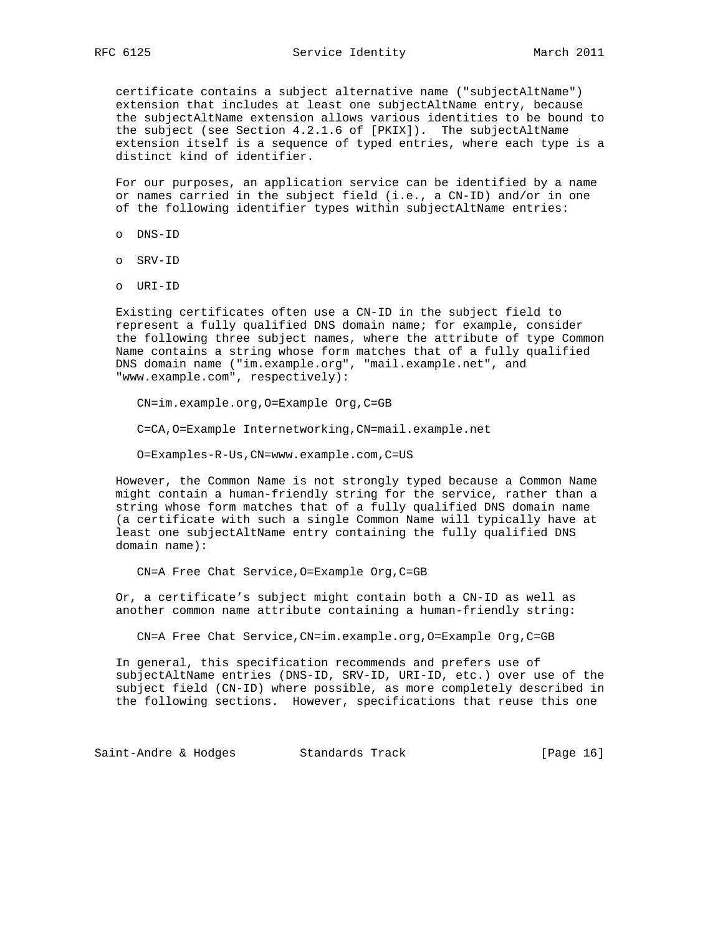certificate contains a subject alternative name ("subjectAltName") extension that includes at least one subjectAltName entry, because the subjectAltName extension allows various identities to be bound to the subject (see Section 4.2.1.6 of [PKIX]). The subjectAltName extension itself is a sequence of typed entries, where each type is a distinct kind of identifier.

 For our purposes, an application service can be identified by a name or names carried in the subject field (i.e., a CN-ID) and/or in one of the following identifier types within subjectAltName entries:

- o DNS-ID
- o SRV-ID
- o URI-ID

 Existing certificates often use a CN-ID in the subject field to represent a fully qualified DNS domain name; for example, consider the following three subject names, where the attribute of type Common Name contains a string whose form matches that of a fully qualified DNS domain name ("im.example.org", "mail.example.net", and "www.example.com", respectively):

CN=im.example.org,O=Example Org,C=GB

C=CA,O=Example Internetworking,CN=mail.example.net

O=Examples-R-Us,CN=www.example.com,C=US

 However, the Common Name is not strongly typed because a Common Name might contain a human-friendly string for the service, rather than a string whose form matches that of a fully qualified DNS domain name (a certificate with such a single Common Name will typically have at least one subjectAltName entry containing the fully qualified DNS domain name):

CN=A Free Chat Service,O=Example Org,C=GB

 Or, a certificate's subject might contain both a CN-ID as well as another common name attribute containing a human-friendly string:

CN=A Free Chat Service,CN=im.example.org,O=Example Org,C=GB

 In general, this specification recommends and prefers use of subjectAltName entries (DNS-ID, SRV-ID, URI-ID, etc.) over use of the subject field (CN-ID) where possible, as more completely described in the following sections. However, specifications that reuse this one

Saint-Andre & Hodges Standards Track [Page 16]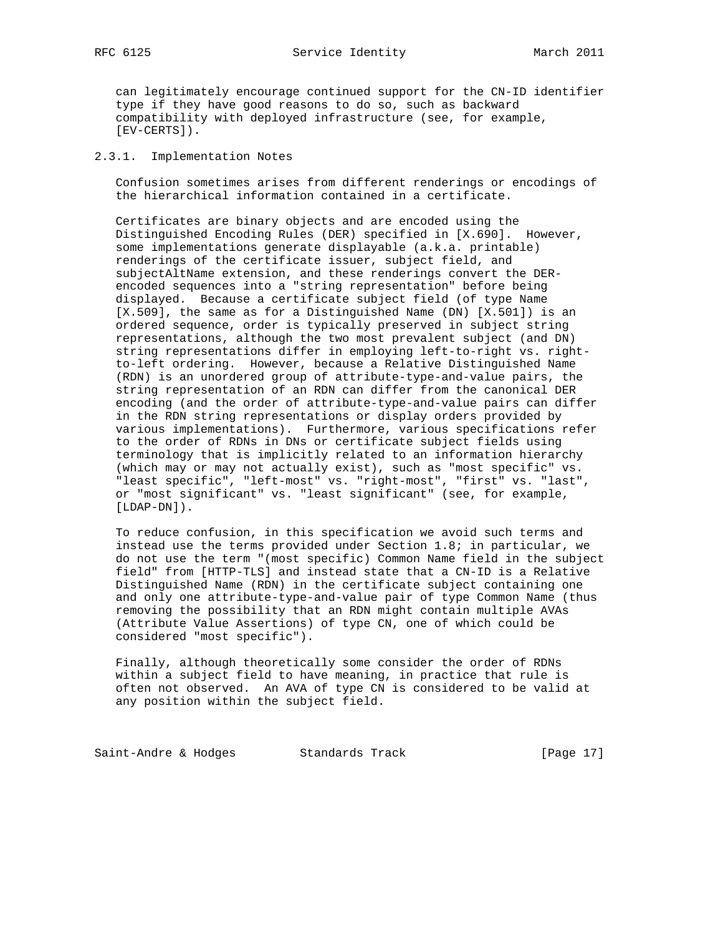can legitimately encourage continued support for the CN-ID identifier type if they have good reasons to do so, such as backward compatibility with deployed infrastructure (see, for example, [EV-CERTS]).

# 2.3.1. Implementation Notes

 Confusion sometimes arises from different renderings or encodings of the hierarchical information contained in a certificate.

 Certificates are binary objects and are encoded using the Distinguished Encoding Rules (DER) specified in [X.690]. However, some implementations generate displayable (a.k.a. printable) renderings of the certificate issuer, subject field, and subjectAltName extension, and these renderings convert the DER encoded sequences into a "string representation" before being displayed. Because a certificate subject field (of type Name [X.509], the same as for a Distinguished Name (DN) [X.501]) is an ordered sequence, order is typically preserved in subject string representations, although the two most prevalent subject (and DN) string representations differ in employing left-to-right vs. right to-left ordering. However, because a Relative Distinguished Name (RDN) is an unordered group of attribute-type-and-value pairs, the string representation of an RDN can differ from the canonical DER encoding (and the order of attribute-type-and-value pairs can differ in the RDN string representations or display orders provided by various implementations). Furthermore, various specifications refer to the order of RDNs in DNs or certificate subject fields using terminology that is implicitly related to an information hierarchy (which may or may not actually exist), such as "most specific" vs. "least specific", "left-most" vs. "right-most", "first" vs. "last", or "most significant" vs. "least significant" (see, for example, [LDAP-DN]).

 To reduce confusion, in this specification we avoid such terms and instead use the terms provided under Section 1.8; in particular, we do not use the term "(most specific) Common Name field in the subject field" from [HTTP-TLS] and instead state that a CN-ID is a Relative Distinguished Name (RDN) in the certificate subject containing one and only one attribute-type-and-value pair of type Common Name (thus removing the possibility that an RDN might contain multiple AVAs (Attribute Value Assertions) of type CN, one of which could be considered "most specific").

 Finally, although theoretically some consider the order of RDNs within a subject field to have meaning, in practice that rule is often not observed. An AVA of type CN is considered to be valid at any position within the subject field.

Saint-Andre & Hodges Standards Track [Page 17]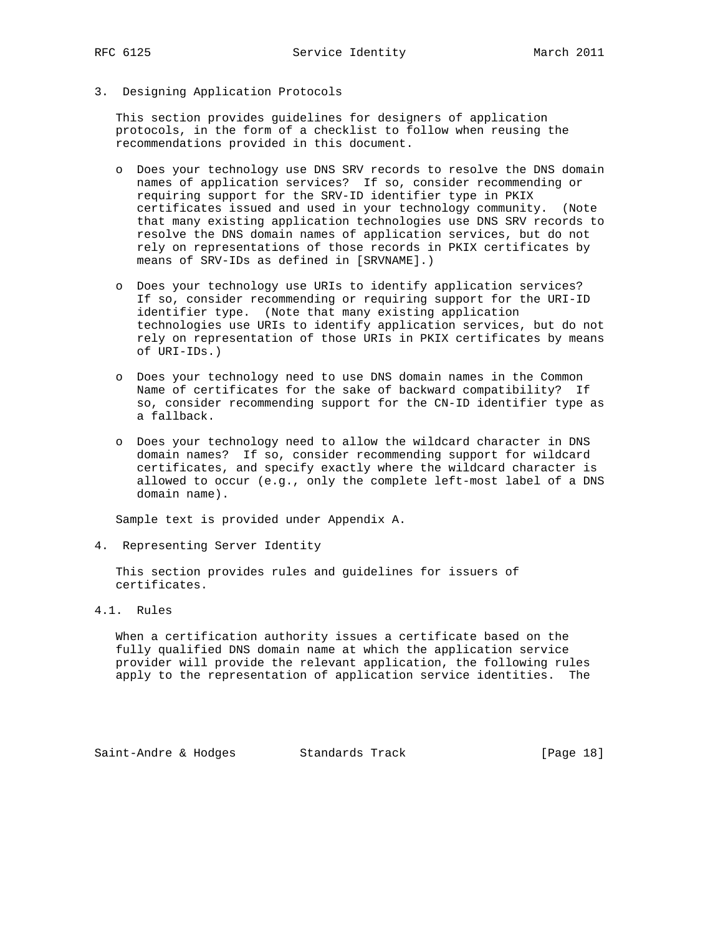3. Designing Application Protocols

 This section provides guidelines for designers of application protocols, in the form of a checklist to follow when reusing the recommendations provided in this document.

- o Does your technology use DNS SRV records to resolve the DNS domain names of application services? If so, consider recommending or requiring support for the SRV-ID identifier type in PKIX certificates issued and used in your technology community. (Note that many existing application technologies use DNS SRV records to resolve the DNS domain names of application services, but do not rely on representations of those records in PKIX certificates by means of SRV-IDs as defined in [SRVNAME].)
- o Does your technology use URIs to identify application services? If so, consider recommending or requiring support for the URI-ID identifier type. (Note that many existing application technologies use URIs to identify application services, but do not rely on representation of those URIs in PKIX certificates by means of URI-IDs.)
- o Does your technology need to use DNS domain names in the Common Name of certificates for the sake of backward compatibility? If so, consider recommending support for the CN-ID identifier type as a fallback.
- o Does your technology need to allow the wildcard character in DNS domain names? If so, consider recommending support for wildcard certificates, and specify exactly where the wildcard character is allowed to occur (e.g., only the complete left-most label of a DNS domain name).

Sample text is provided under Appendix A.

4. Representing Server Identity

 This section provides rules and guidelines for issuers of certificates.

4.1. Rules

 When a certification authority issues a certificate based on the fully qualified DNS domain name at which the application service provider will provide the relevant application, the following rules apply to the representation of application service identities. The

Saint-Andre & Hodges Standards Track [Page 18]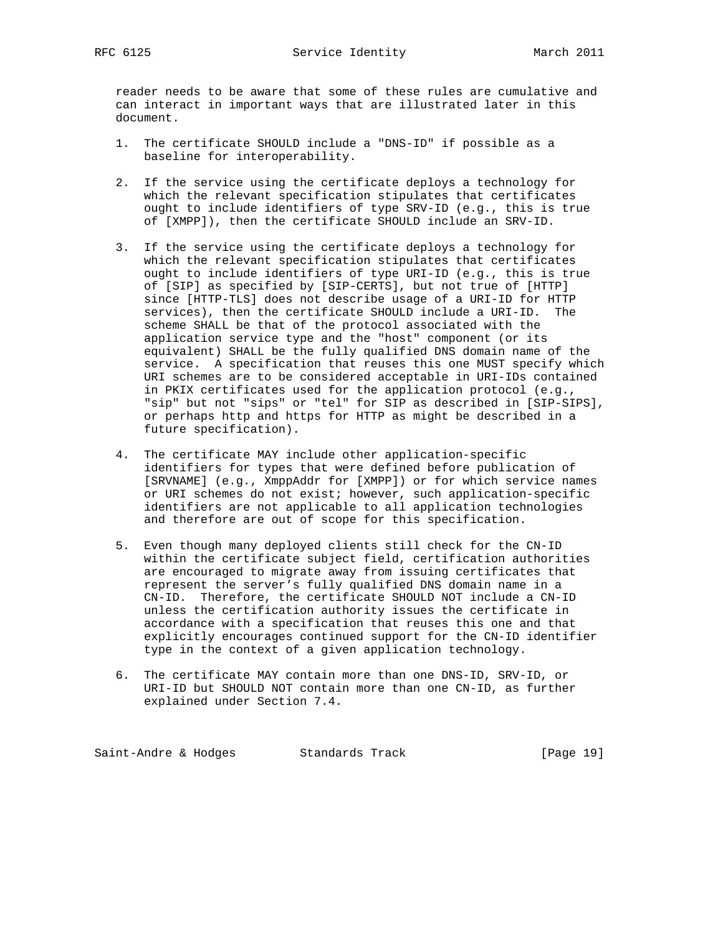reader needs to be aware that some of these rules are cumulative and can interact in important ways that are illustrated later in this document.

- 1. The certificate SHOULD include a "DNS-ID" if possible as a baseline for interoperability.
- 2. If the service using the certificate deploys a technology for which the relevant specification stipulates that certificates ought to include identifiers of type SRV-ID (e.g., this is true of [XMPP]), then the certificate SHOULD include an SRV-ID.
- 3. If the service using the certificate deploys a technology for which the relevant specification stipulates that certificates ought to include identifiers of type URI-ID (e.g., this is true of [SIP] as specified by [SIP-CERTS], but not true of [HTTP] since [HTTP-TLS] does not describe usage of a URI-ID for HTTP services), then the certificate SHOULD include a URI-ID. The scheme SHALL be that of the protocol associated with the application service type and the "host" component (or its equivalent) SHALL be the fully qualified DNS domain name of the service. A specification that reuses this one MUST specify which URI schemes are to be considered acceptable in URI-IDs contained in PKIX certificates used for the application protocol (e.g., "sip" but not "sips" or "tel" for SIP as described in [SIP-SIPS], or perhaps http and https for HTTP as might be described in a future specification).
- 4. The certificate MAY include other application-specific identifiers for types that were defined before publication of [SRVNAME] (e.g., XmppAddr for [XMPP]) or for which service names or URI schemes do not exist; however, such application-specific identifiers are not applicable to all application technologies and therefore are out of scope for this specification.
- 5. Even though many deployed clients still check for the CN-ID within the certificate subject field, certification authorities are encouraged to migrate away from issuing certificates that represent the server's fully qualified DNS domain name in a CN-ID. Therefore, the certificate SHOULD NOT include a CN-ID unless the certification authority issues the certificate in accordance with a specification that reuses this one and that explicitly encourages continued support for the CN-ID identifier type in the context of a given application technology.
- 6. The certificate MAY contain more than one DNS-ID, SRV-ID, or URI-ID but SHOULD NOT contain more than one CN-ID, as further explained under Section 7.4.

Saint-Andre & Hodges Standards Track [Page 19]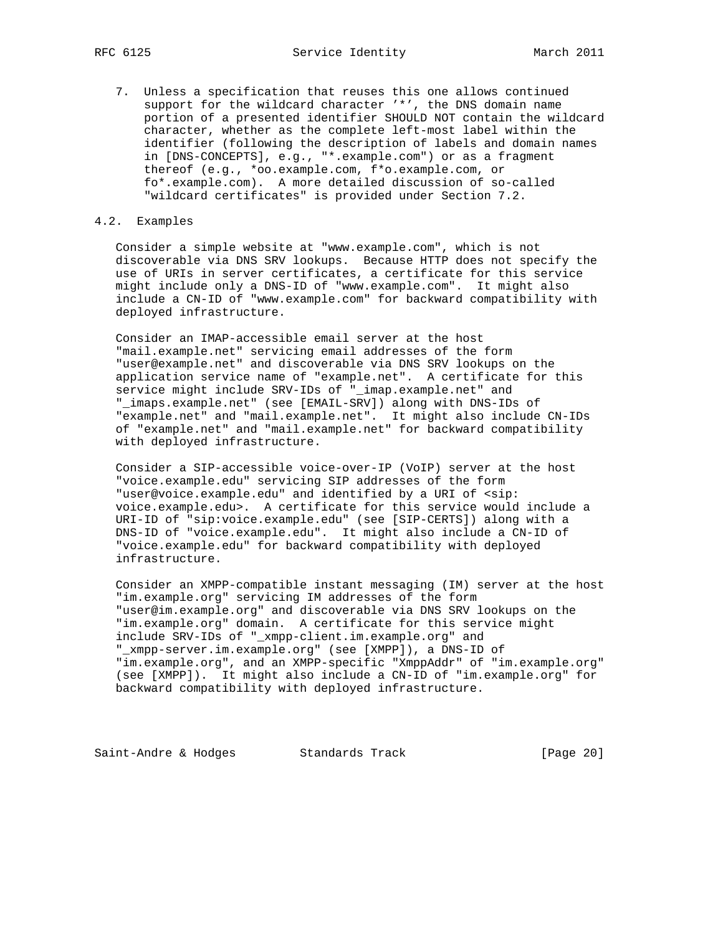7. Unless a specification that reuses this one allows continued support for the wildcard character '\*', the DNS domain name portion of a presented identifier SHOULD NOT contain the wildcard character, whether as the complete left-most label within the identifier (following the description of labels and domain names in [DNS-CONCEPTS], e.g., "\*.example.com") or as a fragment thereof (e.g., \*oo.example.com, f\*o.example.com, or fo\*.example.com). A more detailed discussion of so-called "wildcard certificates" is provided under Section 7.2.

#### 4.2. Examples

 Consider a simple website at "www.example.com", which is not discoverable via DNS SRV lookups. Because HTTP does not specify the use of URIs in server certificates, a certificate for this service might include only a DNS-ID of "www.example.com". It might also include a CN-ID of "www.example.com" for backward compatibility with deployed infrastructure.

 Consider an IMAP-accessible email server at the host "mail.example.net" servicing email addresses of the form "user@example.net" and discoverable via DNS SRV lookups on the application service name of "example.net". A certificate for this service might include SRV-IDs of "\_imap.example.net" and "\_imaps.example.net" (see [EMAIL-SRV]) along with DNS-IDs of "example.net" and "mail.example.net". It might also include CN-IDs of "example.net" and "mail.example.net" for backward compatibility with deployed infrastructure.

 Consider a SIP-accessible voice-over-IP (VoIP) server at the host "voice.example.edu" servicing SIP addresses of the form "user@voice.example.edu" and identified by a URI of <sip: voice.example.edu>. A certificate for this service would include a URI-ID of "sip:voice.example.edu" (see [SIP-CERTS]) along with a DNS-ID of "voice.example.edu". It might also include a CN-ID of "voice.example.edu" for backward compatibility with deployed infrastructure.

 Consider an XMPP-compatible instant messaging (IM) server at the host "im.example.org" servicing IM addresses of the form "user@im.example.org" and discoverable via DNS SRV lookups on the "im.example.org" domain. A certificate for this service might include SRV-IDs of "\_xmpp-client.im.example.org" and "\_xmpp-server.im.example.org" (see [XMPP]), a DNS-ID of "im.example.org", and an XMPP-specific "XmppAddr" of "im.example.org" (see [XMPP]). It might also include a CN-ID of "im.example.org" for backward compatibility with deployed infrastructure.

Saint-Andre & Hodges Standards Track [Page 20]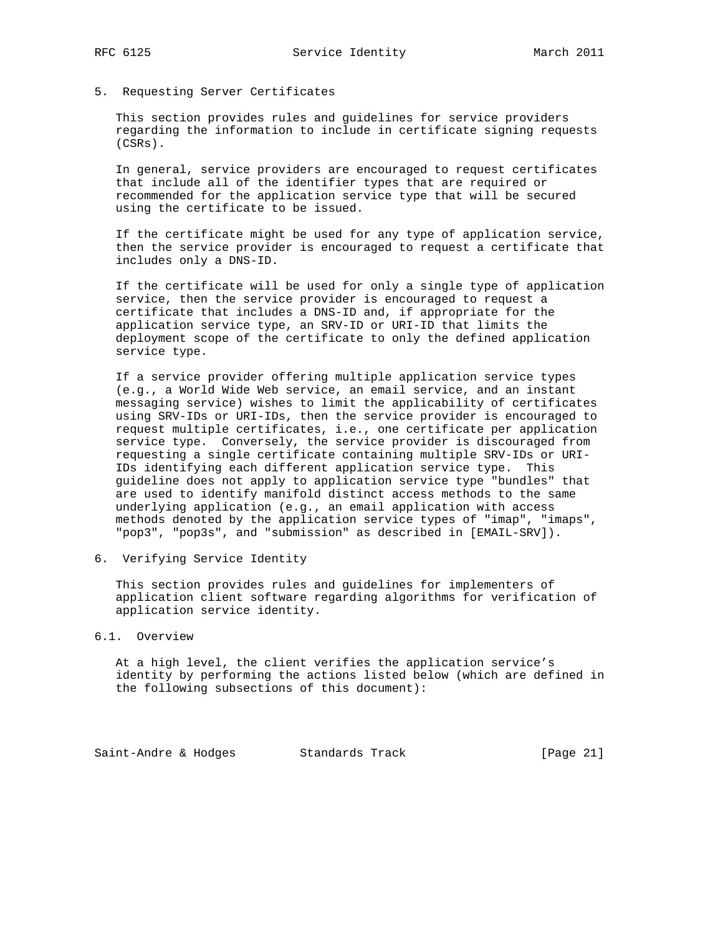5. Requesting Server Certificates

 This section provides rules and guidelines for service providers regarding the information to include in certificate signing requests (CSRs).

 In general, service providers are encouraged to request certificates that include all of the identifier types that are required or recommended for the application service type that will be secured using the certificate to be issued.

 If the certificate might be used for any type of application service, then the service provider is encouraged to request a certificate that includes only a DNS-ID.

 If the certificate will be used for only a single type of application service, then the service provider is encouraged to request a certificate that includes a DNS-ID and, if appropriate for the application service type, an SRV-ID or URI-ID that limits the deployment scope of the certificate to only the defined application service type.

 If a service provider offering multiple application service types (e.g., a World Wide Web service, an email service, and an instant messaging service) wishes to limit the applicability of certificates using SRV-IDs or URI-IDs, then the service provider is encouraged to request multiple certificates, i.e., one certificate per application service type. Conversely, the service provider is discouraged from requesting a single certificate containing multiple SRV-IDs or URI- IDs identifying each different application service type. This guideline does not apply to application service type "bundles" that are used to identify manifold distinct access methods to the same underlying application (e.g., an email application with access methods denoted by the application service types of "imap", "imaps", "pop3", "pop3s", and "submission" as described in [EMAIL-SRV]).

6. Verifying Service Identity

 This section provides rules and guidelines for implementers of application client software regarding algorithms for verification of application service identity.

### 6.1. Overview

 At a high level, the client verifies the application service's identity by performing the actions listed below (which are defined in the following subsections of this document):

Saint-Andre & Hodges Standards Track [Page 21]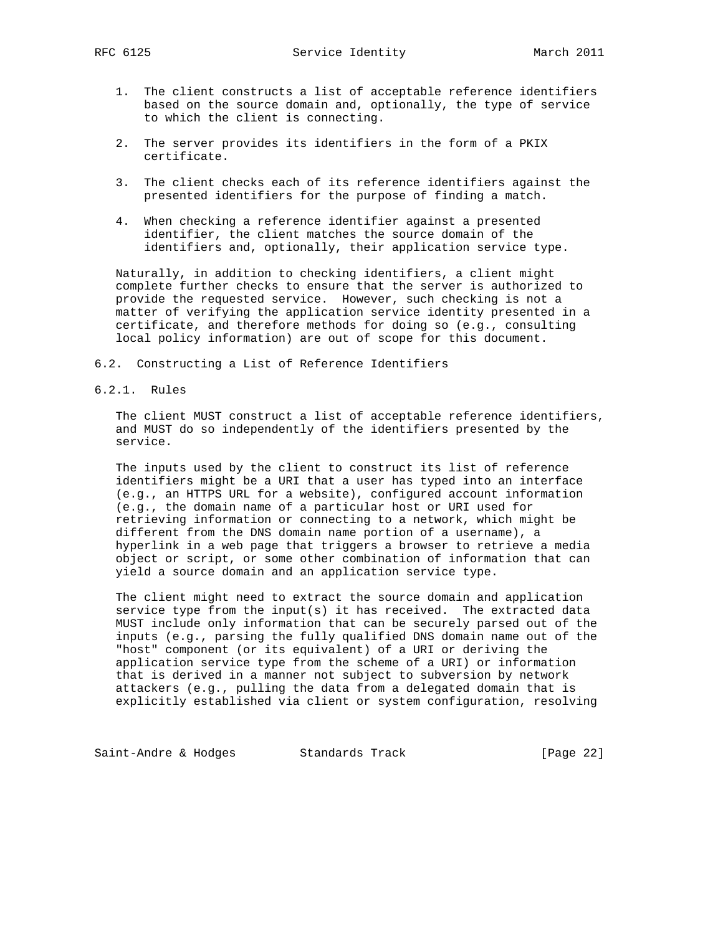- 1. The client constructs a list of acceptable reference identifiers based on the source domain and, optionally, the type of service to which the client is connecting.
- 2. The server provides its identifiers in the form of a PKIX certificate.
- 3. The client checks each of its reference identifiers against the presented identifiers for the purpose of finding a match.
- 4. When checking a reference identifier against a presented identifier, the client matches the source domain of the identifiers and, optionally, their application service type.

 Naturally, in addition to checking identifiers, a client might complete further checks to ensure that the server is authorized to provide the requested service. However, such checking is not a matter of verifying the application service identity presented in a certificate, and therefore methods for doing so (e.g., consulting local policy information) are out of scope for this document.

- 6.2. Constructing a List of Reference Identifiers
- 6.2.1. Rules

 The client MUST construct a list of acceptable reference identifiers, and MUST do so independently of the identifiers presented by the service.

 The inputs used by the client to construct its list of reference identifiers might be a URI that a user has typed into an interface (e.g., an HTTPS URL for a website), configured account information (e.g., the domain name of a particular host or URI used for retrieving information or connecting to a network, which might be different from the DNS domain name portion of a username), a hyperlink in a web page that triggers a browser to retrieve a media object or script, or some other combination of information that can yield a source domain and an application service type.

 The client might need to extract the source domain and application service type from the input(s) it has received. The extracted data MUST include only information that can be securely parsed out of the inputs (e.g., parsing the fully qualified DNS domain name out of the "host" component (or its equivalent) of a URI or deriving the application service type from the scheme of a URI) or information that is derived in a manner not subject to subversion by network attackers (e.g., pulling the data from a delegated domain that is explicitly established via client or system configuration, resolving

Saint-Andre & Hodges Standards Track [Page 22]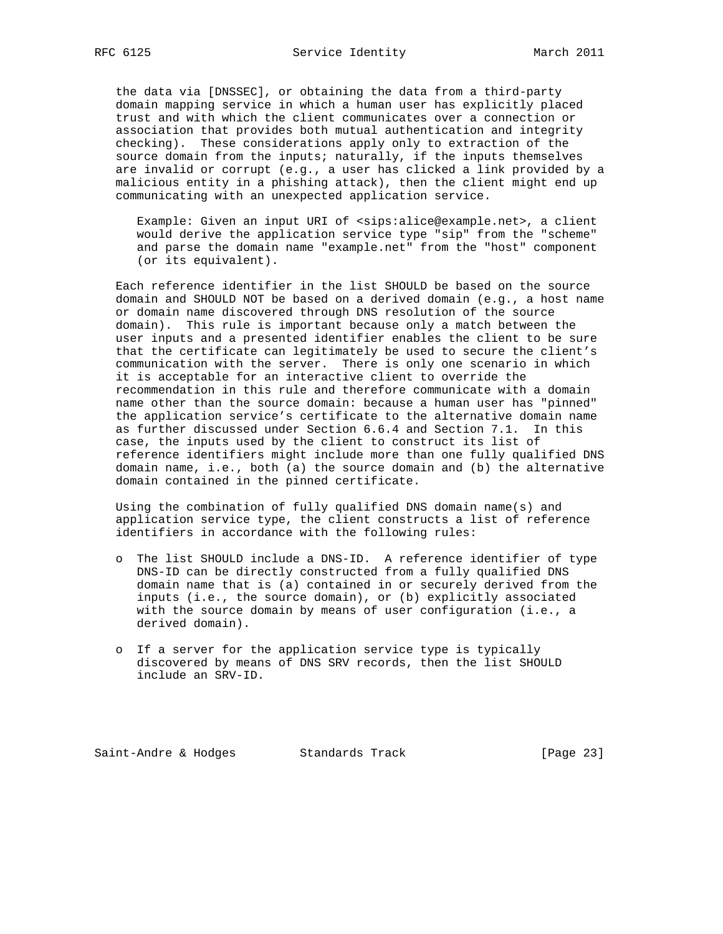the data via [DNSSEC], or obtaining the data from a third-party domain mapping service in which a human user has explicitly placed trust and with which the client communicates over a connection or association that provides both mutual authentication and integrity checking). These considerations apply only to extraction of the source domain from the inputs; naturally, if the inputs themselves are invalid or corrupt (e.g., a user has clicked a link provided by a malicious entity in a phishing attack), then the client might end up communicating with an unexpected application service.

 Example: Given an input URI of <sips:alice@example.net>, a client would derive the application service type "sip" from the "scheme" and parse the domain name "example.net" from the "host" component (or its equivalent).

 Each reference identifier in the list SHOULD be based on the source domain and SHOULD NOT be based on a derived domain (e.g., a host name or domain name discovered through DNS resolution of the source domain). This rule is important because only a match between the user inputs and a presented identifier enables the client to be sure that the certificate can legitimately be used to secure the client's communication with the server. There is only one scenario in which it is acceptable for an interactive client to override the recommendation in this rule and therefore communicate with a domain name other than the source domain: because a human user has "pinned" the application service's certificate to the alternative domain name as further discussed under Section 6.6.4 and Section 7.1. In this case, the inputs used by the client to construct its list of reference identifiers might include more than one fully qualified DNS domain name, i.e., both (a) the source domain and (b) the alternative domain contained in the pinned certificate.

 Using the combination of fully qualified DNS domain name(s) and application service type, the client constructs a list of reference identifiers in accordance with the following rules:

- o The list SHOULD include a DNS-ID. A reference identifier of type DNS-ID can be directly constructed from a fully qualified DNS domain name that is (a) contained in or securely derived from the inputs (i.e., the source domain), or (b) explicitly associated with the source domain by means of user configuration (i.e., a derived domain).
- o If a server for the application service type is typically discovered by means of DNS SRV records, then the list SHOULD include an SRV-ID.

Saint-Andre & Hodges Standards Track [Page 23]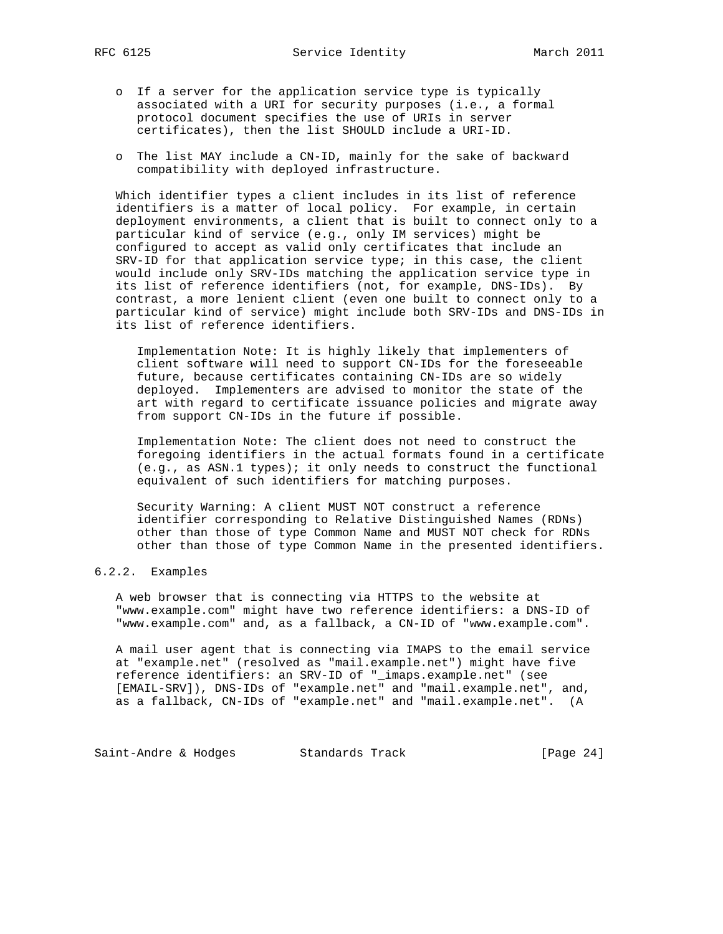- o If a server for the application service type is typically associated with a URI for security purposes (i.e., a formal protocol document specifies the use of URIs in server certificates), then the list SHOULD include a URI-ID.
- o The list MAY include a CN-ID, mainly for the sake of backward compatibility with deployed infrastructure.

 Which identifier types a client includes in its list of reference identifiers is a matter of local policy. For example, in certain deployment environments, a client that is built to connect only to a particular kind of service (e.g., only IM services) might be configured to accept as valid only certificates that include an SRV-ID for that application service type; in this case, the client would include only SRV-IDs matching the application service type in its list of reference identifiers (not, for example, DNS-IDs). By contrast, a more lenient client (even one built to connect only to a particular kind of service) might include both SRV-IDs and DNS-IDs in its list of reference identifiers.

 Implementation Note: It is highly likely that implementers of client software will need to support CN-IDs for the foreseeable future, because certificates containing CN-IDs are so widely deployed. Implementers are advised to monitor the state of the art with regard to certificate issuance policies and migrate away from support CN-IDs in the future if possible.

 Implementation Note: The client does not need to construct the foregoing identifiers in the actual formats found in a certificate (e.g., as ASN.1 types); it only needs to construct the functional equivalent of such identifiers for matching purposes.

 Security Warning: A client MUST NOT construct a reference identifier corresponding to Relative Distinguished Names (RDNs) other than those of type Common Name and MUST NOT check for RDNs other than those of type Common Name in the presented identifiers.

### 6.2.2. Examples

 A web browser that is connecting via HTTPS to the website at "www.example.com" might have two reference identifiers: a DNS-ID of "www.example.com" and, as a fallback, a CN-ID of "www.example.com".

 A mail user agent that is connecting via IMAPS to the email service at "example.net" (resolved as "mail.example.net") might have five reference identifiers: an SRV-ID of "\_imaps.example.net" (see [EMAIL-SRV]), DNS-IDs of "example.net" and "mail.example.net", and, as a fallback, CN-IDs of "example.net" and "mail.example.net". (A

Saint-Andre & Hodges Standards Track [Page 24]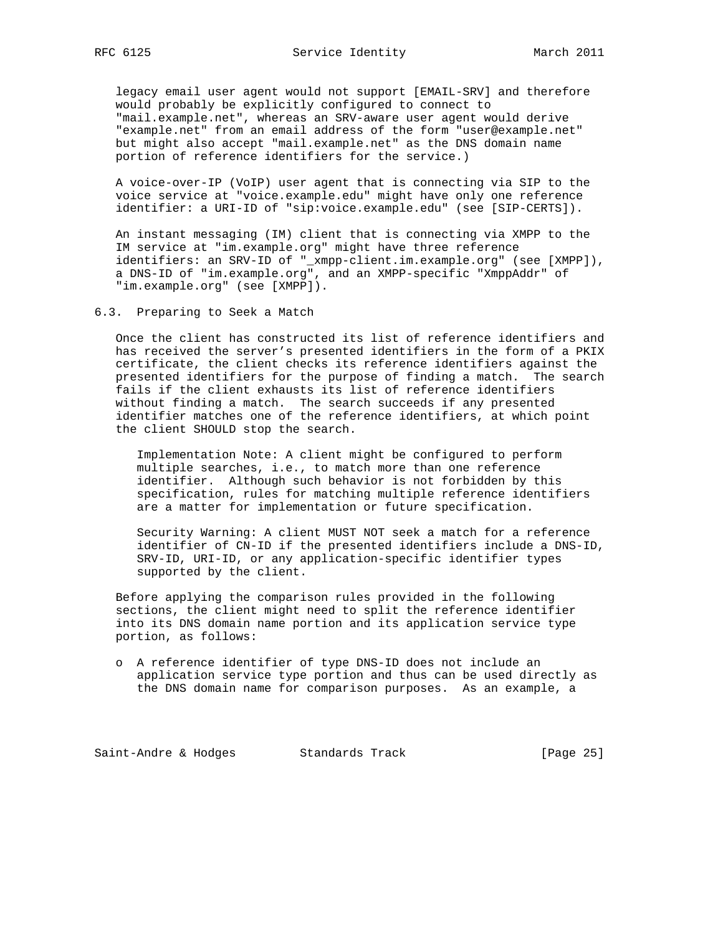legacy email user agent would not support [EMAIL-SRV] and therefore would probably be explicitly configured to connect to "mail.example.net", whereas an SRV-aware user agent would derive "example.net" from an email address of the form "user@example.net" but might also accept "mail.example.net" as the DNS domain name portion of reference identifiers for the service.)

 A voice-over-IP (VoIP) user agent that is connecting via SIP to the voice service at "voice.example.edu" might have only one reference identifier: a URI-ID of "sip:voice.example.edu" (see [SIP-CERTS]).

 An instant messaging (IM) client that is connecting via XMPP to the IM service at "im.example.org" might have three reference identifiers: an SRV-ID of "\_xmpp-client.im.example.org" (see [XMPP]), a DNS-ID of "im.example.org", and an XMPP-specific "XmppAddr" of "im.example.org" (see [XMPP]).

6.3. Preparing to Seek a Match

 Once the client has constructed its list of reference identifiers and has received the server's presented identifiers in the form of a PKIX certificate, the client checks its reference identifiers against the presented identifiers for the purpose of finding a match. The search fails if the client exhausts its list of reference identifiers without finding a match. The search succeeds if any presented identifier matches one of the reference identifiers, at which point the client SHOULD stop the search.

 Implementation Note: A client might be configured to perform multiple searches, i.e., to match more than one reference identifier. Although such behavior is not forbidden by this specification, rules for matching multiple reference identifiers are a matter for implementation or future specification.

 Security Warning: A client MUST NOT seek a match for a reference identifier of CN-ID if the presented identifiers include a DNS-ID, SRV-ID, URI-ID, or any application-specific identifier types supported by the client.

 Before applying the comparison rules provided in the following sections, the client might need to split the reference identifier into its DNS domain name portion and its application service type portion, as follows:

 o A reference identifier of type DNS-ID does not include an application service type portion and thus can be used directly as the DNS domain name for comparison purposes. As an example, a

Saint-Andre & Hodges Standards Track [Page 25]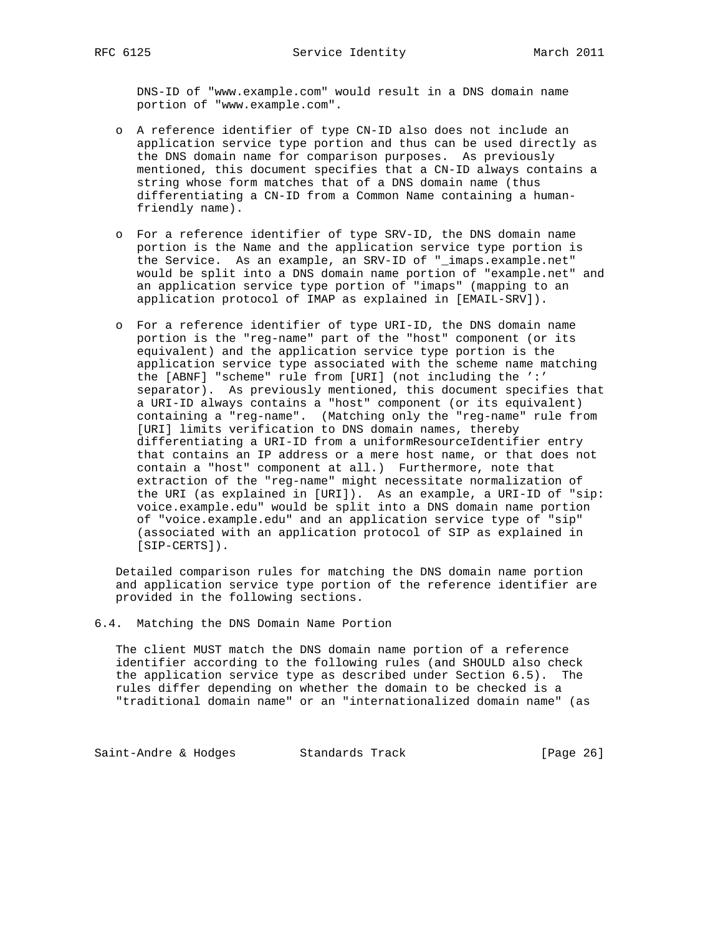DNS-ID of "www.example.com" would result in a DNS domain name portion of "www.example.com".

- o A reference identifier of type CN-ID also does not include an application service type portion and thus can be used directly as the DNS domain name for comparison purposes. As previously mentioned, this document specifies that a CN-ID always contains a string whose form matches that of a DNS domain name (thus differentiating a CN-ID from a Common Name containing a human friendly name).
- o For a reference identifier of type SRV-ID, the DNS domain name portion is the Name and the application service type portion is the Service. As an example, an SRV-ID of "\_imaps.example.net" would be split into a DNS domain name portion of "example.net" and an application service type portion of "imaps" (mapping to an application protocol of IMAP as explained in [EMAIL-SRV]).
- o For a reference identifier of type URI-ID, the DNS domain name portion is the "reg-name" part of the "host" component (or its equivalent) and the application service type portion is the application service type associated with the scheme name matching the [ABNF] "scheme" rule from [URI] (not including the ':' separator). As previously mentioned, this document specifies that a URI-ID always contains a "host" component (or its equivalent) containing a "reg-name". (Matching only the "reg-name" rule from [URI] limits verification to DNS domain names, thereby differentiating a URI-ID from a uniformResourceIdentifier entry that contains an IP address or a mere host name, or that does not contain a "host" component at all.) Furthermore, note that extraction of the "reg-name" might necessitate normalization of the URI (as explained in [URI]). As an example, a URI-ID of "sip: voice.example.edu" would be split into a DNS domain name portion of "voice.example.edu" and an application service type of "sip" (associated with an application protocol of SIP as explained in [SIP-CERTS]).

 Detailed comparison rules for matching the DNS domain name portion and application service type portion of the reference identifier are provided in the following sections.

6.4. Matching the DNS Domain Name Portion

 The client MUST match the DNS domain name portion of a reference identifier according to the following rules (and SHOULD also check the application service type as described under Section 6.5). The rules differ depending on whether the domain to be checked is a "traditional domain name" or an "internationalized domain name" (as

Saint-Andre & Hodges Standards Track [Page 26]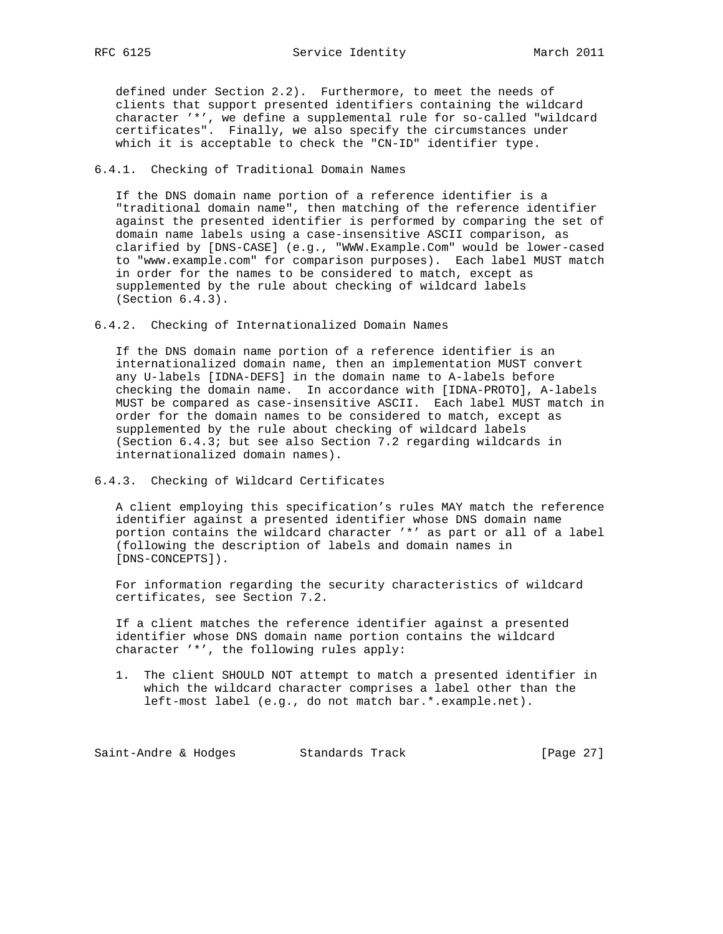defined under Section 2.2). Furthermore, to meet the needs of clients that support presented identifiers containing the wildcard character '\*', we define a supplemental rule for so-called "wildcard certificates". Finally, we also specify the circumstances under which it is acceptable to check the "CN-ID" identifier type.

### 6.4.1. Checking of Traditional Domain Names

 If the DNS domain name portion of a reference identifier is a "traditional domain name", then matching of the reference identifier against the presented identifier is performed by comparing the set of domain name labels using a case-insensitive ASCII comparison, as clarified by [DNS-CASE] (e.g., "WWW.Example.Com" would be lower-cased to "www.example.com" for comparison purposes). Each label MUST match in order for the names to be considered to match, except as supplemented by the rule about checking of wildcard labels (Section 6.4.3).

6.4.2. Checking of Internationalized Domain Names

 If the DNS domain name portion of a reference identifier is an internationalized domain name, then an implementation MUST convert any U-labels [IDNA-DEFS] in the domain name to A-labels before checking the domain name. In accordance with [IDNA-PROTO], A-labels MUST be compared as case-insensitive ASCII. Each label MUST match in order for the domain names to be considered to match, except as supplemented by the rule about checking of wildcard labels (Section 6.4.3; but see also Section 7.2 regarding wildcards in internationalized domain names).

### 6.4.3. Checking of Wildcard Certificates

 A client employing this specification's rules MAY match the reference identifier against a presented identifier whose DNS domain name portion contains the wildcard character '\*' as part or all of a label (following the description of labels and domain names in [DNS-CONCEPTS]).

 For information regarding the security characteristics of wildcard certificates, see Section 7.2.

 If a client matches the reference identifier against a presented identifier whose DNS domain name portion contains the wildcard character '\*', the following rules apply:

 1. The client SHOULD NOT attempt to match a presented identifier in which the wildcard character comprises a label other than the left-most label (e.g., do not match bar.\*.example.net).

Saint-Andre & Hodges Standards Track [Page 27]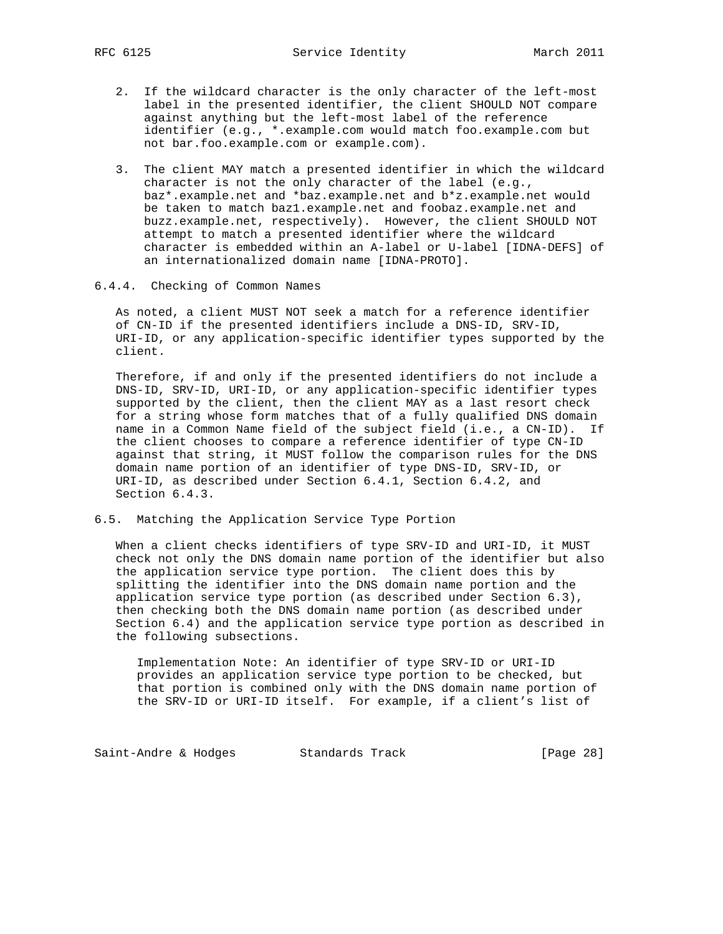- 2. If the wildcard character is the only character of the left-most label in the presented identifier, the client SHOULD NOT compare against anything but the left-most label of the reference identifier (e.g., \*.example.com would match foo.example.com but not bar.foo.example.com or example.com).
- 3. The client MAY match a presented identifier in which the wildcard character is not the only character of the label (e.g., baz\*.example.net and \*baz.example.net and b\*z.example.net would be taken to match baz1.example.net and foobaz.example.net and buzz.example.net, respectively). However, the client SHOULD NOT attempt to match a presented identifier where the wildcard character is embedded within an A-label or U-label [IDNA-DEFS] of an internationalized domain name [IDNA-PROTO].
- 6.4.4. Checking of Common Names

 As noted, a client MUST NOT seek a match for a reference identifier of CN-ID if the presented identifiers include a DNS-ID, SRV-ID, URI-ID, or any application-specific identifier types supported by the client.

 Therefore, if and only if the presented identifiers do not include a DNS-ID, SRV-ID, URI-ID, or any application-specific identifier types supported by the client, then the client MAY as a last resort check for a string whose form matches that of a fully qualified DNS domain name in a Common Name field of the subject field (i.e., a CN-ID). If the client chooses to compare a reference identifier of type CN-ID against that string, it MUST follow the comparison rules for the DNS domain name portion of an identifier of type DNS-ID, SRV-ID, or URI-ID, as described under Section 6.4.1, Section 6.4.2, and Section 6.4.3.

6.5. Matching the Application Service Type Portion

 When a client checks identifiers of type SRV-ID and URI-ID, it MUST check not only the DNS domain name portion of the identifier but also the application service type portion. The client does this by splitting the identifier into the DNS domain name portion and the application service type portion (as described under Section 6.3), then checking both the DNS domain name portion (as described under Section 6.4) and the application service type portion as described in the following subsections.

 Implementation Note: An identifier of type SRV-ID or URI-ID provides an application service type portion to be checked, but that portion is combined only with the DNS domain name portion of the SRV-ID or URI-ID itself. For example, if a client's list of

Saint-Andre & Hodges Standards Track [Page 28]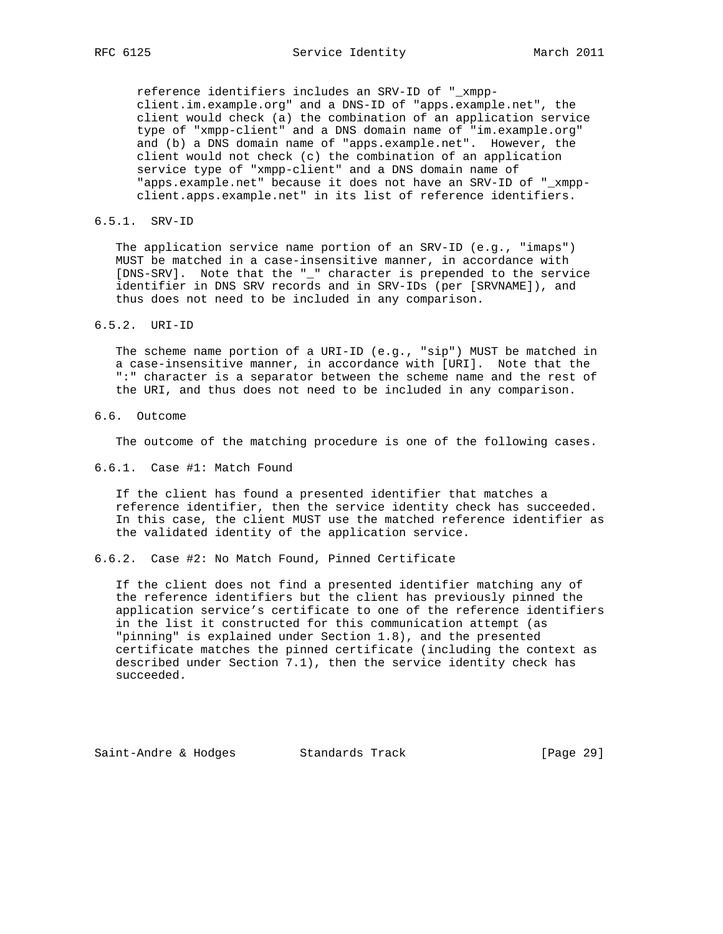reference identifiers includes an SRV-ID of "\_xmpp client.im.example.org" and a DNS-ID of "apps.example.net", the client would check (a) the combination of an application service type of "xmpp-client" and a DNS domain name of "im.example.org" and (b) a DNS domain name of "apps.example.net". However, the client would not check (c) the combination of an application service type of "xmpp-client" and a DNS domain name of "apps.example.net" because it does not have an SRV-ID of "\_xmpp client.apps.example.net" in its list of reference identifiers.

6.5.1. SRV-ID

 The application service name portion of an SRV-ID (e.g., "imaps") MUST be matched in a case-insensitive manner, in accordance with [DNS-SRV]. Note that the "\_" character is prepended to the service identifier in DNS SRV records and in SRV-IDs (per [SRVNAME]), and thus does not need to be included in any comparison.

6.5.2. URI-ID

 The scheme name portion of a URI-ID (e.g., "sip") MUST be matched in a case-insensitive manner, in accordance with [URI]. Note that the ":" character is a separator between the scheme name and the rest of the URI, and thus does not need to be included in any comparison.

6.6. Outcome

The outcome of the matching procedure is one of the following cases.

6.6.1. Case #1: Match Found

 If the client has found a presented identifier that matches a reference identifier, then the service identity check has succeeded. In this case, the client MUST use the matched reference identifier as the validated identity of the application service.

6.6.2. Case #2: No Match Found, Pinned Certificate

 If the client does not find a presented identifier matching any of the reference identifiers but the client has previously pinned the application service's certificate to one of the reference identifiers in the list it constructed for this communication attempt (as "pinning" is explained under Section 1.8), and the presented certificate matches the pinned certificate (including the context as described under Section 7.1), then the service identity check has succeeded.

Saint-Andre & Hodges Standards Track [Page 29]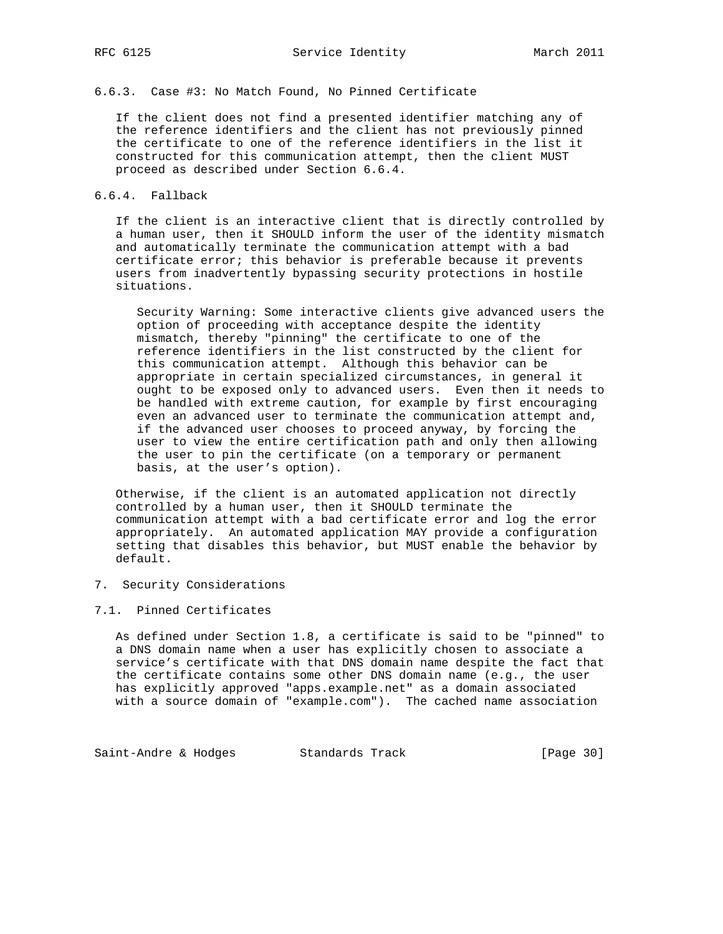6.6.3. Case #3: No Match Found, No Pinned Certificate

 If the client does not find a presented identifier matching any of the reference identifiers and the client has not previously pinned the certificate to one of the reference identifiers in the list it constructed for this communication attempt, then the client MUST proceed as described under Section 6.6.4.

### 6.6.4. Fallback

 If the client is an interactive client that is directly controlled by a human user, then it SHOULD inform the user of the identity mismatch and automatically terminate the communication attempt with a bad certificate error; this behavior is preferable because it prevents users from inadvertently bypassing security protections in hostile situations.

 Security Warning: Some interactive clients give advanced users the option of proceeding with acceptance despite the identity mismatch, thereby "pinning" the certificate to one of the reference identifiers in the list constructed by the client for this communication attempt. Although this behavior can be appropriate in certain specialized circumstances, in general it ought to be exposed only to advanced users. Even then it needs to be handled with extreme caution, for example by first encouraging even an advanced user to terminate the communication attempt and, if the advanced user chooses to proceed anyway, by forcing the user to view the entire certification path and only then allowing the user to pin the certificate (on a temporary or permanent basis, at the user's option).

 Otherwise, if the client is an automated application not directly controlled by a human user, then it SHOULD terminate the communication attempt with a bad certificate error and log the error appropriately. An automated application MAY provide a configuration setting that disables this behavior, but MUST enable the behavior by default.

#### 7. Security Considerations

### 7.1. Pinned Certificates

 As defined under Section 1.8, a certificate is said to be "pinned" to a DNS domain name when a user has explicitly chosen to associate a service's certificate with that DNS domain name despite the fact that the certificate contains some other DNS domain name (e.g., the user has explicitly approved "apps.example.net" as a domain associated with a source domain of "example.com"). The cached name association

Saint-Andre & Hodges Standards Track [Page 30]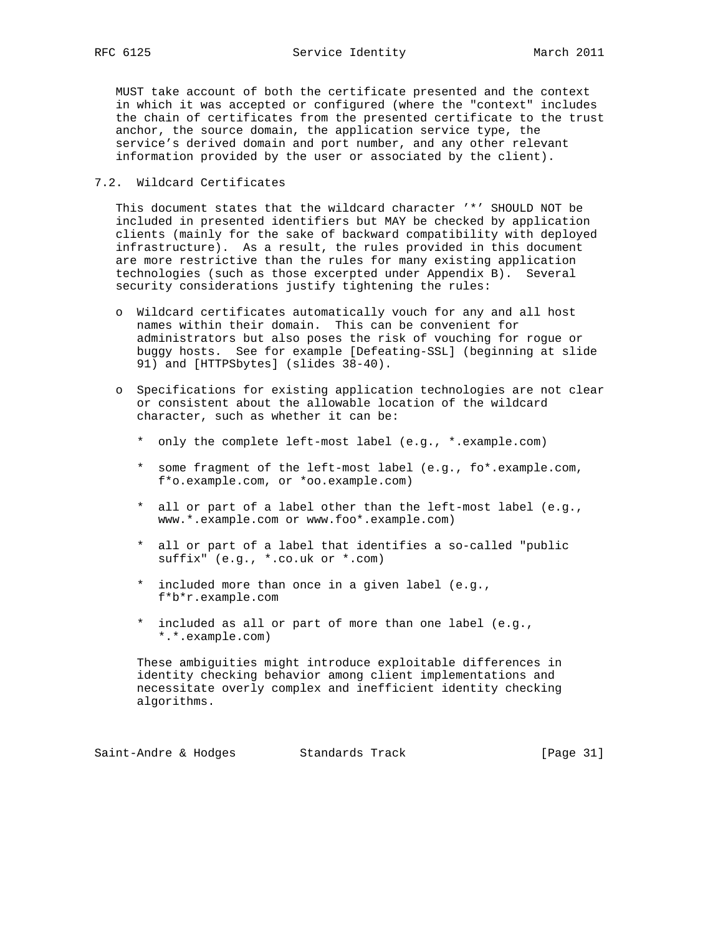MUST take account of both the certificate presented and the context in which it was accepted or configured (where the "context" includes the chain of certificates from the presented certificate to the trust anchor, the source domain, the application service type, the service's derived domain and port number, and any other relevant information provided by the user or associated by the client).

### 7.2. Wildcard Certificates

 This document states that the wildcard character '\*' SHOULD NOT be included in presented identifiers but MAY be checked by application clients (mainly for the sake of backward compatibility with deployed infrastructure). As a result, the rules provided in this document are more restrictive than the rules for many existing application technologies (such as those excerpted under Appendix B). Several security considerations justify tightening the rules:

- o Wildcard certificates automatically vouch for any and all host names within their domain. This can be convenient for administrators but also poses the risk of vouching for rogue or buggy hosts. See for example [Defeating-SSL] (beginning at slide 91) and [HTTPSbytes] (slides 38-40).
- o Specifications for existing application technologies are not clear or consistent about the allowable location of the wildcard character, such as whether it can be:
	- \* only the complete left-most label (e.g., \*.example.com)
	- \* some fragment of the left-most label (e.g., fo\*.example.com, f\*o.example.com, or \*oo.example.com)
	- \* all or part of a label other than the left-most label (e.g., www.\*.example.com or www.foo\*.example.com)
	- \* all or part of a label that identifies a so-called "public suffix" (e.g., \*.co.uk or \*.com)
	- \* included more than once in a given label (e.g., f\*b\*r.example.com
	- \* included as all or part of more than one label (e.g., \*.\*.example.com)

 These ambiguities might introduce exploitable differences in identity checking behavior among client implementations and necessitate overly complex and inefficient identity checking algorithms.

Saint-Andre & Hodges Standards Track [Page 31]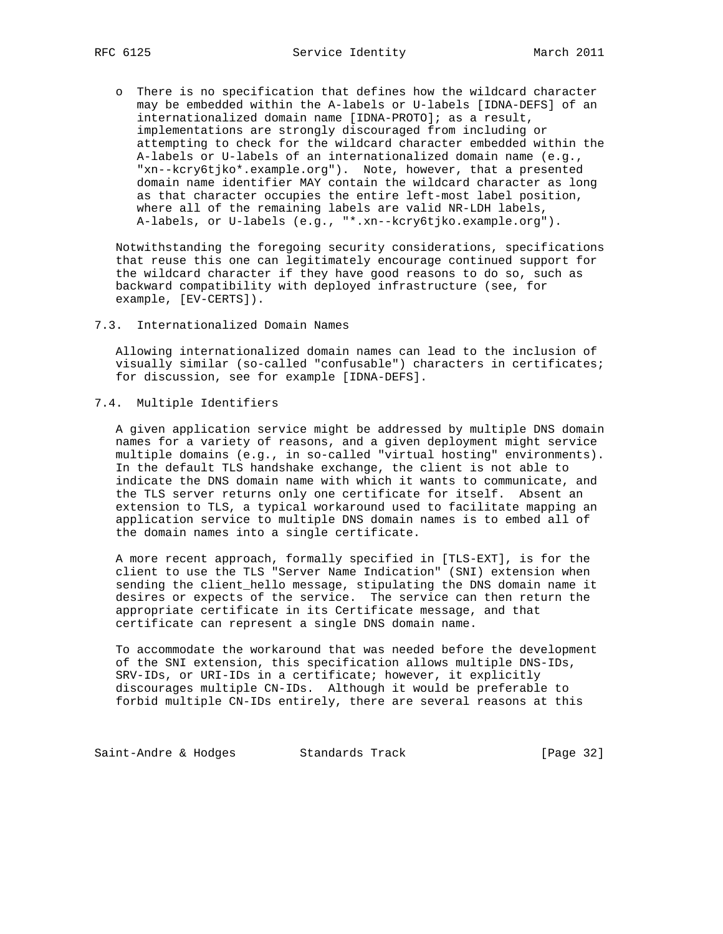o There is no specification that defines how the wildcard character may be embedded within the A-labels or U-labels [IDNA-DEFS] of an internationalized domain name [IDNA-PROTO]; as a result, implementations are strongly discouraged from including or attempting to check for the wildcard character embedded within the A-labels or U-labels of an internationalized domain name (e.g., "xn--kcry6tjko\*.example.org"). Note, however, that a presented domain name identifier MAY contain the wildcard character as long as that character occupies the entire left-most label position, where all of the remaining labels are valid NR-LDH labels, A-labels, or U-labels (e.g., "\*.xn--kcry6tjko.example.org").

 Notwithstanding the foregoing security considerations, specifications that reuse this one can legitimately encourage continued support for the wildcard character if they have good reasons to do so, such as backward compatibility with deployed infrastructure (see, for example, [EV-CERTS]).

7.3. Internationalized Domain Names

 Allowing internationalized domain names can lead to the inclusion of visually similar (so-called "confusable") characters in certificates; for discussion, see for example [IDNA-DEFS].

7.4. Multiple Identifiers

 A given application service might be addressed by multiple DNS domain names for a variety of reasons, and a given deployment might service multiple domains (e.g., in so-called "virtual hosting" environments). In the default TLS handshake exchange, the client is not able to indicate the DNS domain name with which it wants to communicate, and the TLS server returns only one certificate for itself. Absent an extension to TLS, a typical workaround used to facilitate mapping an application service to multiple DNS domain names is to embed all of the domain names into a single certificate.

 A more recent approach, formally specified in [TLS-EXT], is for the client to use the TLS "Server Name Indication" (SNI) extension when sending the client\_hello message, stipulating the DNS domain name it desires or expects of the service. The service can then return the appropriate certificate in its Certificate message, and that certificate can represent a single DNS domain name.

 To accommodate the workaround that was needed before the development of the SNI extension, this specification allows multiple DNS-IDs, SRV-IDs, or URI-IDs in a certificate; however, it explicitly discourages multiple CN-IDs. Although it would be preferable to forbid multiple CN-IDs entirely, there are several reasons at this

Saint-Andre & Hodges Standards Track [Page 32]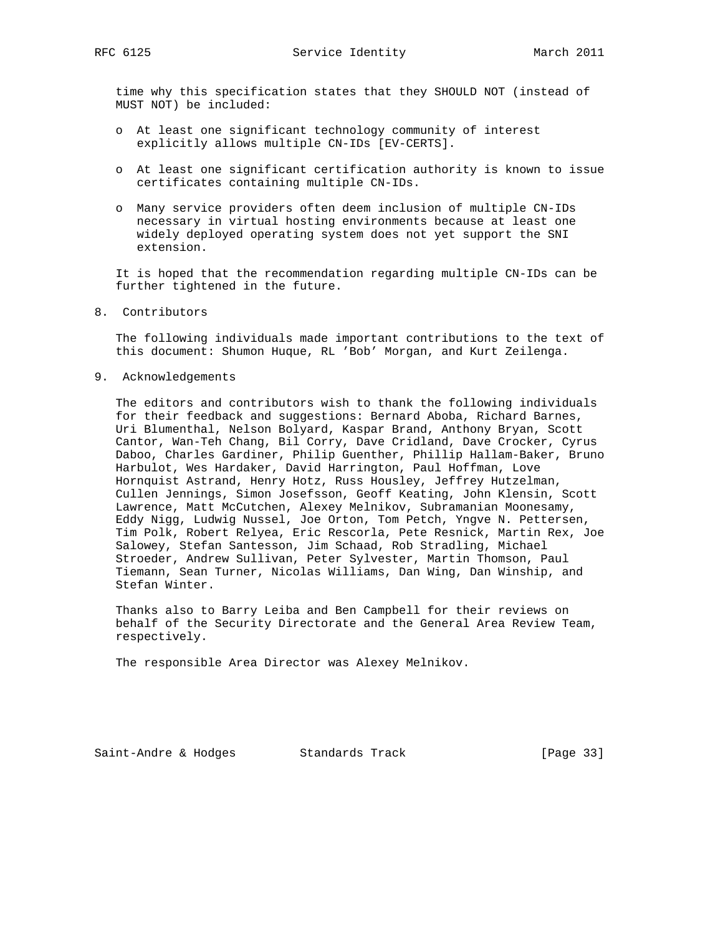time why this specification states that they SHOULD NOT (instead of MUST NOT) be included:

- o At least one significant technology community of interest explicitly allows multiple CN-IDs [EV-CERTS].
- o At least one significant certification authority is known to issue certificates containing multiple CN-IDs.
- o Many service providers often deem inclusion of multiple CN-IDs necessary in virtual hosting environments because at least one widely deployed operating system does not yet support the SNI extension.

 It is hoped that the recommendation regarding multiple CN-IDs can be further tightened in the future.

8. Contributors

 The following individuals made important contributions to the text of this document: Shumon Huque, RL 'Bob' Morgan, and Kurt Zeilenga.

9. Acknowledgements

 The editors and contributors wish to thank the following individuals for their feedback and suggestions: Bernard Aboba, Richard Barnes, Uri Blumenthal, Nelson Bolyard, Kaspar Brand, Anthony Bryan, Scott Cantor, Wan-Teh Chang, Bil Corry, Dave Cridland, Dave Crocker, Cyrus Daboo, Charles Gardiner, Philip Guenther, Phillip Hallam-Baker, Bruno Harbulot, Wes Hardaker, David Harrington, Paul Hoffman, Love Hornquist Astrand, Henry Hotz, Russ Housley, Jeffrey Hutzelman, Cullen Jennings, Simon Josefsson, Geoff Keating, John Klensin, Scott Lawrence, Matt McCutchen, Alexey Melnikov, Subramanian Moonesamy, Eddy Nigg, Ludwig Nussel, Joe Orton, Tom Petch, Yngve N. Pettersen, Tim Polk, Robert Relyea, Eric Rescorla, Pete Resnick, Martin Rex, Joe Salowey, Stefan Santesson, Jim Schaad, Rob Stradling, Michael Stroeder, Andrew Sullivan, Peter Sylvester, Martin Thomson, Paul Tiemann, Sean Turner, Nicolas Williams, Dan Wing, Dan Winship, and Stefan Winter.

 Thanks also to Barry Leiba and Ben Campbell for their reviews on behalf of the Security Directorate and the General Area Review Team, respectively.

The responsible Area Director was Alexey Melnikov.

Saint-Andre & Hodges Standards Track [Page 33]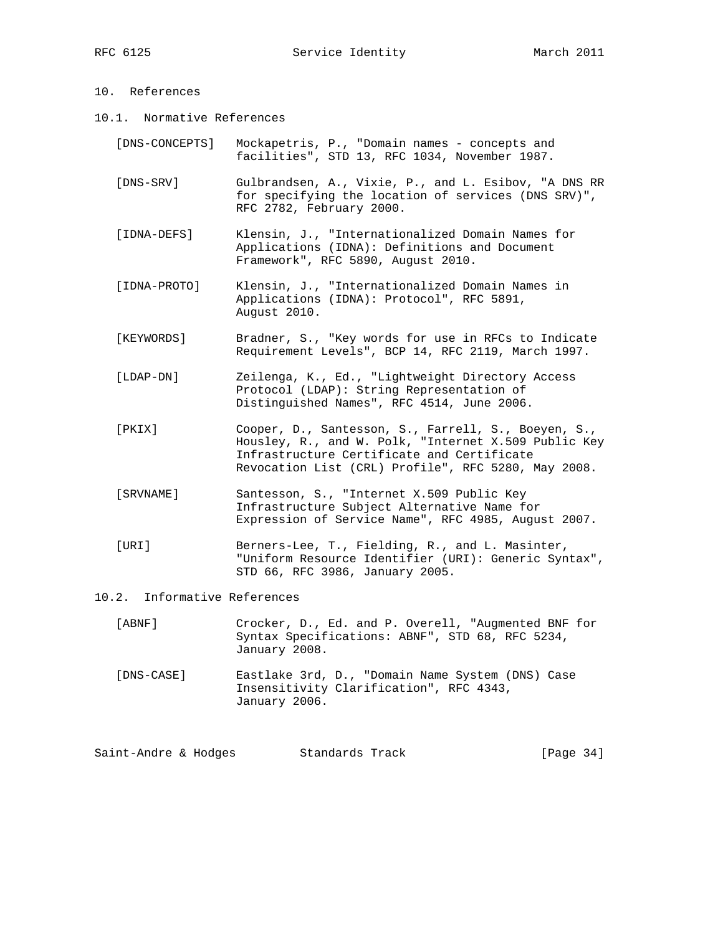# 10. References

- 10.1. Normative References
	- [DNS-CONCEPTS] Mockapetris, P., "Domain names concepts and facilities", STD 13, RFC 1034, November 1987.
	- [DNS-SRV] Gulbrandsen, A., Vixie, P., and L. Esibov, "A DNS RR for specifying the location of services (DNS SRV)", RFC 2782, February 2000.
	- [IDNA-DEFS] Klensin, J., "Internationalized Domain Names for Applications (IDNA): Definitions and Document Framework", RFC 5890, August 2010.
	- [IDNA-PROTO] Klensin, J., "Internationalized Domain Names in Applications (IDNA): Protocol", RFC 5891, August 2010.
	- [KEYWORDS] Bradner, S., "Key words for use in RFCs to Indicate Requirement Levels", BCP 14, RFC 2119, March 1997.
	- [LDAP-DN] Zeilenga, K., Ed., "Lightweight Directory Access Protocol (LDAP): String Representation of Distinguished Names", RFC 4514, June 2006.
	- [PKIX] Cooper, D., Santesson, S., Farrell, S., Boeyen, S., Housley, R., and W. Polk, "Internet X.509 Public Key Infrastructure Certificate and Certificate Revocation List (CRL) Profile", RFC 5280, May 2008.
	- [SRVNAME] Santesson, S., "Internet X.509 Public Key Infrastructure Subject Alternative Name for Expression of Service Name", RFC 4985, August 2007.
	- [URI] Berners-Lee, T., Fielding, R., and L. Masinter, "Uniform Resource Identifier (URI): Generic Syntax", STD 66, RFC 3986, January 2005.
- 10.2. Informative References
	- [ABNF] Crocker, D., Ed. and P. Overell, "Augmented BNF for Syntax Specifications: ABNF", STD 68, RFC 5234, January 2008.
	- [DNS-CASE] Eastlake 3rd, D., "Domain Name System (DNS) Case Insensitivity Clarification", RFC 4343, January 2006.

Saint-Andre & Hodges Standards Track [Page 34]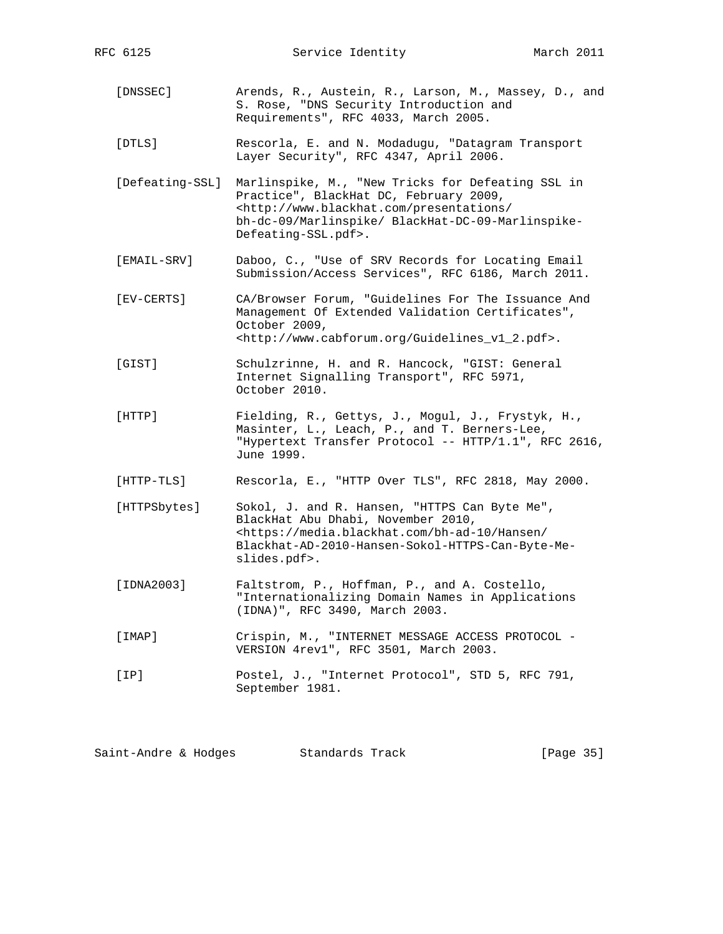- [DNSSEC] Arends, R., Austein, R., Larson, M., Massey, D., and S. Rose, "DNS Security Introduction and Requirements", RFC 4033, March 2005.
- [DTLS] Rescorla, E. and N. Modadugu, "Datagram Transport Layer Security", RFC 4347, April 2006.
- [Defeating-SSL] Marlinspike, M., "New Tricks for Defeating SSL in Practice", BlackHat DC, February 2009, <http://www.blackhat.com/presentations/ bh-dc-09/Marlinspike/ BlackHat-DC-09-Marlinspike- Defeating-SSL.pdf>.
- [EMAIL-SRV] Daboo, C., "Use of SRV Records for Locating Email Submission/Access Services", RFC 6186, March 2011.
- [EV-CERTS] CA/Browser Forum, "Guidelines For The Issuance And Management Of Extended Validation Certificates", October 2009, <http://www.cabforum.org/Guidelines\_v1\_2.pdf>.
- [GIST] Schulzrinne, H. and R. Hancock, "GIST: General Internet Signalling Transport", RFC 5971, October 2010.
- [HTTP] Fielding, R., Gettys, J., Mogul, J., Frystyk, H., Masinter, L., Leach, P., and T. Berners-Lee, "Hypertext Transfer Protocol -- HTTP/1.1", RFC 2616, June 1999.
- [HTTP-TLS] Rescorla, E., "HTTP Over TLS", RFC 2818, May 2000.
- [HTTPSbytes] Sokol, J. and R. Hansen, "HTTPS Can Byte Me", BlackHat Abu Dhabi, November 2010, <https://media.blackhat.com/bh-ad-10/Hansen/ Blackhat-AD-2010-Hansen-Sokol-HTTPS-Can-Byte-Me slides.pdf>.
- [IDNA2003] Faltstrom, P., Hoffman, P., and A. Costello, "Internationalizing Domain Names in Applications (IDNA)", RFC 3490, March 2003.
- [IMAP] Crispin, M., "INTERNET MESSAGE ACCESS PROTOCOL VERSION 4rev1", RFC 3501, March 2003.
- [IP] Postel, J., "Internet Protocol", STD 5, RFC 791, September 1981.

Saint-Andre & Hodges Standards Track [Page 35]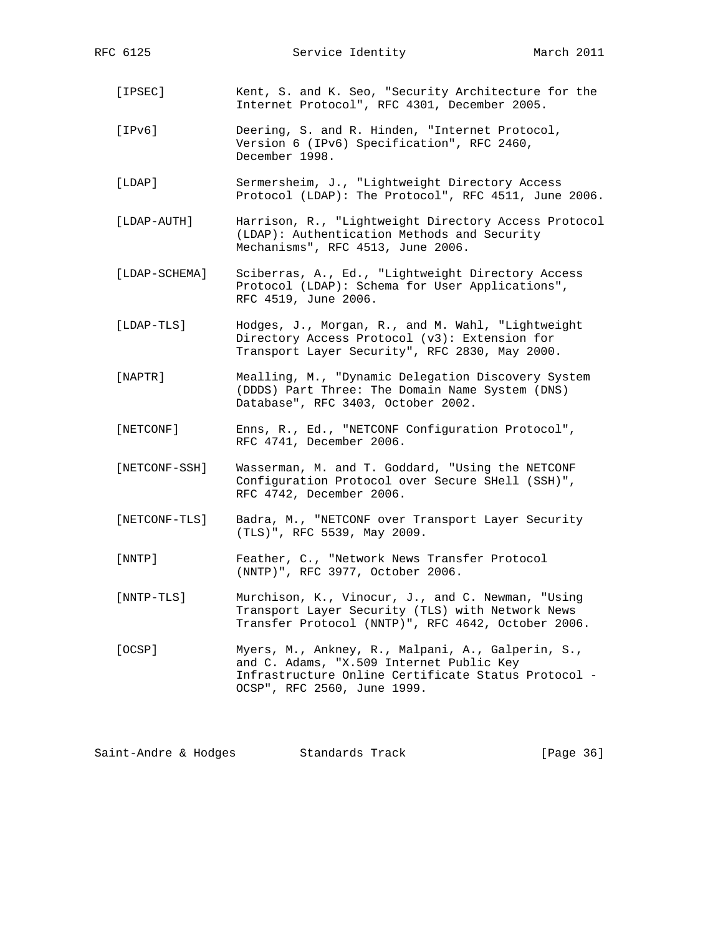- [IPSEC] Kent, S. and K. Seo, "Security Architecture for the Internet Protocol", RFC 4301, December 2005.
- [IPv6] Deering, S. and R. Hinden, "Internet Protocol, Version 6 (IPv6) Specification", RFC 2460, December 1998.
- [LDAP] Sermersheim, J., "Lightweight Directory Access Protocol (LDAP): The Protocol", RFC 4511, June 2006.
- [LDAP-AUTH] Harrison, R., "Lightweight Directory Access Protocol (LDAP): Authentication Methods and Security Mechanisms", RFC 4513, June 2006.
- [LDAP-SCHEMA] Sciberras, A., Ed., "Lightweight Directory Access Protocol (LDAP): Schema for User Applications", RFC 4519, June 2006.
- [LDAP-TLS] Hodges, J., Morgan, R., and M. Wahl, "Lightweight Directory Access Protocol (v3): Extension for Transport Layer Security", RFC 2830, May 2000.
- [NAPTR] Mealling, M., "Dynamic Delegation Discovery System (DDDS) Part Three: The Domain Name System (DNS) Database", RFC 3403, October 2002.
- [NETCONF] Enns, R., Ed., "NETCONF Configuration Protocol", RFC 4741, December 2006.
- [NETCONF-SSH] Wasserman, M. and T. Goddard, "Using the NETCONF Configuration Protocol over Secure SHell (SSH)", RFC 4742, December 2006.
- [NETCONF-TLS] Badra, M., "NETCONF over Transport Layer Security (TLS)", RFC 5539, May 2009.
- [NNTP] Feather, C., "Network News Transfer Protocol (NNTP)", RFC 3977, October 2006.
- [NNTP-TLS] Murchison, K., Vinocur, J., and C. Newman, "Using Transport Layer Security (TLS) with Network News Transfer Protocol (NNTP)", RFC 4642, October 2006.
- [OCSP] Myers, M., Ankney, R., Malpani, A., Galperin, S., and C. Adams, "X.509 Internet Public Key Infrastructure Online Certificate Status Protocol - OCSP", RFC 2560, June 1999.

Saint-Andre & Hodges Standards Track [Page 36]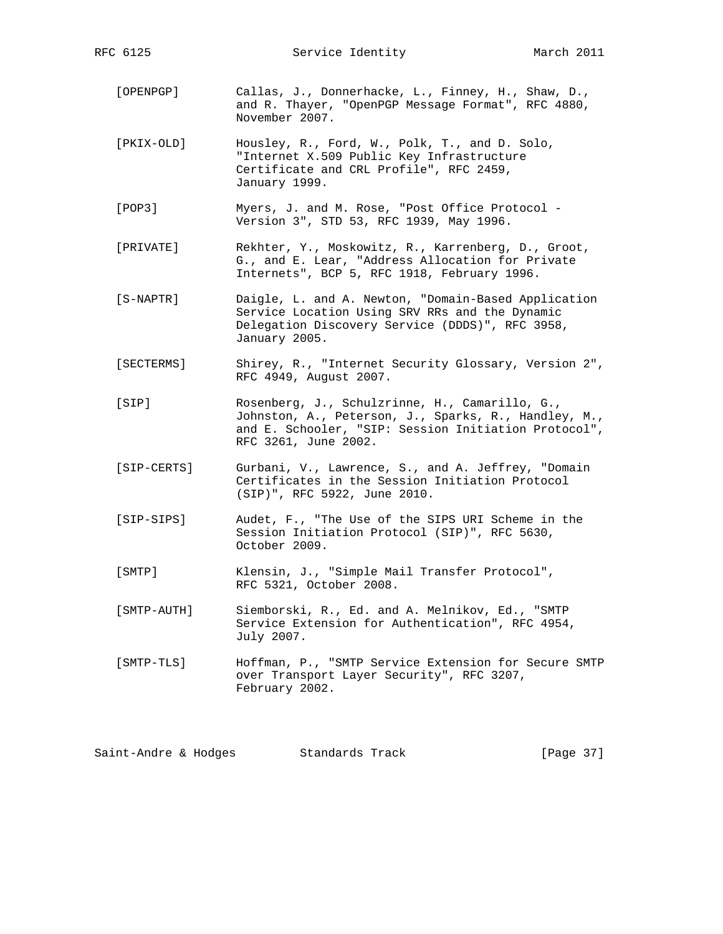RFC 6125 Service Identity March 2011

- [OPENPGP] Callas, J., Donnerhacke, L., Finney, H., Shaw, D., and R. Thayer, "OpenPGP Message Format", RFC 4880, November 2007.
- [PKIX-OLD] Housley, R., Ford, W., Polk, T., and D. Solo, "Internet X.509 Public Key Infrastructure Certificate and CRL Profile", RFC 2459, January 1999.
- [POP3] Myers, J. and M. Rose, "Post Office Protocol Version 3", STD 53, RFC 1939, May 1996.
- [PRIVATE] Rekhter, Y., Moskowitz, R., Karrenberg, D., Groot, G., and E. Lear, "Address Allocation for Private Internets", BCP 5, RFC 1918, February 1996.
- [S-NAPTR] Daigle, L. and A. Newton, "Domain-Based Application Service Location Using SRV RRs and the Dynamic Delegation Discovery Service (DDDS)", RFC 3958, January 2005.
- [SECTERMS] Shirey, R., "Internet Security Glossary, Version 2", RFC 4949, August 2007.
- [SIP] Rosenberg, J., Schulzrinne, H., Camarillo, G., Johnston, A., Peterson, J., Sparks, R., Handley, M., and E. Schooler, "SIP: Session Initiation Protocol", RFC 3261, June 2002.
- [SIP-CERTS] Gurbani, V., Lawrence, S., and A. Jeffrey, "Domain Certificates in the Session Initiation Protocol (SIP)", RFC 5922, June 2010.
- [SIP-SIPS] Audet, F., "The Use of the SIPS URI Scheme in the Session Initiation Protocol (SIP)", RFC 5630, October 2009.
- [SMTP] Klensin, J., "Simple Mail Transfer Protocol", RFC 5321, October 2008.
- [SMTP-AUTH] Siemborski, R., Ed. and A. Melnikov, Ed., "SMTP Service Extension for Authentication", RFC 4954, July 2007.
- [SMTP-TLS] Hoffman, P., "SMTP Service Extension for Secure SMTP over Transport Layer Security", RFC 3207, February 2002.

Saint-Andre & Hodges Standards Track [Page 37]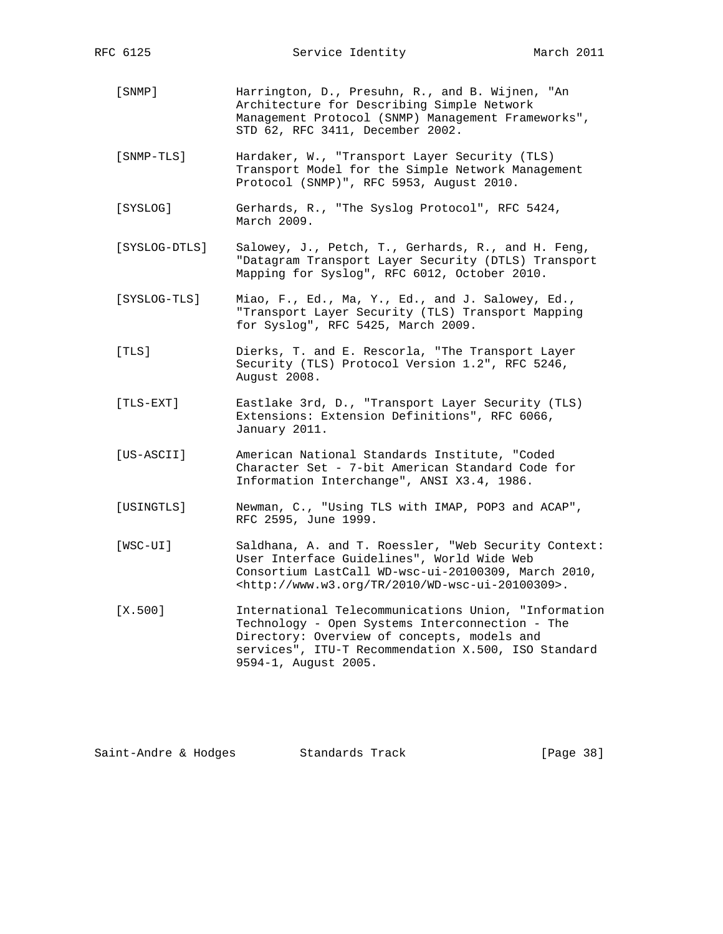- [SNMP] Harrington, D., Presuhn, R., and B. Wijnen, "An Architecture for Describing Simple Network Management Protocol (SNMP) Management Frameworks", STD 62, RFC 3411, December 2002.
- [SNMP-TLS] Hardaker, W., "Transport Layer Security (TLS) Transport Model for the Simple Network Management Protocol (SNMP)", RFC 5953, August 2010.
- [SYSLOG] Gerhards, R., "The Syslog Protocol", RFC 5424, March 2009.
- [SYSLOG-DTLS] Salowey, J., Petch, T., Gerhards, R., and H. Feng, "Datagram Transport Layer Security (DTLS) Transport Mapping for Syslog", RFC 6012, October 2010.
- [SYSLOG-TLS] Miao, F., Ed., Ma, Y., Ed., and J. Salowey, Ed., "Transport Layer Security (TLS) Transport Mapping for Syslog", RFC 5425, March 2009.
- [TLS] Dierks, T. and E. Rescorla, "The Transport Layer Security (TLS) Protocol Version 1.2", RFC 5246, August 2008.
- [TLS-EXT] Eastlake 3rd, D., "Transport Layer Security (TLS) Extensions: Extension Definitions", RFC 6066, January 2011.
- [US-ASCII] American National Standards Institute, "Coded Character Set - 7-bit American Standard Code for Information Interchange", ANSI X3.4, 1986.
- [USINGTLS] Newman, C., "Using TLS with IMAP, POP3 and ACAP", RFC 2595, June 1999.
- [WSC-UI] Saldhana, A. and T. Roessler, "Web Security Context: User Interface Guidelines", World Wide Web Consortium LastCall WD-wsc-ui-20100309, March 2010, <http://www.w3.org/TR/2010/WD-wsc-ui-20100309>.
- [X.500] International Telecommunications Union, "Information Technology - Open Systems Interconnection - The Directory: Overview of concepts, models and services", ITU-T Recommendation X.500, ISO Standard 9594-1, August 2005.

| [Page 38]<br>Saint-Andre & Hodges<br>Standards Track |  |  |  |  |
|------------------------------------------------------|--|--|--|--|
|------------------------------------------------------|--|--|--|--|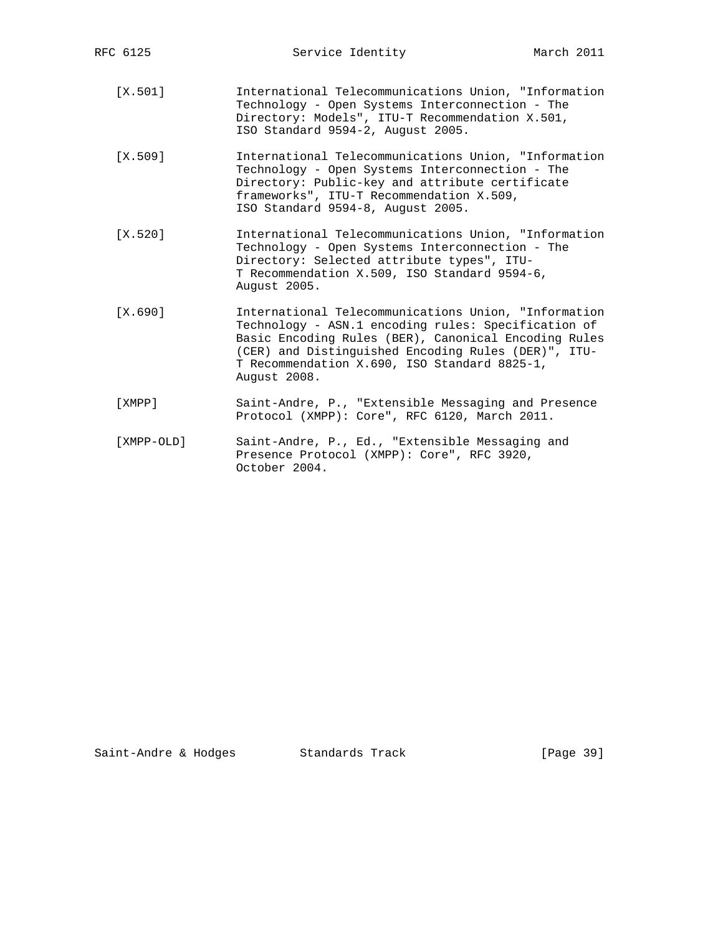- [X.501] International Telecommunications Union, "Information Technology - Open Systems Interconnection - The Directory: Models", ITU-T Recommendation X.501, ISO Standard 9594-2, August 2005.
- [X.509] International Telecommunications Union, "Information Technology - Open Systems Interconnection - The Directory: Public-key and attribute certificate frameworks", ITU-T Recommendation X.509, ISO Standard 9594-8, August 2005.
- [X.520] International Telecommunications Union, "Information Technology - Open Systems Interconnection - The Directory: Selected attribute types", ITU- T Recommendation X.509, ISO Standard 9594-6, August 2005.
- [X.690] International Telecommunications Union, "Information Technology - ASN.1 encoding rules: Specification of Basic Encoding Rules (BER), Canonical Encoding Rules (CER) and Distinguished Encoding Rules (DER)", ITU- T Recommendation X.690, ISO Standard 8825-1, August 2008.
- [XMPP] Saint-Andre, P., "Extensible Messaging and Presence Protocol (XMPP): Core", RFC 6120, March 2011.
- [XMPP-OLD] Saint-Andre, P., Ed., "Extensible Messaging and Presence Protocol (XMPP): Core", RFC 3920, October 2004.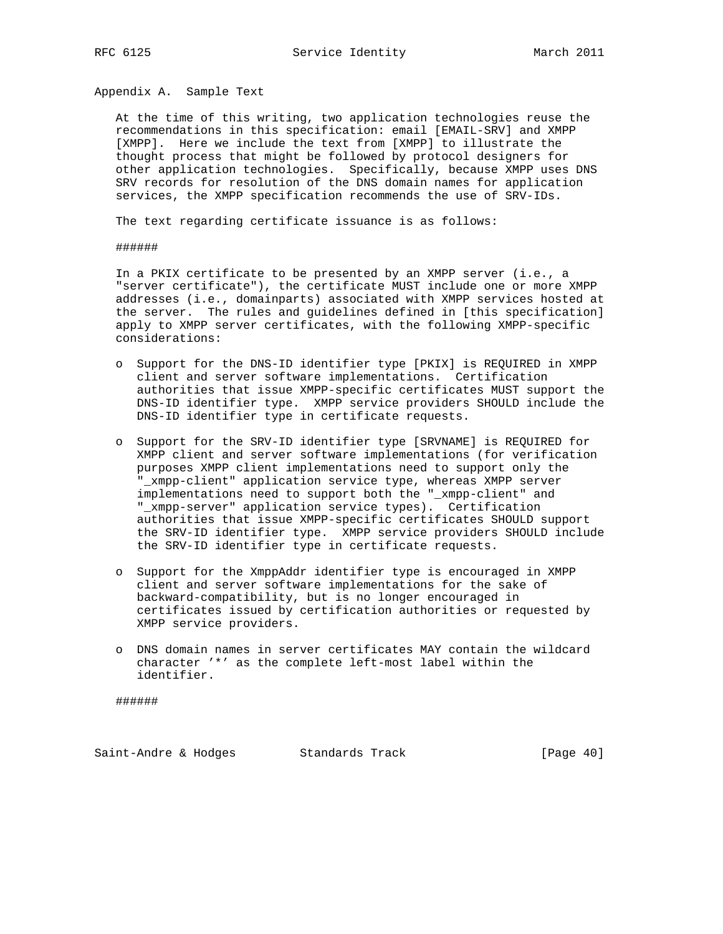Appendix A. Sample Text

 At the time of this writing, two application technologies reuse the recommendations in this specification: email [EMAIL-SRV] and XMPP [XMPP]. Here we include the text from [XMPP] to illustrate the thought process that might be followed by protocol designers for other application technologies. Specifically, because XMPP uses DNS SRV records for resolution of the DNS domain names for application services, the XMPP specification recommends the use of SRV-IDs.

The text regarding certificate issuance is as follows:

######

 In a PKIX certificate to be presented by an XMPP server (i.e., a "server certificate"), the certificate MUST include one or more XMPP addresses (i.e., domainparts) associated with XMPP services hosted at the server. The rules and guidelines defined in [this specification] apply to XMPP server certificates, with the following XMPP-specific considerations:

- o Support for the DNS-ID identifier type [PKIX] is REQUIRED in XMPP client and server software implementations. Certification authorities that issue XMPP-specific certificates MUST support the DNS-ID identifier type. XMPP service providers SHOULD include the DNS-ID identifier type in certificate requests.
- o Support for the SRV-ID identifier type [SRVNAME] is REQUIRED for XMPP client and server software implementations (for verification purposes XMPP client implementations need to support only the "\_xmpp-client" application service type, whereas XMPP server implementations need to support both the "\_xmpp-client" and "\_xmpp-server" application service types). Certification authorities that issue XMPP-specific certificates SHOULD support the SRV-ID identifier type. XMPP service providers SHOULD include the SRV-ID identifier type in certificate requests.
- o Support for the XmppAddr identifier type is encouraged in XMPP client and server software implementations for the sake of backward-compatibility, but is no longer encouraged in certificates issued by certification authorities or requested by XMPP service providers.
- o DNS domain names in server certificates MAY contain the wildcard character '\*' as the complete left-most label within the identifier.

######

Saint-Andre & Hodges Standards Track [Page 40]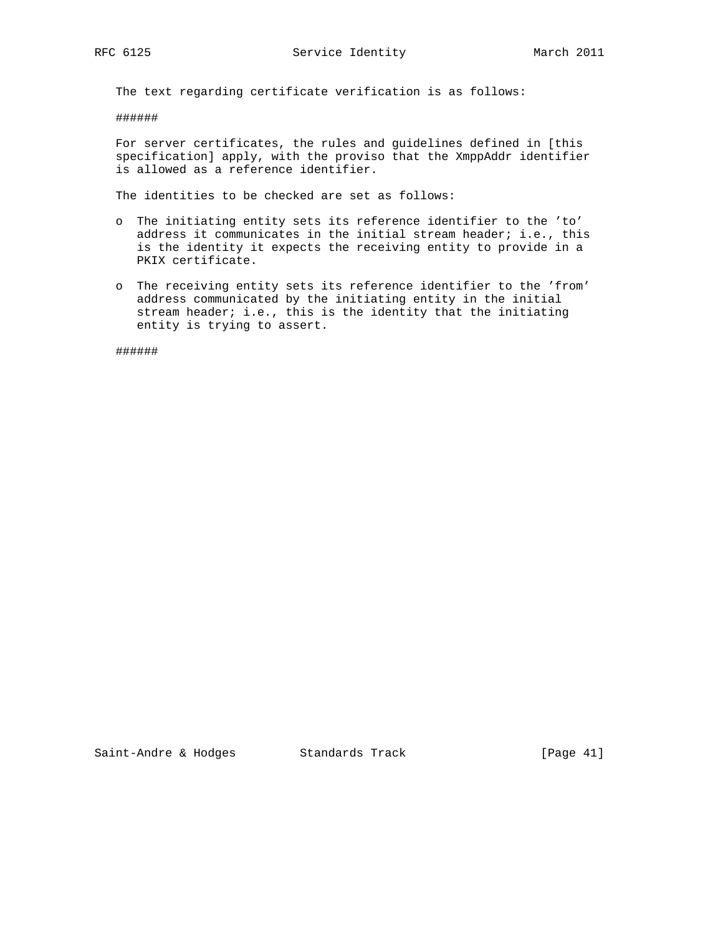The text regarding certificate verification is as follows:

######

 For server certificates, the rules and guidelines defined in [this specification] apply, with the proviso that the XmppAddr identifier is allowed as a reference identifier.

The identities to be checked are set as follows:

- o The initiating entity sets its reference identifier to the 'to' address it communicates in the initial stream header; i.e., this is the identity it expects the receiving entity to provide in a PKIX certificate.
- o The receiving entity sets its reference identifier to the 'from' address communicated by the initiating entity in the initial stream header; i.e., this is the identity that the initiating entity is trying to assert.

######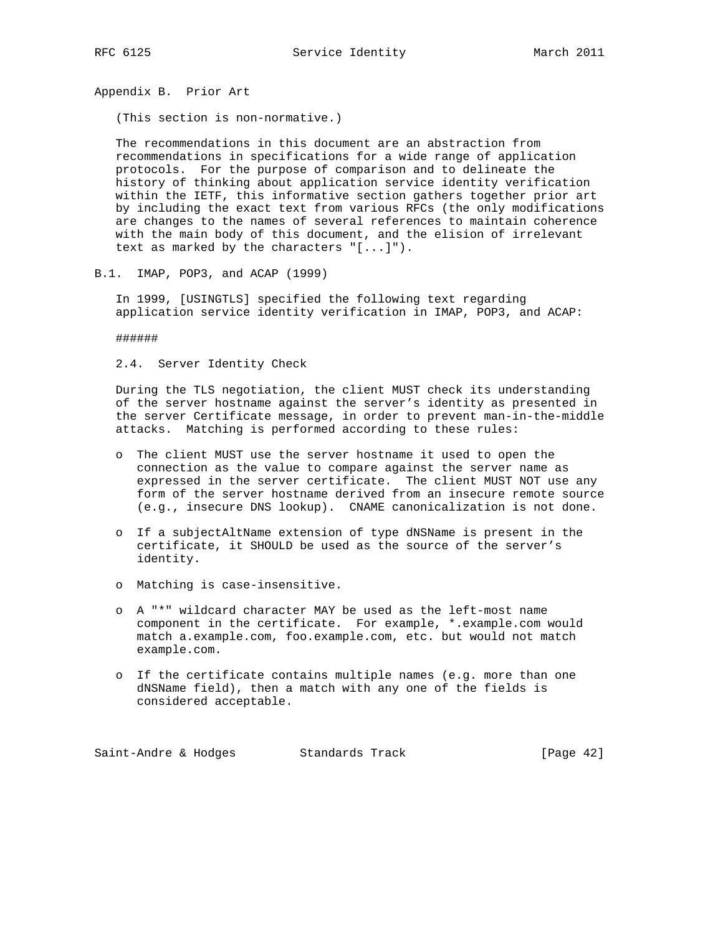Appendix B. Prior Art

(This section is non-normative.)

 The recommendations in this document are an abstraction from recommendations in specifications for a wide range of application protocols. For the purpose of comparison and to delineate the history of thinking about application service identity verification within the IETF, this informative section gathers together prior art by including the exact text from various RFCs (the only modifications are changes to the names of several references to maintain coherence with the main body of this document, and the elision of irrelevant text as marked by the characters "[...]").

B.1. IMAP, POP3, and ACAP (1999)

 In 1999, [USINGTLS] specified the following text regarding application service identity verification in IMAP, POP3, and ACAP:

######

2.4. Server Identity Check

 During the TLS negotiation, the client MUST check its understanding of the server hostname against the server's identity as presented in the server Certificate message, in order to prevent man-in-the-middle attacks. Matching is performed according to these rules:

- o The client MUST use the server hostname it used to open the connection as the value to compare against the server name as expressed in the server certificate. The client MUST NOT use any form of the server hostname derived from an insecure remote source (e.g., insecure DNS lookup). CNAME canonicalization is not done.
- o If a subjectAltName extension of type dNSName is present in the certificate, it SHOULD be used as the source of the server's identity.
- o Matching is case-insensitive.
- o A "\*" wildcard character MAY be used as the left-most name component in the certificate. For example, \*.example.com would match a.example.com, foo.example.com, etc. but would not match example.com.
- o If the certificate contains multiple names (e.g. more than one dNSName field), then a match with any one of the fields is considered acceptable.

Saint-Andre & Hodges Standards Track [Page 42]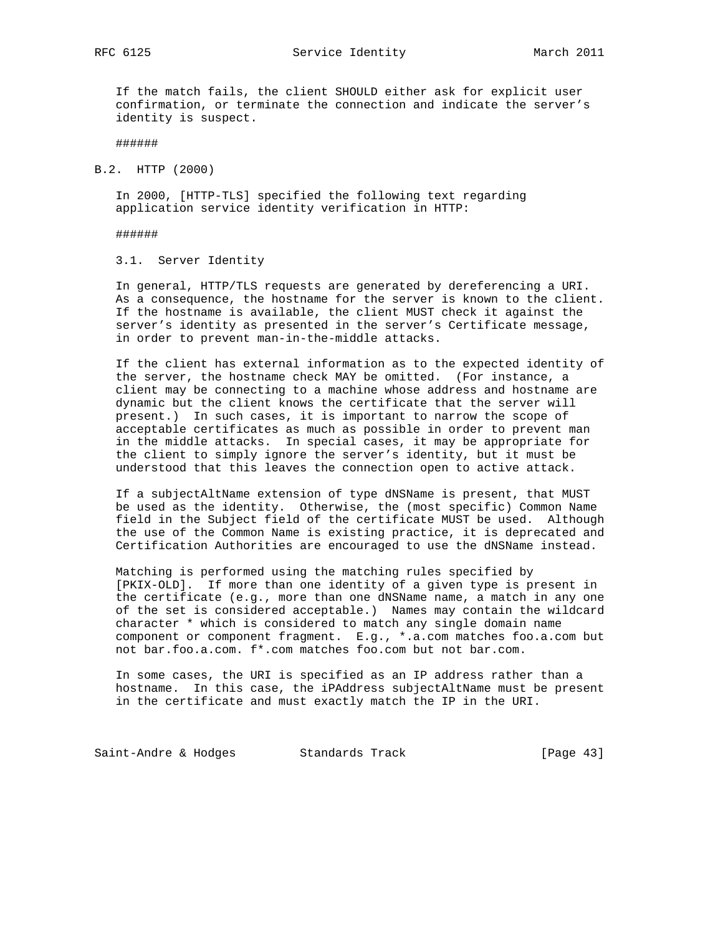RFC 6125 Service Identity March 2011

 If the match fails, the client SHOULD either ask for explicit user confirmation, or terminate the connection and indicate the server's identity is suspect.

#### ######

B.2. HTTP (2000)

 In 2000, [HTTP-TLS] specified the following text regarding application service identity verification in HTTP:

######

3.1. Server Identity

 In general, HTTP/TLS requests are generated by dereferencing a URI. As a consequence, the hostname for the server is known to the client. If the hostname is available, the client MUST check it against the server's identity as presented in the server's Certificate message, in order to prevent man-in-the-middle attacks.

 If the client has external information as to the expected identity of the server, the hostname check MAY be omitted. (For instance, a client may be connecting to a machine whose address and hostname are dynamic but the client knows the certificate that the server will present.) In such cases, it is important to narrow the scope of acceptable certificates as much as possible in order to prevent man in the middle attacks. In special cases, it may be appropriate for the client to simply ignore the server's identity, but it must be understood that this leaves the connection open to active attack.

 If a subjectAltName extension of type dNSName is present, that MUST be used as the identity. Otherwise, the (most specific) Common Name field in the Subject field of the certificate MUST be used. Although the use of the Common Name is existing practice, it is deprecated and Certification Authorities are encouraged to use the dNSName instead.

 Matching is performed using the matching rules specified by [PKIX-OLD]. If more than one identity of a given type is present in the certificate (e.g., more than one dNSName name, a match in any one of the set is considered acceptable.) Names may contain the wildcard character \* which is considered to match any single domain name component or component fragment. E.g., \*.a.com matches foo.a.com but not bar.foo.a.com. f\*.com matches foo.com but not bar.com.

 In some cases, the URI is specified as an IP address rather than a hostname. In this case, the iPAddress subjectAltName must be present in the certificate and must exactly match the IP in the URI.

Saint-Andre & Hodges Standards Track [Page 43]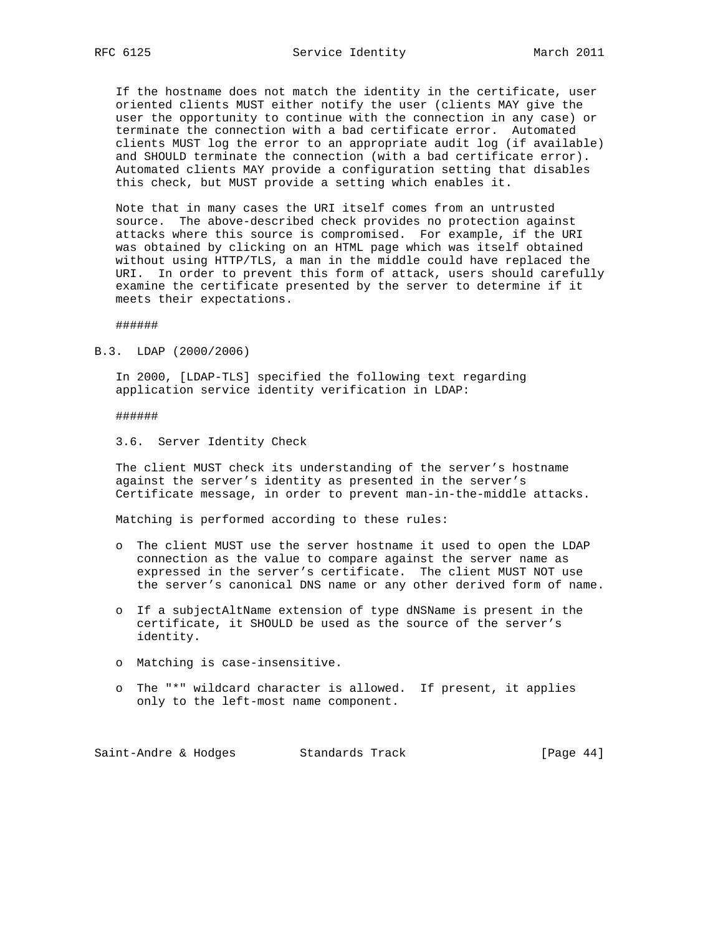If the hostname does not match the identity in the certificate, user oriented clients MUST either notify the user (clients MAY give the user the opportunity to continue with the connection in any case) or terminate the connection with a bad certificate error. Automated clients MUST log the error to an appropriate audit log (if available) and SHOULD terminate the connection (with a bad certificate error). Automated clients MAY provide a configuration setting that disables this check, but MUST provide a setting which enables it.

 Note that in many cases the URI itself comes from an untrusted source. The above-described check provides no protection against attacks where this source is compromised. For example, if the URI was obtained by clicking on an HTML page which was itself obtained without using HTTP/TLS, a man in the middle could have replaced the URI. In order to prevent this form of attack, users should carefully examine the certificate presented by the server to determine if it meets their expectations.

######

B.3. LDAP (2000/2006)

 In 2000, [LDAP-TLS] specified the following text regarding application service identity verification in LDAP:

######

3.6. Server Identity Check

 The client MUST check its understanding of the server's hostname against the server's identity as presented in the server's Certificate message, in order to prevent man-in-the-middle attacks.

Matching is performed according to these rules:

- o The client MUST use the server hostname it used to open the LDAP connection as the value to compare against the server name as expressed in the server's certificate. The client MUST NOT use the server's canonical DNS name or any other derived form of name.
- o If a subjectAltName extension of type dNSName is present in the certificate, it SHOULD be used as the source of the server's identity.
- o Matching is case-insensitive.
- o The "\*" wildcard character is allowed. If present, it applies only to the left-most name component.

Saint-Andre & Hodges Standards Track [Page 44]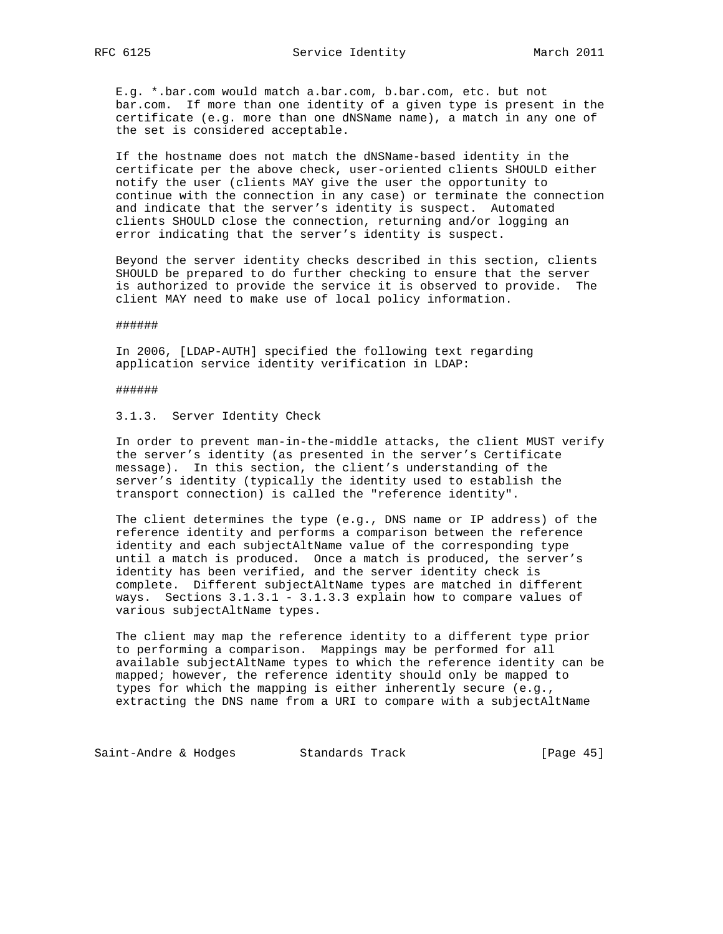E.g. \*.bar.com would match a.bar.com, b.bar.com, etc. but not bar.com. If more than one identity of a given type is present in the certificate (e.g. more than one dNSName name), a match in any one of the set is considered acceptable.

 If the hostname does not match the dNSName-based identity in the certificate per the above check, user-oriented clients SHOULD either notify the user (clients MAY give the user the opportunity to continue with the connection in any case) or terminate the connection and indicate that the server's identity is suspect. Automated clients SHOULD close the connection, returning and/or logging an error indicating that the server's identity is suspect.

 Beyond the server identity checks described in this section, clients SHOULD be prepared to do further checking to ensure that the server is authorized to provide the service it is observed to provide. The client MAY need to make use of local policy information.

######

 In 2006, [LDAP-AUTH] specified the following text regarding application service identity verification in LDAP:

#### ######

#### 3.1.3. Server Identity Check

 In order to prevent man-in-the-middle attacks, the client MUST verify the server's identity (as presented in the server's Certificate message). In this section, the client's understanding of the server's identity (typically the identity used to establish the transport connection) is called the "reference identity".

 The client determines the type (e.g., DNS name or IP address) of the reference identity and performs a comparison between the reference identity and each subjectAltName value of the corresponding type until a match is produced. Once a match is produced, the server's identity has been verified, and the server identity check is complete. Different subjectAltName types are matched in different ways. Sections 3.1.3.1 - 3.1.3.3 explain how to compare values of various subjectAltName types.

 The client may map the reference identity to a different type prior to performing a comparison. Mappings may be performed for all available subjectAltName types to which the reference identity can be mapped; however, the reference identity should only be mapped to types for which the mapping is either inherently secure (e.g., extracting the DNS name from a URI to compare with a subjectAltName

Saint-Andre & Hodges Standards Track [Page 45]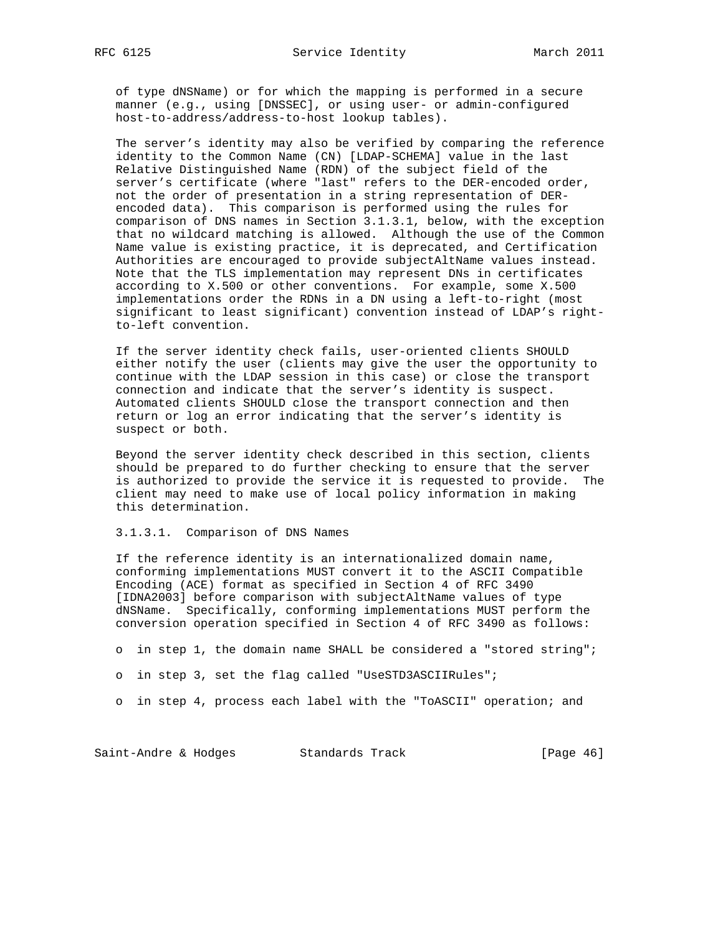of type dNSName) or for which the mapping is performed in a secure manner (e.g., using [DNSSEC], or using user- or admin-configured host-to-address/address-to-host lookup tables).

 The server's identity may also be verified by comparing the reference identity to the Common Name (CN) [LDAP-SCHEMA] value in the last Relative Distinguished Name (RDN) of the subject field of the server's certificate (where "last" refers to the DER-encoded order, not the order of presentation in a string representation of DER encoded data). This comparison is performed using the rules for comparison of DNS names in Section 3.1.3.1, below, with the exception that no wildcard matching is allowed. Although the use of the Common Name value is existing practice, it is deprecated, and Certification Authorities are encouraged to provide subjectAltName values instead. Note that the TLS implementation may represent DNs in certificates according to X.500 or other conventions. For example, some X.500 implementations order the RDNs in a DN using a left-to-right (most significant to least significant) convention instead of LDAP's right to-left convention.

 If the server identity check fails, user-oriented clients SHOULD either notify the user (clients may give the user the opportunity to continue with the LDAP session in this case) or close the transport connection and indicate that the server's identity is suspect. Automated clients SHOULD close the transport connection and then return or log an error indicating that the server's identity is suspect or both.

 Beyond the server identity check described in this section, clients should be prepared to do further checking to ensure that the server is authorized to provide the service it is requested to provide. The client may need to make use of local policy information in making this determination.

3.1.3.1. Comparison of DNS Names

 If the reference identity is an internationalized domain name, conforming implementations MUST convert it to the ASCII Compatible Encoding (ACE) format as specified in Section 4 of RFC 3490 [IDNA2003] before comparison with subjectAltName values of type dNSName. Specifically, conforming implementations MUST perform the conversion operation specified in Section 4 of RFC 3490 as follows:

o in step 1, the domain name SHALL be considered a "stored string";

o in step 3, set the flag called "UseSTD3ASCIIRules";

o in step 4, process each label with the "ToASCII" operation; and

Saint-Andre & Hodges Standards Track [Page 46]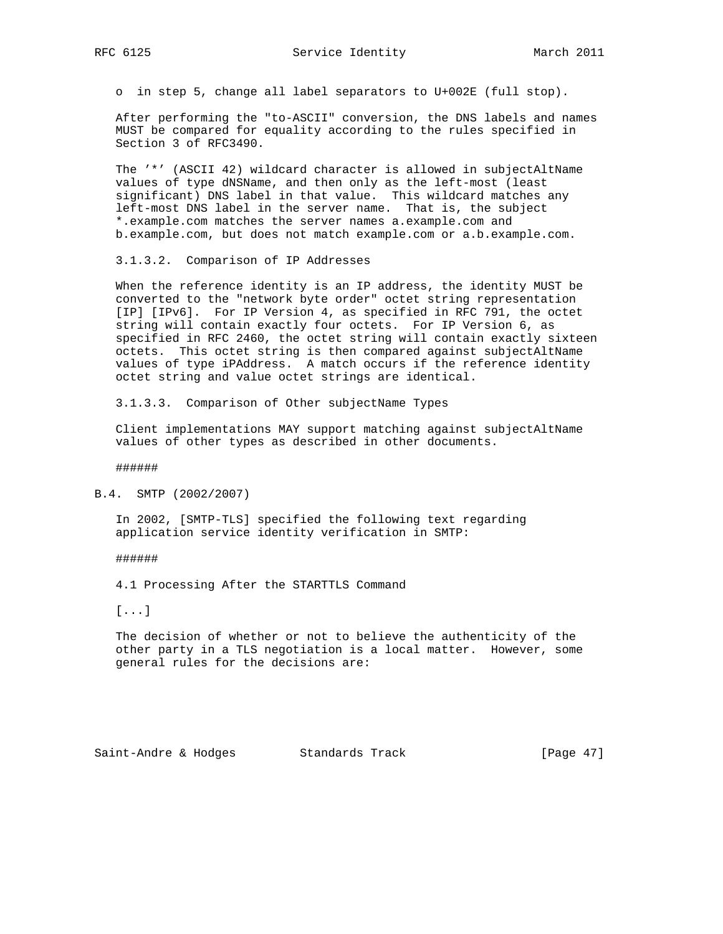o in step 5, change all label separators to U+002E (full stop).

 After performing the "to-ASCII" conversion, the DNS labels and names MUST be compared for equality according to the rules specified in Section 3 of RFC3490.

 The '\*' (ASCII 42) wildcard character is allowed in subjectAltName values of type dNSName, and then only as the left-most (least significant) DNS label in that value. This wildcard matches any left-most DNS label in the server name. That is, the subject \*.example.com matches the server names a.example.com and b.example.com, but does not match example.com or a.b.example.com.

3.1.3.2. Comparison of IP Addresses

 When the reference identity is an IP address, the identity MUST be converted to the "network byte order" octet string representation [IP] [IPv6]. For IP Version 4, as specified in RFC 791, the octet string will contain exactly four octets. For IP Version 6, as specified in RFC 2460, the octet string will contain exactly sixteen octets. This octet string is then compared against subjectAltName values of type iPAddress. A match occurs if the reference identity octet string and value octet strings are identical.

3.1.3.3. Comparison of Other subjectName Types

 Client implementations MAY support matching against subjectAltName values of other types as described in other documents.

######

B.4. SMTP (2002/2007)

 In 2002, [SMTP-TLS] specified the following text regarding application service identity verification in SMTP:

######

4.1 Processing After the STARTTLS Command

[...]

 The decision of whether or not to believe the authenticity of the other party in a TLS negotiation is a local matter. However, some general rules for the decisions are: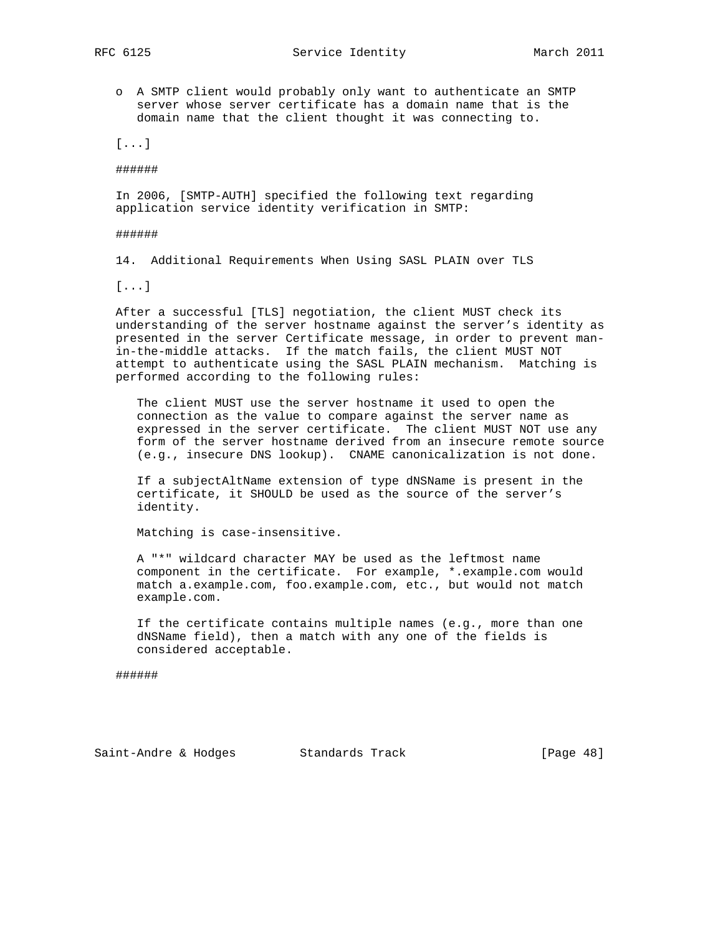o A SMTP client would probably only want to authenticate an SMTP server whose server certificate has a domain name that is the domain name that the client thought it was connecting to.

[...]

######

 In 2006, [SMTP-AUTH] specified the following text regarding application service identity verification in SMTP:

######

14. Additional Requirements When Using SASL PLAIN over TLS

[...]

 After a successful [TLS] negotiation, the client MUST check its understanding of the server hostname against the server's identity as presented in the server Certificate message, in order to prevent man in-the-middle attacks. If the match fails, the client MUST NOT attempt to authenticate using the SASL PLAIN mechanism. Matching is performed according to the following rules:

 The client MUST use the server hostname it used to open the connection as the value to compare against the server name as expressed in the server certificate. The client MUST NOT use any form of the server hostname derived from an insecure remote source (e.g., insecure DNS lookup). CNAME canonicalization is not done.

 If a subjectAltName extension of type dNSName is present in the certificate, it SHOULD be used as the source of the server's identity.

Matching is case-insensitive.

 A "\*" wildcard character MAY be used as the leftmost name component in the certificate. For example, \*.example.com would match a.example.com, foo.example.com, etc., but would not match example.com.

 If the certificate contains multiple names (e.g., more than one dNSName field), then a match with any one of the fields is considered acceptable.

######

Saint-Andre & Hodges Standards Track [Page 48]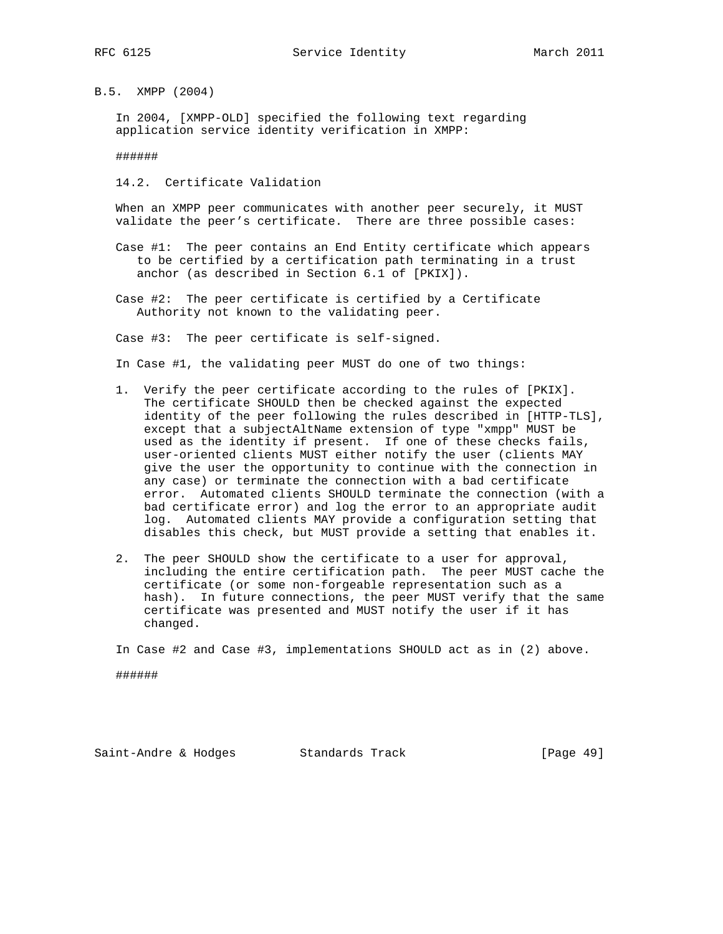B.5. XMPP (2004)

 In 2004, [XMPP-OLD] specified the following text regarding application service identity verification in XMPP:

######

14.2. Certificate Validation

 When an XMPP peer communicates with another peer securely, it MUST validate the peer's certificate. There are three possible cases:

- Case #1: The peer contains an End Entity certificate which appears to be certified by a certification path terminating in a trust anchor (as described in Section 6.1 of [PKIX]).
- Case #2: The peer certificate is certified by a Certificate Authority not known to the validating peer.

Case #3: The peer certificate is self-signed.

In Case #1, the validating peer MUST do one of two things:

- 1. Verify the peer certificate according to the rules of [PKIX]. The certificate SHOULD then be checked against the expected identity of the peer following the rules described in [HTTP-TLS], except that a subjectAltName extension of type "xmpp" MUST be used as the identity if present. If one of these checks fails, user-oriented clients MUST either notify the user (clients MAY give the user the opportunity to continue with the connection in any case) or terminate the connection with a bad certificate error. Automated clients SHOULD terminate the connection (with a bad certificate error) and log the error to an appropriate audit log. Automated clients MAY provide a configuration setting that disables this check, but MUST provide a setting that enables it.
- 2. The peer SHOULD show the certificate to a user for approval, including the entire certification path. The peer MUST cache the certificate (or some non-forgeable representation such as a hash). In future connections, the peer MUST verify that the same certificate was presented and MUST notify the user if it has changed.

In Case #2 and Case #3, implementations SHOULD act as in (2) above.

######

Saint-Andre & Hodges Standards Track [Page 49]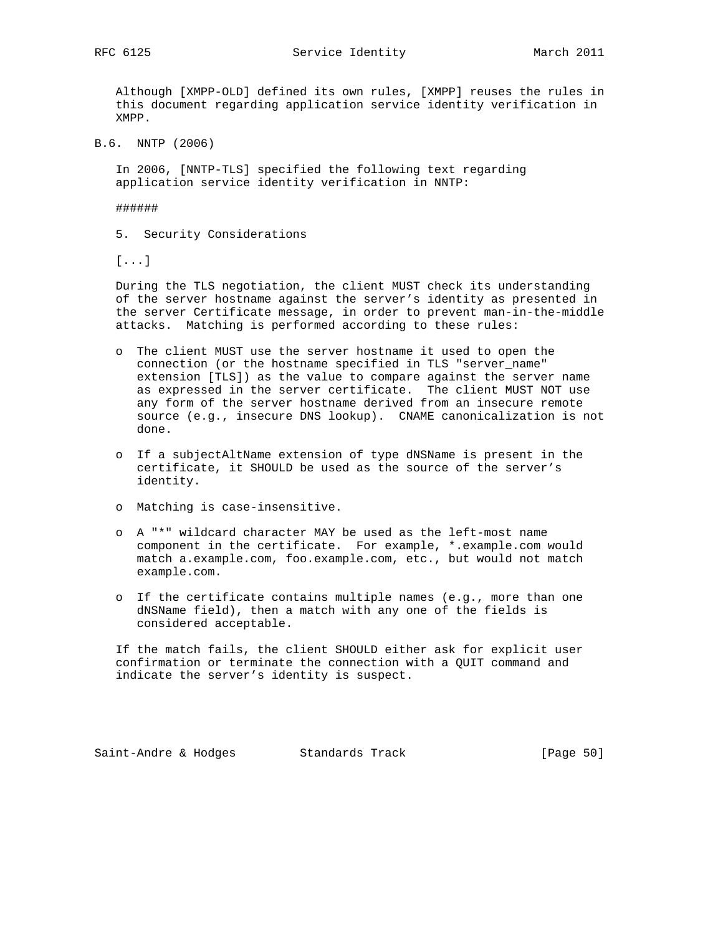RFC 6125 Service Identity March 2011

 Although [XMPP-OLD] defined its own rules, [XMPP] reuses the rules in this document regarding application service identity verification in XMPP.

B.6. NNTP (2006)

 In 2006, [NNTP-TLS] specified the following text regarding application service identity verification in NNTP:

######

5. Security Considerations

[...]

 During the TLS negotiation, the client MUST check its understanding of the server hostname against the server's identity as presented in the server Certificate message, in order to prevent man-in-the-middle attacks. Matching is performed according to these rules:

- o The client MUST use the server hostname it used to open the connection (or the hostname specified in TLS "server\_name" extension [TLS]) as the value to compare against the server name as expressed in the server certificate. The client MUST NOT use any form of the server hostname derived from an insecure remote source (e.g., insecure DNS lookup). CNAME canonicalization is not done.
- o If a subjectAltName extension of type dNSName is present in the certificate, it SHOULD be used as the source of the server's identity.
- o Matching is case-insensitive.
- o A "\*" wildcard character MAY be used as the left-most name component in the certificate. For example, \*.example.com would match a.example.com, foo.example.com, etc., but would not match example.com.
- o If the certificate contains multiple names (e.g., more than one dNSName field), then a match with any one of the fields is considered acceptable.

 If the match fails, the client SHOULD either ask for explicit user confirmation or terminate the connection with a QUIT command and indicate the server's identity is suspect.

Saint-Andre & Hodges Standards Track [Page 50]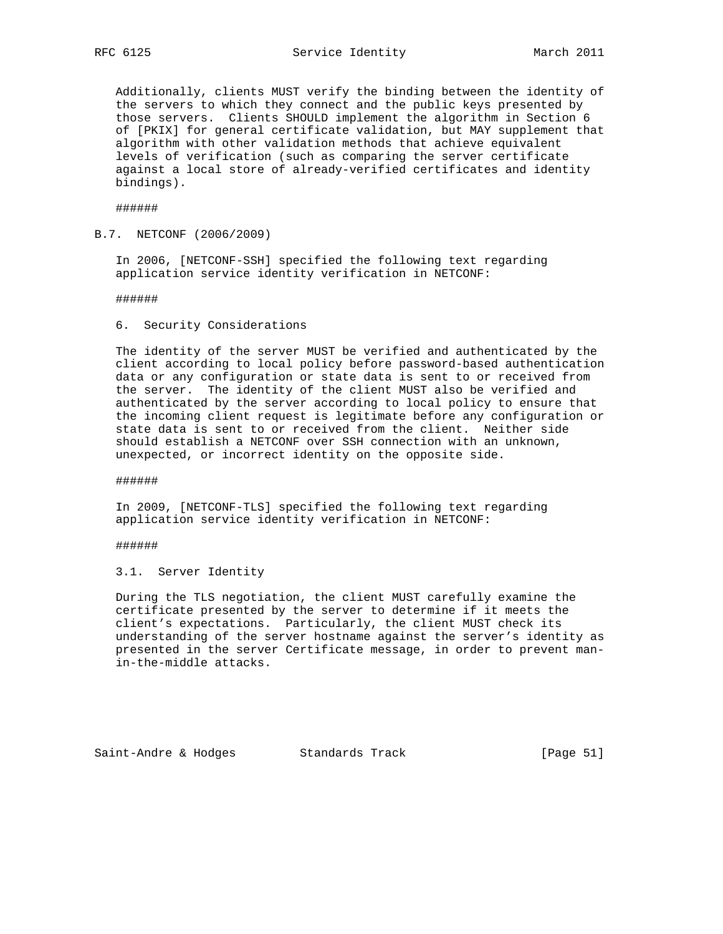Additionally, clients MUST verify the binding between the identity of the servers to which they connect and the public keys presented by those servers. Clients SHOULD implement the algorithm in Section 6 of [PKIX] for general certificate validation, but MAY supplement that algorithm with other validation methods that achieve equivalent levels of verification (such as comparing the server certificate against a local store of already-verified certificates and identity bindings).

######

B.7. NETCONF (2006/2009)

 In 2006, [NETCONF-SSH] specified the following text regarding application service identity verification in NETCONF:

######

#### 6. Security Considerations

 The identity of the server MUST be verified and authenticated by the client according to local policy before password-based authentication data or any configuration or state data is sent to or received from the server. The identity of the client MUST also be verified and authenticated by the server according to local policy to ensure that the incoming client request is legitimate before any configuration or state data is sent to or received from the client. Neither side should establish a NETCONF over SSH connection with an unknown, unexpected, or incorrect identity on the opposite side.

######

 In 2009, [NETCONF-TLS] specified the following text regarding application service identity verification in NETCONF:

######

3.1. Server Identity

 During the TLS negotiation, the client MUST carefully examine the certificate presented by the server to determine if it meets the client's expectations. Particularly, the client MUST check its understanding of the server hostname against the server's identity as presented in the server Certificate message, in order to prevent man in-the-middle attacks.

Saint-Andre & Hodges Standards Track [Page 51]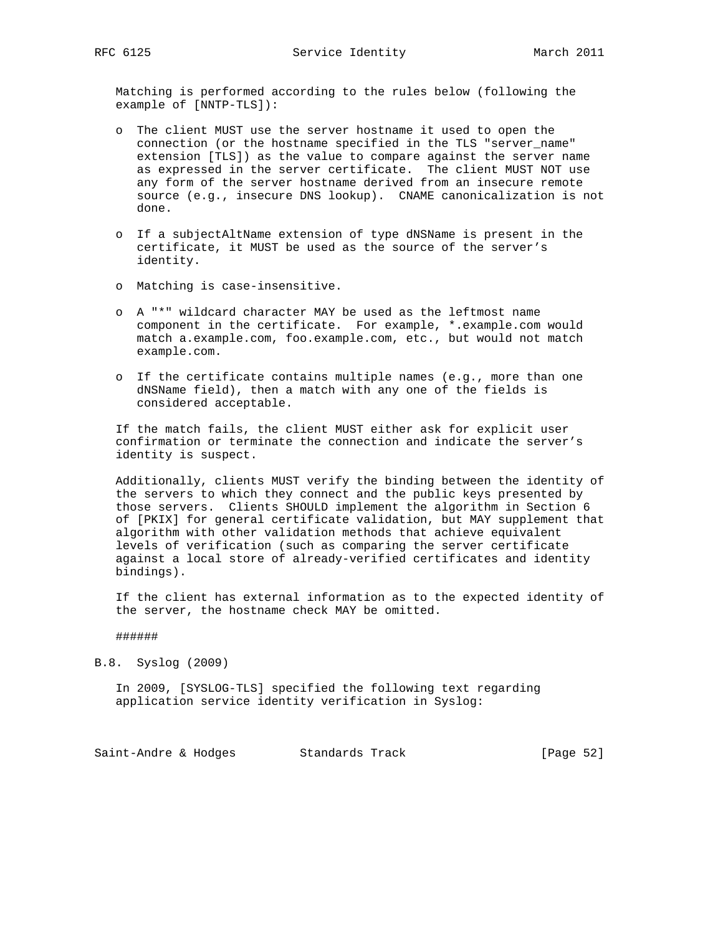Matching is performed according to the rules below (following the example of [NNTP-TLS]):

- o The client MUST use the server hostname it used to open the connection (or the hostname specified in the TLS "server\_name" extension [TLS]) as the value to compare against the server name as expressed in the server certificate. The client MUST NOT use any form of the server hostname derived from an insecure remote source (e.g., insecure DNS lookup). CNAME canonicalization is not done.
- o If a subjectAltName extension of type dNSName is present in the certificate, it MUST be used as the source of the server's identity.
- o Matching is case-insensitive.
- o A "\*" wildcard character MAY be used as the leftmost name component in the certificate. For example, \*.example.com would match a.example.com, foo.example.com, etc., but would not match example.com.
- o If the certificate contains multiple names (e.g., more than one dNSName field), then a match with any one of the fields is considered acceptable.

 If the match fails, the client MUST either ask for explicit user confirmation or terminate the connection and indicate the server's identity is suspect.

 Additionally, clients MUST verify the binding between the identity of the servers to which they connect and the public keys presented by those servers. Clients SHOULD implement the algorithm in Section 6 of [PKIX] for general certificate validation, but MAY supplement that algorithm with other validation methods that achieve equivalent levels of verification (such as comparing the server certificate against a local store of already-verified certificates and identity bindings).

 If the client has external information as to the expected identity of the server, the hostname check MAY be omitted.

#### ######

B.8. Syslog (2009)

 In 2009, [SYSLOG-TLS] specified the following text regarding application service identity verification in Syslog:

Saint-Andre & Hodges Standards Track [Page 52]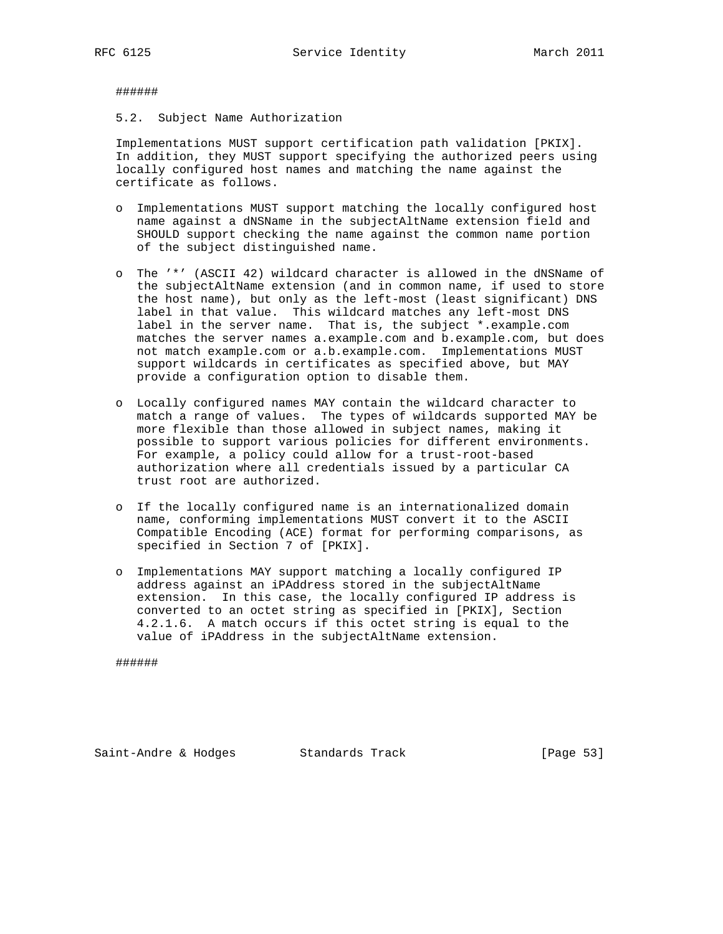######

5.2. Subject Name Authorization

 Implementations MUST support certification path validation [PKIX]. In addition, they MUST support specifying the authorized peers using locally configured host names and matching the name against the certificate as follows.

- o Implementations MUST support matching the locally configured host name against a dNSName in the subjectAltName extension field and SHOULD support checking the name against the common name portion of the subject distinguished name.
- o The '\*' (ASCII 42) wildcard character is allowed in the dNSName of the subjectAltName extension (and in common name, if used to store the host name), but only as the left-most (least significant) DNS label in that value. This wildcard matches any left-most DNS label in the server name. That is, the subject \*.example.com matches the server names a.example.com and b.example.com, but does not match example.com or a.b.example.com. Implementations MUST support wildcards in certificates as specified above, but MAY provide a configuration option to disable them.
- o Locally configured names MAY contain the wildcard character to match a range of values. The types of wildcards supported MAY be more flexible than those allowed in subject names, making it possible to support various policies for different environments. For example, a policy could allow for a trust-root-based authorization where all credentials issued by a particular CA trust root are authorized.
- o If the locally configured name is an internationalized domain name, conforming implementations MUST convert it to the ASCII Compatible Encoding (ACE) format for performing comparisons, as specified in Section 7 of [PKIX].
- o Implementations MAY support matching a locally configured IP address against an iPAddress stored in the subjectAltName extension. In this case, the locally configured IP address is converted to an octet string as specified in [PKIX], Section 4.2.1.6. A match occurs if this octet string is equal to the value of iPAddress in the subjectAltName extension.

######

Saint-Andre & Hodges Standards Track [Page 53]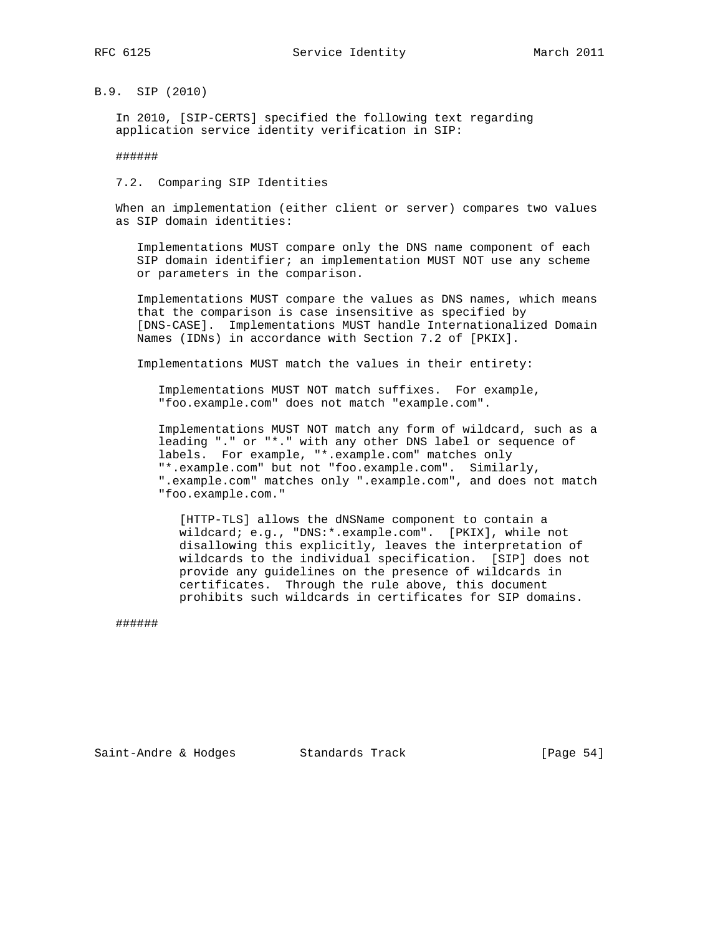B.9. SIP (2010)

 In 2010, [SIP-CERTS] specified the following text regarding application service identity verification in SIP:

######

7.2. Comparing SIP Identities

 When an implementation (either client or server) compares two values as SIP domain identities:

 Implementations MUST compare only the DNS name component of each SIP domain identifier; an implementation MUST NOT use any scheme or parameters in the comparison.

 Implementations MUST compare the values as DNS names, which means that the comparison is case insensitive as specified by [DNS-CASE]. Implementations MUST handle Internationalized Domain Names (IDNs) in accordance with Section 7.2 of [PKIX].

Implementations MUST match the values in their entirety:

 Implementations MUST NOT match suffixes. For example, "foo.example.com" does not match "example.com".

 Implementations MUST NOT match any form of wildcard, such as a leading "." or "\*." with any other DNS label or sequence of labels. For example, "\*.example.com" matches only "\*.example.com" but not "foo.example.com". Similarly, ".example.com" matches only ".example.com", and does not match "foo.example.com."

 [HTTP-TLS] allows the dNSName component to contain a wildcard; e.g., "DNS:\*.example.com". [PKIX], while not disallowing this explicitly, leaves the interpretation of wildcards to the individual specification. [SIP] does not provide any guidelines on the presence of wildcards in certificates. Through the rule above, this document prohibits such wildcards in certificates for SIP domains.

######

Saint-Andre & Hodges Standards Track [Page 54]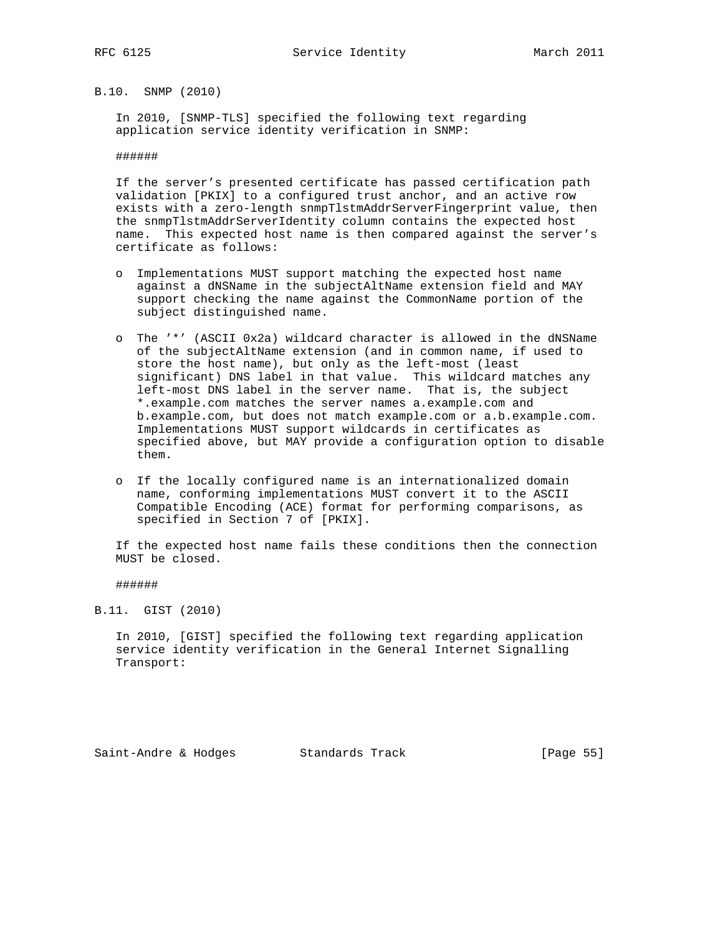B.10. SNMP (2010)

 In 2010, [SNMP-TLS] specified the following text regarding application service identity verification in SNMP:

######

 If the server's presented certificate has passed certification path validation [PKIX] to a configured trust anchor, and an active row exists with a zero-length snmpTlstmAddrServerFingerprint value, then the snmpTlstmAddrServerIdentity column contains the expected host name. This expected host name is then compared against the server's certificate as follows:

- o Implementations MUST support matching the expected host name against a dNSName in the subjectAltName extension field and MAY support checking the name against the CommonName portion of the subject distinguished name.
- o The '\*' (ASCII 0x2a) wildcard character is allowed in the dNSName of the subjectAltName extension (and in common name, if used to store the host name), but only as the left-most (least significant) DNS label in that value. This wildcard matches any left-most DNS label in the server name. That is, the subject \*.example.com matches the server names a.example.com and b.example.com, but does not match example.com or a.b.example.com. Implementations MUST support wildcards in certificates as specified above, but MAY provide a configuration option to disable them.
- o If the locally configured name is an internationalized domain name, conforming implementations MUST convert it to the ASCII Compatible Encoding (ACE) format for performing comparisons, as specified in Section 7 of [PKIX].

 If the expected host name fails these conditions then the connection MUST be closed.

######

B.11. GIST (2010)

 In 2010, [GIST] specified the following text regarding application service identity verification in the General Internet Signalling Transport: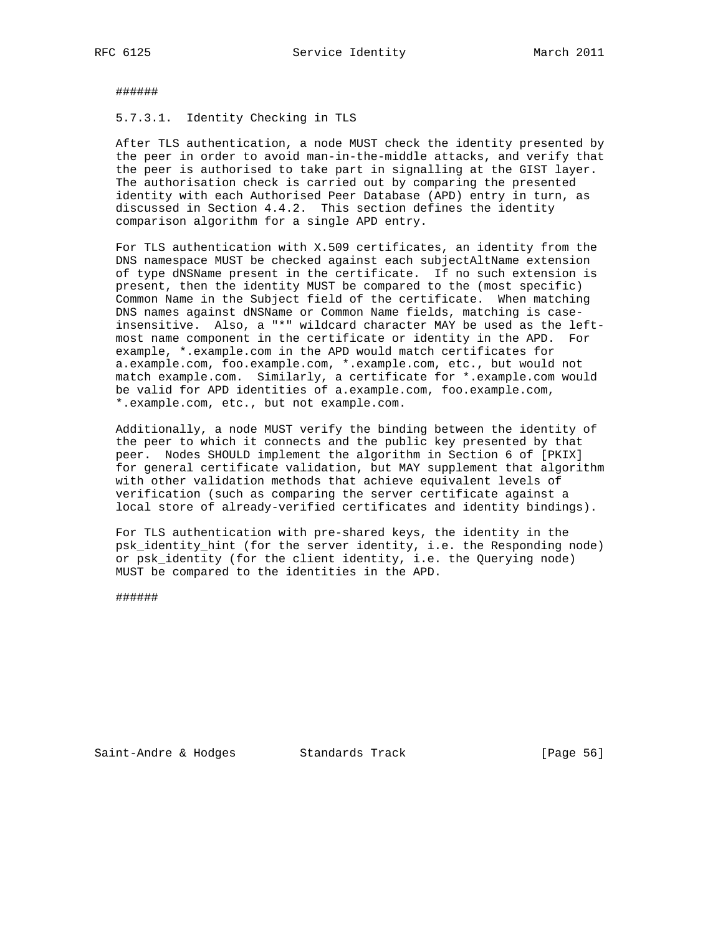######

5.7.3.1. Identity Checking in TLS

 After TLS authentication, a node MUST check the identity presented by the peer in order to avoid man-in-the-middle attacks, and verify that the peer is authorised to take part in signalling at the GIST layer. The authorisation check is carried out by comparing the presented identity with each Authorised Peer Database (APD) entry in turn, as discussed in Section 4.4.2. This section defines the identity comparison algorithm for a single APD entry.

 For TLS authentication with X.509 certificates, an identity from the DNS namespace MUST be checked against each subjectAltName extension of type dNSName present in the certificate. If no such extension is present, then the identity MUST be compared to the (most specific) Common Name in the Subject field of the certificate. When matching DNS names against dNSName or Common Name fields, matching is case insensitive. Also, a "\*" wildcard character MAY be used as the left most name component in the certificate or identity in the APD. For example, \*.example.com in the APD would match certificates for a.example.com, foo.example.com, \*.example.com, etc., but would not match example.com. Similarly, a certificate for \*.example.com would be valid for APD identities of a.example.com, foo.example.com, \*.example.com, etc., but not example.com.

 Additionally, a node MUST verify the binding between the identity of the peer to which it connects and the public key presented by that peer. Nodes SHOULD implement the algorithm in Section 6 of [PKIX] for general certificate validation, but MAY supplement that algorithm with other validation methods that achieve equivalent levels of verification (such as comparing the server certificate against a local store of already-verified certificates and identity bindings).

 For TLS authentication with pre-shared keys, the identity in the psk\_identity\_hint (for the server identity, i.e. the Responding node) or psk\_identity (for the client identity, i.e. the Querying node) MUST be compared to the identities in the APD.

######

Saint-Andre & Hodges Standards Track [Page 56]